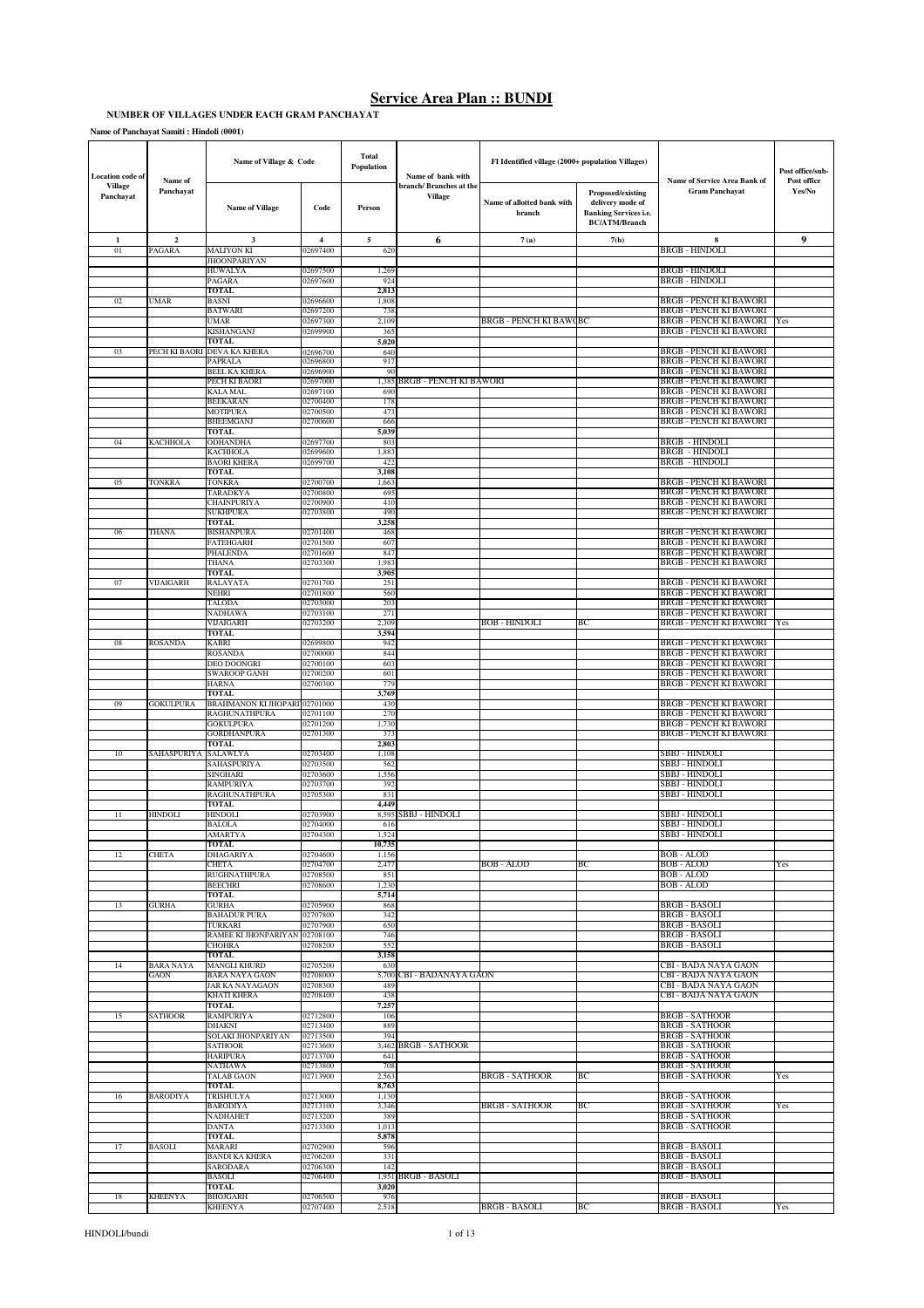#### **NUMBER OF VILLAGES UNDER EACH GRAM PANCHAYAT**

**Name of Panchayat Samiti : Hindoli (0001)**

| <b>Location code of</b>     | Name of                 | Name of Village & Code                   |                      | Total<br>Population | Name of bank with                        | FI Identified village (2000+ population Villages) |                                                                                               | Name of Service Area Bank of                                   | Post office/sub-<br>Post office |
|-----------------------------|-------------------------|------------------------------------------|----------------------|---------------------|------------------------------------------|---------------------------------------------------|-----------------------------------------------------------------------------------------------|----------------------------------------------------------------|---------------------------------|
| <b>Village</b><br>Panchayat | Panchayat               | <b>Name of Village</b>                   | Code                 | Person              | branch/Branches at the<br><b>Village</b> | Name of allotted bank with<br>branch              | Proposed/existing<br>delivery mode of<br><b>Banking Services i.e.</b><br><b>BC/ATM/Branch</b> | <b>Gram Panchayat</b>                                          | Yes/No                          |
| $\mathbf 1$                 | $\overline{\mathbf{2}}$ | $\overline{\mathbf{3}}$                  | $\overline{4}$       | 5                   | 6                                        | 7(a)                                              | 7(b)                                                                                          | 8                                                              | 9                               |
| 01                          | PAGARA                  | MALIYON KI<br><b>JHOONPARIYAN</b>        | 02697400             | 620                 |                                          |                                                   |                                                                                               | BRGB - HINDOLI                                                 |                                 |
|                             |                         | <b>HUWALYA</b>                           | 02697500             | 1,269               |                                          |                                                   |                                                                                               | <b>BRGB - HINDOLI</b>                                          |                                 |
|                             |                         | PAGARA<br>TOTAL                          | 02697600             | 924<br>2,813        |                                          |                                                   |                                                                                               | <b>BRGB - HINDOLI</b>                                          |                                 |
| 02                          | UMAR                    | BASNI<br><b>BATWARI</b>                  | 02696600<br>02697200 | 1,808<br>738        |                                          |                                                   |                                                                                               | <b>BRGB - PENCH KI BAWORI</b><br><b>BRGB - PENCH KI BAWORI</b> |                                 |
|                             |                         | UMAR                                     | 02697300             | 2,109               |                                          | <b>BRGB - PENCH KI BAWQBC</b>                     |                                                                                               | BRGB - PENCH KI BAWORI                                         | Yes                             |
|                             |                         | KISHANGANJ<br><b>TOTAL</b>               | 02699900             | 365<br>5,020        |                                          |                                                   |                                                                                               | <b>BRGB - PENCH KI BAWORI</b>                                  |                                 |
| 03                          | PECH KI BAORI           | <b>DEVA KA KHERA</b>                     | 02696700             | 640                 |                                          |                                                   |                                                                                               | <b>BRGB - PENCH KI BAWORI</b>                                  |                                 |
|                             |                         | <b>PAPRALA</b><br><b>BEEL KA KHERA</b>   | 02696800<br>02696900 | 917<br>90           |                                          |                                                   |                                                                                               | BRGB - PENCH KI BAWORI<br><b>BRGB - PENCH KI BAWORI</b>        |                                 |
|                             |                         | PECH KI BAORI                            | 02697000             |                     | 1,385 BRGB - PENCH KI BAWORI             |                                                   |                                                                                               | <b>BRGB - PENCH KI BAWORI</b>                                  |                                 |
|                             |                         | KALA MAL<br><b>BEEKARAN</b>              | 02697100<br>02700400 | 690<br>178          |                                          |                                                   |                                                                                               | BRGB - PENCH KI BAWORI<br><b>BRGB - PENCH KI BAWORI</b>        |                                 |
|                             |                         | <b>MOTIPURA</b>                          | 02700500             | 473                 |                                          |                                                   |                                                                                               | <b>BRGB - PENCH KI BAWORI</b>                                  |                                 |
|                             |                         | <b>BHEEMGANJ</b><br>TOTAL                | 02700600             | 666<br>5,039        |                                          |                                                   |                                                                                               | <b>BRGB - PENCH KI BAWORI</b>                                  |                                 |
| 04                          | KACHHOLA                | ODHANDHA                                 | 02697700             | 803                 |                                          |                                                   |                                                                                               | <b>BRGB - HINDOLI</b>                                          |                                 |
|                             |                         | KACHHOLA<br><b>BAORI KHERA</b>           | 02699600<br>02699700 | 1,883<br>422        |                                          |                                                   |                                                                                               | <b>BRGB - HINDOLI</b><br>BRGB - HINDOLI                        |                                 |
|                             |                         | TOTAL                                    |                      | 3,108               |                                          |                                                   |                                                                                               |                                                                |                                 |
| 05                          | TONKRA                  | TONKRA<br><b><i>FARADKYA</i></b>         | 02700700<br>02700800 | 1,663<br>695        |                                          |                                                   |                                                                                               | <b>BRGB - PENCH KI BAWORI</b><br><b>BRGB - PENCH KI BAWORI</b> |                                 |
|                             |                         | CHAINPURIYA                              | 02700900             | 410                 |                                          |                                                   |                                                                                               | BRGB - PENCH KI BAWORI                                         |                                 |
|                             |                         | SUKHPURA<br><b>TOTAL</b>                 | 02703800             | 490<br>3,258        |                                          |                                                   |                                                                                               | <b>BRGB - PENCH KI BAWORI</b>                                  |                                 |
| 06                          | THANA                   | BISHANPURA<br><b>ATEHGARH</b>            | 02701400             | 468                 |                                          |                                                   |                                                                                               | <b>BRGB - PENCH KI BAWORI</b>                                  |                                 |
|                             |                         | PHALENDA                                 | 02701500<br>02701600 | 607<br>847          |                                          |                                                   |                                                                                               | <b>BRGB - PENCH KI BAWORI</b><br><b>BRGB - PENCH KI BAWORI</b> |                                 |
|                             |                         | <b>THANA</b><br><b>TOTAL</b>             | 02703300             | 1,983<br>3,905      |                                          |                                                   |                                                                                               | BRGB - PENCH KI BAWORI                                         |                                 |
| 07                          | VIJAIGARH               | RALAYATA                                 | 02701700             | 251                 |                                          |                                                   |                                                                                               | <b>BRGB - PENCH KI BAWORI</b>                                  |                                 |
|                             |                         | NEHRI                                    | 02701800<br>02703000 | 560<br>203          |                                          |                                                   |                                                                                               | <b>BRGB - PENCH KI BAWORI</b><br>BRGB - PENCH KI BAWORI        |                                 |
|                             |                         | TALODA<br><b>NADHAWA</b>                 | 02703100             | 271                 |                                          |                                                   |                                                                                               | BRGB - PENCH KI BAWORI                                         |                                 |
|                             |                         | VIJAIGARH<br>TOTAL                       | 02703200             | 2,309<br>3,594      |                                          | <b>BOB - HINDOLI</b>                              | BС                                                                                            | BRGB - PENCH KI BAWORI                                         | Yes                             |
| 08                          | <b>ROSANDA</b>          | KABRI                                    | 02699800             | 942                 |                                          |                                                   |                                                                                               | BRGB - PENCH KI BAWORI                                         |                                 |
|                             |                         | <b>ROSANDA</b><br>DEO DOONGRI            | 02700000<br>02700100 | 844<br>603          |                                          |                                                   |                                                                                               | <b>BRGB - PENCH KI BAWORI</b><br><b>BRGB - PENCH KI BAWORI</b> |                                 |
|                             |                         | SWAROOP GANH                             | 02700200             | 601                 |                                          |                                                   |                                                                                               | BRGB - PENCH KI BAWORI                                         |                                 |
|                             |                         | <b>HARNA</b><br>TOTAL                    | 02700300             | 779<br>3,769        |                                          |                                                   |                                                                                               | BRGB - PENCH KI BAWORI                                         |                                 |
| 09                          | GOKULPURA               | BRAHMANON KI JHOPARI 02701000            |                      | 430                 |                                          |                                                   |                                                                                               | <b>BRGB - PENCH KI BAWORI</b>                                  |                                 |
|                             |                         | RAGHUNATHPURA<br>GOKULPURA               | 02701100<br>02701200 | 270<br>1,730        |                                          |                                                   |                                                                                               | BRGB - PENCH KI BAWORI<br><b>BRGB - PENCH KI BAWORI</b>        |                                 |
|                             |                         | GORDHANPURA                              | 02701300             | 373                 |                                          |                                                   |                                                                                               | <b>BRGB - PENCH KI BAWORI</b>                                  |                                 |
| 10                          | SAHASPURIYA SALAWLYA    | <b>TOTAL</b>                             | 02703400             | 2,803<br>1,108      |                                          |                                                   |                                                                                               | <b>SBBJ - HINDOLI</b>                                          |                                 |
|                             |                         | SAHASPURIYA<br>SINGHARI                  | 02703500             | 562                 |                                          |                                                   |                                                                                               | SBBJ - HINDOLI<br>SBBJ - HINDOLI                               |                                 |
|                             |                         | RAMPURIYA                                | 02703600<br>02703700 | 1,556<br>392        |                                          |                                                   |                                                                                               | SBBJ - HINDOLI                                                 |                                 |
|                             |                         | RAGHUNATHPURA<br><b>TOTAL</b>            | 02705300             | 831<br>4,449        |                                          |                                                   |                                                                                               | SBBJ - HINDOLI                                                 |                                 |
| $\overline{11}$             | HINDOLI                 | <b>HINDOLI</b>                           | 02703900             | 8,595               | SBBJ - HINDOLI                           |                                                   |                                                                                               | SBBJ - HINDOLI                                                 |                                 |
|                             |                         | <b>BALOLA</b><br>AMARTY                  | 02704000<br>02704300 | 616<br>.524         |                                          |                                                   |                                                                                               | <b>SBBJ - HINDOLI</b><br><b>SBBJ - HINDOLI</b>                 |                                 |
|                             |                         | TOTAL                                    |                      | 10,735              |                                          |                                                   |                                                                                               |                                                                |                                 |
| 12                          | <b>CHETA</b>            | DHAGARIYA<br>CHETA                       | 02704600<br>02704700 | 1,156<br>2,477      |                                          | <b>BOB-ALOD</b>                                   | ВC                                                                                            | BOB - ALOD<br><b>BOB-ALOD</b>                                  |                                 |
|                             |                         | RUGHNATHPURA                             | 02708500             | 851                 |                                          |                                                   |                                                                                               | <b>BOB</b> - ALOD                                              | Yes                             |
|                             |                         | <b>BEECHRI</b><br><b>TOTAL</b>           | 02708600             | 1,230<br>5,714      |                                          |                                                   |                                                                                               | BOB - ALOD                                                     |                                 |
| 13                          | <b>GURHA</b>            | <b>GURHA</b>                             | 02705900             | 868                 |                                          |                                                   |                                                                                               | <b>BRGB - BASOLI</b>                                           |                                 |
|                             |                         | <b>BAHADUR PURA</b><br>TURKARI           | 02707800<br>02707900 | 342<br>650          |                                          |                                                   |                                                                                               | <b>BRGB - BASOLI</b><br>BRGB - BASOLI                          |                                 |
|                             |                         | RAMEE KI JHONPARIYAN                     | 02708100             | 746                 |                                          |                                                   |                                                                                               | <b>BRGB - BASOLI</b>                                           |                                 |
|                             |                         | <b>CHOHRA</b><br><b>TOTAL</b>            | 02708200             | 552<br>3,158        |                                          |                                                   |                                                                                               | <b>BRGB - BASOLI</b>                                           |                                 |
| 14                          | <b>BARA NAYA</b>        | <b>MANGLI KHURD</b>                      | 02705200             | 630                 |                                          |                                                   |                                                                                               | CBI - BADA NAYA GAON                                           |                                 |
|                             | GAON                    | <b>BARA NAYA GAON</b><br>JAR KA NAYAGAON | 02708000<br>02708300 | 489                 | 5,700 CBI - BADANAYA GAON                |                                                   |                                                                                               | CBI - BADA NAYA GAON<br>CBI - BADA NAYA GAON                   |                                 |
|                             |                         | KHATI KHERA                              | 02708400             | 438                 |                                          |                                                   |                                                                                               | CBI - BADA NAYA GAON                                           |                                 |
| 15                          | SATHOOR                 | <b>TOTAL</b><br><b>RAMPURIYA</b>         | 02712800             | 7,257<br>106        |                                          |                                                   |                                                                                               | <b>BRGB - SATHOOR</b>                                          |                                 |
|                             |                         | DHAKNI<br>SOLAKI JHONPARIYAN             | 02713400<br>02713500 | 889<br>394          |                                          |                                                   |                                                                                               | <b>BRGB - SATHOOR</b><br><b>BRGB - SATHOOR</b>                 |                                 |
|                             |                         | SATHOOR                                  | 02713600             |                     | 3,462 BRGB - SATHOOR                     |                                                   |                                                                                               | <b>BRGB - SATHOOR</b>                                          |                                 |
|                             |                         | <b>HARIPURA</b><br>NATHAWA               | 02713700<br>02713800 | 641<br>708          |                                          |                                                   |                                                                                               | <b>BRGB - SATHOOR</b><br>BRGB - SATHOOR                        |                                 |
|                             |                         | <b>TALAB GAON</b>                        | 02713900             | 2,563               |                                          | <b>BRGB - SATHOOR</b>                             | BС                                                                                            | <b>BRGB - SATHOOR</b>                                          | Yes                             |
| 16                          | BARODIYA                | <b>TOTAL</b><br>TRISHULYA                | 02713000             | 8,763<br>1,130      |                                          |                                                   |                                                                                               | <b>BRGB - SATHOOR</b>                                          |                                 |
|                             |                         | BARODIYA                                 | 02713100             | 3,346               |                                          | <b>BRGB - SATHOOR</b>                             | BC                                                                                            | <b>BRGB - SATHOOR</b>                                          | Yes                             |
|                             |                         | NADHAHET<br>DANTA                        | 02713200<br>02713300 | 389<br>1,013        |                                          |                                                   |                                                                                               | <b>BRGB - SATHOOR</b><br><b>BRGB - SATHOOR</b>                 |                                 |
|                             |                         | <b>TOTAL</b>                             |                      | 5,878               |                                          |                                                   |                                                                                               |                                                                |                                 |
| 17                          | BASOLI                  | <b>MARARI</b><br><b>BANDI KA KHERA</b>   | 02702900<br>02706200 | 596<br>331          |                                          |                                                   |                                                                                               | <b>BRGB - BASOLI</b><br><b>BRGB - BASOLI</b>                   |                                 |
|                             |                         | SARODARA                                 | 02706300             | 142                 |                                          |                                                   |                                                                                               | BRGB - BASOLI                                                  |                                 |
|                             |                         | <b>BASOLI</b><br>TOTAL                   | 02706400             | 3,020               | 1,951 BRGB - BASOLI                      |                                                   |                                                                                               | <b>BRGB - BASOLI</b>                                           |                                 |
| 18                          | <b>KHEENYA</b>          | <b>BHOJGARH</b><br><b>KHEENYA</b>        | 02706500<br>02707400 | 976<br>2,518        |                                          | BRGB - BASOLI                                     | ВC                                                                                            | <b>BRGB - BASOLI</b><br>BRGB - BASOLI                          | Yes                             |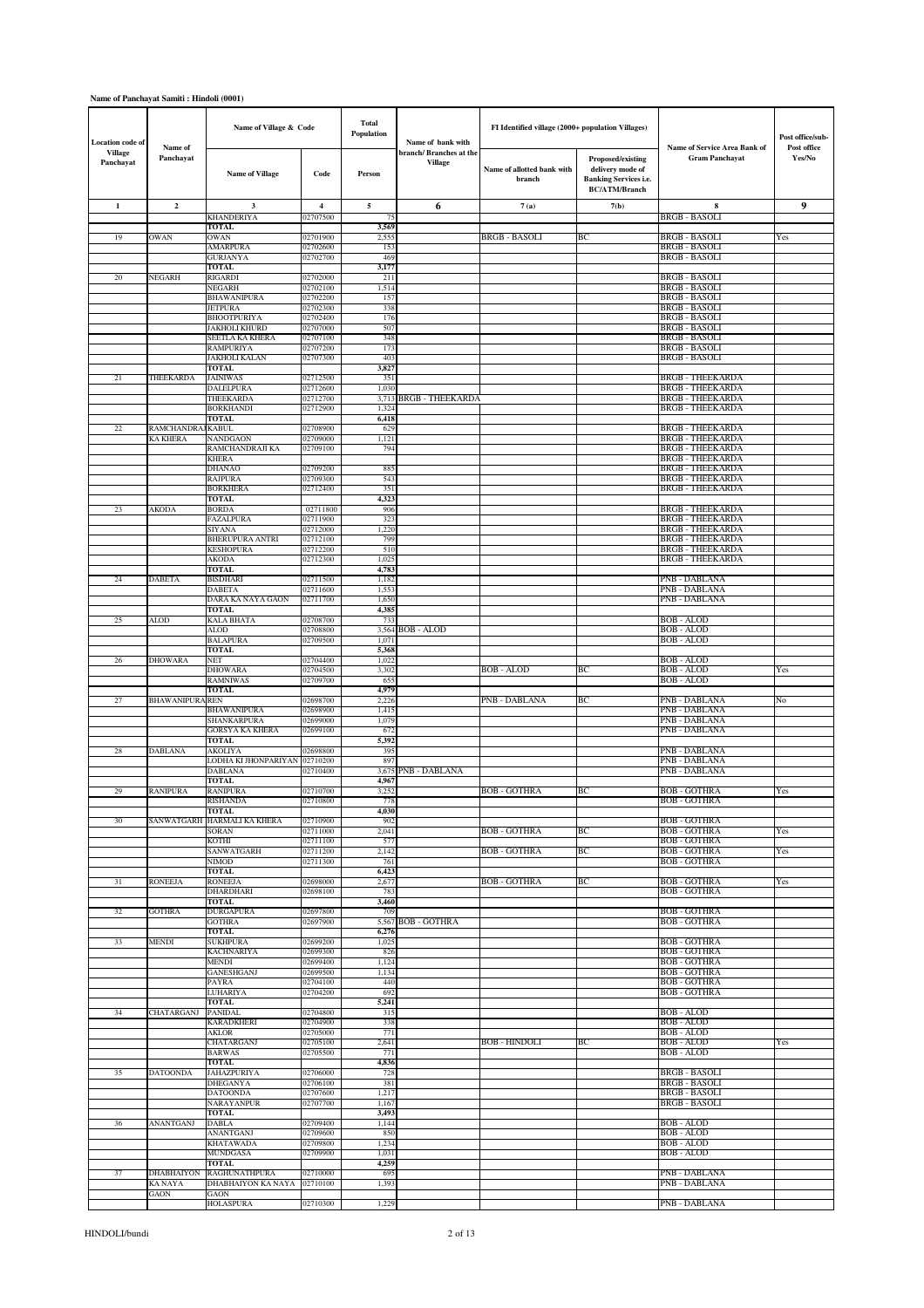# **Name of Panchayat Samiti : Hindoli (0001)**

| <b>Location</b> code of     |                         | Name of Village & Code                   |                         | Total<br>Population | Name of bank with                 | FI Identified village (2000+ population Villages) |                                                                                               |                                                       | Post office/sub-      |
|-----------------------------|-------------------------|------------------------------------------|-------------------------|---------------------|-----------------------------------|---------------------------------------------------|-----------------------------------------------------------------------------------------------|-------------------------------------------------------|-----------------------|
| <b>Village</b><br>Panchayat | Name of<br>Panchayat    | <b>Name of Village</b>                   | Code                    | Person              | branch/Branches at the<br>Village | Name of allotted bank with<br>branch              | Proposed/existing<br>delivery mode of<br><b>Banking Services i.e.</b><br><b>BC/ATM/Branch</b> | Name of Service Area Bank of<br><b>Gram Panchayat</b> | Post office<br>Yes/No |
| $\mathbf{1}$                | $\overline{\mathbf{2}}$ | 3                                        | $\overline{\mathbf{4}}$ | 5                   | 6                                 | 7(a)                                              | 7(b)                                                                                          | 8                                                     | 9                     |
|                             |                         | <b>KHANDERIYA</b><br>TOTAL               | 02707500                | 75<br>3,569         |                                   |                                                   |                                                                                               | <b>BRGB - BASOLI</b>                                  |                       |
| 19                          | OWAN                    | OWAN                                     | 02701900                | 2,555               |                                   | BRGB - BASOLI                                     | BС                                                                                            | BRGB - BASOLI                                         | Yes                   |
|                             |                         | <b>AMARPURA</b><br>GURJANYA              | 02702600<br>02702700    | 153<br>469          |                                   |                                                   |                                                                                               | <b>BRGB - BASOLI</b><br>BRGB - BASOLI                 |                       |
|                             |                         | <b>TOTAL</b>                             |                         | 3,177               |                                   |                                                   |                                                                                               |                                                       |                       |
| 20                          | NEGARH                  | RIGARDI<br>NEGARH                        | 02702000<br>02702100    | 211<br>1,514        |                                   |                                                   |                                                                                               | BRGB - BASOLI<br><b>BRGB - BASOLI</b>                 |                       |
|                             |                         | BHAWANIPURA                              | 02702200                | 157                 |                                   |                                                   |                                                                                               | <b>BRGB - BASOLI</b>                                  |                       |
|                             |                         | <b>JETPURA</b><br>BHOOTPURIYA            | 02702300<br>02702400    | 338<br>176          |                                   |                                                   |                                                                                               | BRGB - BASOLI<br><b>BRGB - BASOLI</b>                 |                       |
|                             |                         | JAKHOLI KHURD                            | 02707000                | 507                 |                                   |                                                   |                                                                                               | <b>BRGB - BASOLI</b>                                  |                       |
|                             |                         | SEETLA KA KHERA<br>RAMPURIYA             | 02707100<br>02707200    | 348<br>173          |                                   |                                                   |                                                                                               | <b>BRGB - BASOLI</b><br>BRGB - BASOLI                 |                       |
|                             |                         | JAKHOLI KALAN<br><b>TOTAL</b>            | 02707300                | 403<br>3,827        |                                   |                                                   |                                                                                               | <b>BRGB - BASOLI</b>                                  |                       |
| 21                          | THEEKARDA               | JAINIWAS                                 | 02712500                | 351                 |                                   |                                                   |                                                                                               | <b>BRGB - THEEKARDA</b>                               |                       |
|                             |                         | DALELPURA<br>THEEKARDA                   | 02712600<br>02712700    | 1,030<br>3,713      | <b>BRGB - THEEKARDA</b>           |                                                   |                                                                                               | <b>BRGB - THEEKARDA</b><br><b>BRGB - THEEKARDA</b>    |                       |
|                             |                         | <b>BORKHANDI</b>                         | 02712900                | 1,324               |                                   |                                                   |                                                                                               | <b>BRGB - THEEKARDA</b>                               |                       |
| 22                          | RAMCHANDRA              | <b>TOTAL</b><br>JKABUL                   | 02708900                | 6,418<br>629        |                                   |                                                   |                                                                                               | <b>BRGB - THEEKARDA</b>                               |                       |
|                             | KA KHERA                | NANDGAON                                 | 02709000                | 1,121               |                                   |                                                   |                                                                                               | <b>BRGB - THEEKARDA</b>                               |                       |
|                             |                         | RAMCHANDRAJI KA<br>KHERA                 | 02709100                | 794                 |                                   |                                                   |                                                                                               | <b>BRGB - THEEKARDA</b><br><b>BRGB - THEEKARDA</b>    |                       |
|                             |                         | DHANAO                                   | 02709200                | 885                 |                                   |                                                   |                                                                                               | <b>BRGB - THEEKARDA</b>                               |                       |
|                             |                         | RAJPURA<br>BORKHERA                      | 02709300<br>02712400    | 543<br>351          |                                   |                                                   |                                                                                               | <b>BRGB - THEEKARDA</b><br><b>BRGB - THEEKARDA</b>    |                       |
|                             |                         | TOTAL                                    |                         | 4,323               |                                   |                                                   |                                                                                               |                                                       |                       |
| 23                          | AKODA                   | BORDA<br>FAZALPURA                       | 02711800<br>02711900    | 906<br>323          |                                   |                                                   |                                                                                               | <b>BRGB - THEEKARDA</b><br><b>BRGB - THEEKARDA</b>    |                       |
|                             |                         | SIYANA                                   | 02712000                | 1,220               |                                   |                                                   |                                                                                               | <b>BRGB - THEEKARDA</b>                               |                       |
|                             |                         | BHERUPURA ANTRI<br><b>KESHOPURA</b>      | 02712100<br>02712200    | 799<br>510          |                                   |                                                   |                                                                                               | <b>BRGB - THEEKARDA</b><br><b>BRGB - THEEKARDA</b>    |                       |
|                             |                         | AKODA                                    | 02712300                | 1,025               |                                   |                                                   |                                                                                               | <b>BRGB - THEEKARDA</b>                               |                       |
| 24                          | <b>DABETA</b>           | TOTAL<br><b>BISDHARI</b>                 | 02711500                | 4,783<br>1,182      |                                   |                                                   |                                                                                               | PNB - DABLANA                                         |                       |
|                             |                         | DABETA                                   | 02711600                | 1,55                |                                   |                                                   |                                                                                               | PNB - DABLANA                                         |                       |
|                             |                         | DARA KA NAYA GAON<br><b>TOTAL</b>        | 02711700                | 1,650<br>4,385      |                                   |                                                   |                                                                                               | PNB - DABLANA                                         |                       |
| 25                          | ALOD                    | KALA BHATA<br>ALOD                       | 02708700<br>02708800    | 733                 | 3,564 BOB - ALOD                  |                                                   |                                                                                               | <b>BOB-ALOD</b><br>BOB - ALOD                         |                       |
|                             |                         | <b>BALAPURA</b>                          | 02709500                | 1,071               |                                   |                                                   |                                                                                               | <b>BOB-ALOD</b>                                       |                       |
| 26                          | <b>DHOWARA</b>          | <b>TOTAL</b><br>NET                      | 02704400                | 5,368<br>1,022      |                                   |                                                   |                                                                                               | BOB - ALOD                                            |                       |
|                             |                         | <b>DHOWARA</b>                           | 02704500                | 3,302               |                                   | BOB - ALOD                                        | BC                                                                                            | <b>BOB - ALOD</b>                                     | Yes                   |
|                             |                         | RAMNIWAS<br>TOTAL                        | 02709700                | 655<br>4,979        |                                   |                                                   |                                                                                               | <b>BOB-ALOD</b>                                       |                       |
| 27                          | <b>BHAWANIPURA</b>      | REN                                      | 02698700                | 2,226               |                                   | PNB - DABLANA                                     | ВC                                                                                            | PNB - DABLANA                                         | No                    |
|                             |                         | BHAWANIPURA<br>SHANKARPURA               | 02698900<br>02699000    | 1,415<br>1,079      |                                   |                                                   |                                                                                               | PNB - DABLANA<br>PNB - DABLANA                        |                       |
|                             |                         | GORSYA KA KHERA                          | 02699100                | 672                 |                                   |                                                   |                                                                                               | PNB - DABLANA                                         |                       |
| 28                          | DABLANA                 | <b>TOTAL</b><br>AKOLIYA                  | 02698800                | 5,392<br>395        |                                   |                                                   |                                                                                               | PNB - DABLANA                                         |                       |
|                             |                         | LODHA KI JHONPARIYAN 02710200<br>DABLANA | 02710400                | 897<br>3.675        | PNB - DABLANA                     |                                                   |                                                                                               | PNB - DABLANA<br>PNB - DABLANA                        |                       |
|                             |                         | TOTAL                                    |                         | 4,967               |                                   |                                                   |                                                                                               |                                                       |                       |
| 29                          | RANIPURA                | RANIPURA<br><b>RISHANDA</b>              | 02710700<br>22710800    | 3,252               |                                   | <b>BOB-GOTHRA</b>                                 | BС                                                                                            | <b>BOB - GOTHRA</b><br>BOB - GOTHR ≜                  | Yes                   |
|                             |                         | TOTAL                                    |                         | 4,030               |                                   |                                                   |                                                                                               |                                                       |                       |
| 30                          |                         | SANWATGARH HARMALI KA KHERA<br>SORAN     | 02710900<br>02711000    | 902<br>2,041        |                                   | <b>BOB - GOTHRA</b>                               | BC                                                                                            | <b>BOB - GOTHRA</b><br><b>BOB - GOTHRA</b>            | Yes                   |
|                             |                         | KOTHI                                    | 02711100                | 577                 |                                   |                                                   |                                                                                               | BOB - GOTHRA                                          |                       |
|                             |                         | SANWATGARH<br>NIMOD                      | 02711200<br>02711300    | 2,142<br>761        |                                   | <b>BOB - GOTHRA</b>                               | BС                                                                                            | <b>BOB - GOTHRA</b><br><b>BOB - GOTHRA</b>            | Yes                   |
|                             |                         | TOTAL                                    |                         | 6,423               |                                   |                                                   | BC                                                                                            |                                                       |                       |
| 31                          | <b>RONEEJA</b>          | RONEEJA<br>DHARDHARI                     | 02698000<br>02698100    | 2,677<br>783        |                                   | BOB - GOTHRA                                      |                                                                                               | <b>BOB-GOTHRA</b><br><b>BOB - GOTHRA</b>              | Yes                   |
| 32                          | <b>GOTHRA</b>           | TOTAL<br><b>DURGAPURA</b>                | 02697800                | 3,460<br>709        |                                   |                                                   |                                                                                               | BOB - GOTHRA                                          |                       |
|                             |                         | <b>GOTHRA</b>                            | 02697900                | 5,567               | <b>BOB - GOTHRA</b>               |                                                   |                                                                                               | <b>BOB - GOTHRA</b>                                   |                       |
| 33                          | MENDI                   | TOTAL<br>SUKHPURA                        | 02699200                | 6,276<br>1,025      |                                   |                                                   |                                                                                               | BOB - GOTHRA                                          |                       |
|                             |                         | KACHNARIYA                               | 02699300                | 826                 |                                   |                                                   |                                                                                               | <b>BOB - GOTHRA</b>                                   |                       |
|                             |                         | MENDI<br>GANESHGANJ                      | 02699400<br>02699500    | 1,124<br>1,134      |                                   |                                                   |                                                                                               | <b>BOB - GOTHRA</b><br><b>BOB - GOTHRA</b>            |                       |
|                             |                         | PAYRA                                    | 02704100                | 440                 |                                   |                                                   |                                                                                               | BOB - GOTHRA                                          |                       |
|                             |                         | LUHARIYA<br><b>TOTAL</b>                 | 02704200                | 692<br>5,241        |                                   |                                                   |                                                                                               | <b>BOB - GOTHRA</b>                                   |                       |
| 34                          | <b>CHATARGANJ</b>       | <b>PANIDAL</b><br>KARADKHERI             | 02704800<br>02704900    | 315<br>338          |                                   |                                                   |                                                                                               | BOB - ALOD<br><b>BOB-ALOD</b>                         |                       |
|                             |                         | AKLOR                                    | 02705000                | 771                 |                                   |                                                   |                                                                                               | <b>BOB - ALOD</b>                                     |                       |
|                             |                         | CHATARGANJ<br>BARWAS                     | 02705100<br>02705500    | 2,641<br>771        |                                   | <b>BOB - HINDOLI</b>                              | BC                                                                                            | BOB - ALOD<br>BOB - ALOD                              | Yes                   |
|                             |                         | <b>TOTAL</b>                             |                         | 4,836               |                                   |                                                   |                                                                                               |                                                       |                       |
| 35                          | <b>DATOONDA</b>         | JAHAZPURIYA<br>DHEGANYA                  | 02706000<br>02706100    | 728<br>381          |                                   |                                                   |                                                                                               | <b>BRGB - BASOLI</b><br>BRGB - BASOLI                 |                       |
|                             |                         | <b>DATOONDA</b>                          | 02707600                | 1,217               |                                   |                                                   |                                                                                               | <b>BRGB - BASOLI</b>                                  |                       |
|                             |                         | NARAYANPUR<br><b>TOTAL</b>               | 02707700                | 1,167<br>3,493      |                                   |                                                   |                                                                                               | <b>BRGB - BASOLI</b>                                  |                       |
| 36                          | ANANTGANJ               | DABLA                                    | 02709400                | 1,144               |                                   |                                                   |                                                                                               | BOB - ALOD                                            |                       |
|                             |                         | ANANTGANJ<br>KHATAWADA                   | 02709600<br>02709800    | 850<br>1,234        |                                   |                                                   |                                                                                               | <b>BOB - ALOD</b><br><b>BOB-ALOD</b>                  |                       |
|                             |                         | MUNDGASA                                 | 02709900                | 1,031               |                                   |                                                   |                                                                                               | BOB - ALOD                                            |                       |
| 37                          | <b>DHABHAIYON</b>       | TOTAL<br><b>RAGHUNATHPURA</b>            | 02710000                | 4,259<br>695        |                                   |                                                   |                                                                                               | <b>PNB - DABLANA</b>                                  |                       |
|                             | <b>KANAYA</b>           | DHABHAIYON KA NAYA                       | 02710100                | 1,393               |                                   |                                                   |                                                                                               | PNB - DABLANA                                         |                       |
|                             | GAON                    | GAON<br><b>HOLASPURA</b>                 | 02710300                | 1,229               |                                   |                                                   |                                                                                               | <b>PNB - DABLANA</b>                                  |                       |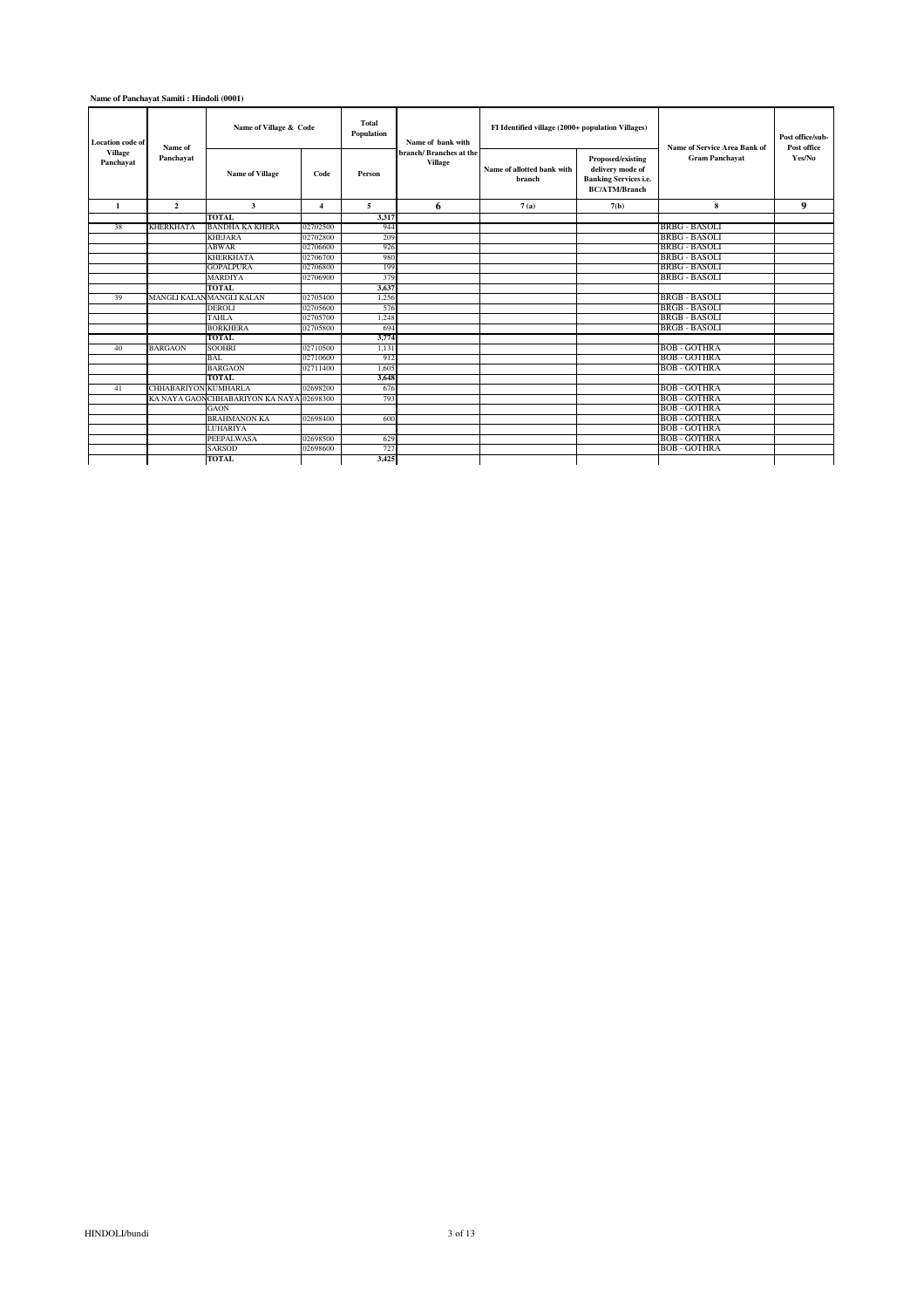### **Name of Panchayat Samiti : Hindoli (0001)**

| Location code of<br>Village | Name of                     | Name of Village & Code                   |                | <b>Total</b><br>Population | Name of bank with                        | FI Identified village (2000+ population Villages) |                                                                                               | <b>Name of Service Area Bank of</b> | Post office/sub-<br>Post office |
|-----------------------------|-----------------------------|------------------------------------------|----------------|----------------------------|------------------------------------------|---------------------------------------------------|-----------------------------------------------------------------------------------------------|-------------------------------------|---------------------------------|
| Panchayat                   | Panchayat                   | <b>Name of Village</b>                   | Code           | Person                     | branch/Branches at the<br><b>Village</b> | Name of allotted bank with<br>branch              | Proposed/existing<br>delivery mode of<br><b>Banking Services i.e.</b><br><b>BC/ATM/Branch</b> | <b>Gram Panchayat</b>               | Yes/No                          |
| $\mathbf{1}$                | $\overline{2}$              | 3                                        | $\overline{4}$ | 5                          | 6                                        | 7(a)                                              | 7(b)                                                                                          | 8                                   | 9                               |
|                             |                             | <b>TOTAL</b>                             |                | 3,317                      |                                          |                                                   |                                                                                               |                                     |                                 |
| 38                          | <b>KHERKHATA</b>            | <b>BANDHA KA KHERA</b>                   | 02702500       | 944                        |                                          |                                                   |                                                                                               | BRBG - BASOLI                       |                                 |
|                             |                             | <b>KHEJARA</b>                           | 02702800       | 209                        |                                          |                                                   |                                                                                               | BRBG - BASOLI                       |                                 |
|                             |                             | <b>ABWAR</b>                             | 02706600       | 926                        |                                          |                                                   |                                                                                               | <b>BRBG - BASOLI</b>                |                                 |
|                             |                             | <b>KHERKHATA</b>                         | 02706700       | 980                        |                                          |                                                   |                                                                                               | <b>BRBG - BASOLI</b>                |                                 |
|                             |                             | <b>GOPALPURA</b>                         | 02706800       | 199                        |                                          |                                                   |                                                                                               | <b>BRBG - BASOLI</b>                |                                 |
|                             |                             | MARDIYA                                  | 02706900       | 379                        |                                          |                                                   |                                                                                               | BRBG - BASOLI                       |                                 |
|                             |                             | <b>TOTAL</b>                             |                | 3.637                      |                                          |                                                   |                                                                                               |                                     |                                 |
| 39                          |                             | MANGLI KALANMANGLI KALAN                 | 02705400       | 1.256                      |                                          |                                                   |                                                                                               | BRGB - BASOLI                       |                                 |
|                             |                             | DEROLI                                   | 02705600       | 576                        |                                          |                                                   |                                                                                               | BRGB - BASOLI                       |                                 |
|                             |                             | <b>TAHLA</b>                             | 02705700       | 1,248                      |                                          |                                                   |                                                                                               | BRGB - BASOLI                       |                                 |
|                             |                             | <b>BORKHERA</b>                          | 02705800       | 694                        |                                          |                                                   |                                                                                               | <b>BRGB - BASOLI</b>                |                                 |
|                             |                             | <b>TOTAL</b>                             |                | 3,774                      |                                          |                                                   |                                                                                               |                                     |                                 |
| 40                          | <b>BARGAON</b>              | <b>SOOHRI</b>                            | 02710500       | 1.131                      |                                          |                                                   |                                                                                               | BOB - GOTHRA                        |                                 |
|                             |                             | <b>BAL</b>                               | 02710600       | 912                        |                                          |                                                   |                                                                                               | <b>BOB - GOTHRA</b>                 |                                 |
|                             |                             | <b>BARGAON</b>                           | 02711400       | 1.605                      |                                          |                                                   |                                                                                               | <b>BOB - GOTHRA</b>                 |                                 |
|                             |                             | TOTAL                                    |                | 3,648                      |                                          |                                                   |                                                                                               |                                     |                                 |
| 41                          | <b>CHHABARIYON KUMHARLA</b> |                                          | 02698200       | 676                        |                                          |                                                   |                                                                                               | <b>BOB - GOTHRA</b>                 |                                 |
|                             |                             | KA NAYA GAONCHHABARIYON KA NAYA 02698300 |                | 793                        |                                          |                                                   |                                                                                               | <b>BOB - GOTHRA</b>                 |                                 |
|                             |                             | <b>GAON</b>                              |                |                            |                                          |                                                   |                                                                                               | <b>BOB - GOTHRA</b>                 |                                 |
|                             |                             | <b>BRAHMANON KA</b>                      | 02698400       | 600                        |                                          |                                                   |                                                                                               | BOB - GOTHRA                        |                                 |
|                             |                             | <b>LUHARIYA</b>                          |                |                            |                                          |                                                   |                                                                                               | <b>BOB - GOTHRA</b>                 |                                 |
|                             |                             | PEEPALWASA                               | 02698500       | 629                        |                                          |                                                   |                                                                                               | <b>BOB - GOTHRA</b>                 |                                 |
|                             |                             | <b>SARSOD</b>                            | 02698600       | 727                        |                                          |                                                   |                                                                                               | BOB - GOTHRA                        |                                 |
|                             |                             | <b>TOTAL</b>                             |                | 3,425                      |                                          |                                                   |                                                                                               |                                     |                                 |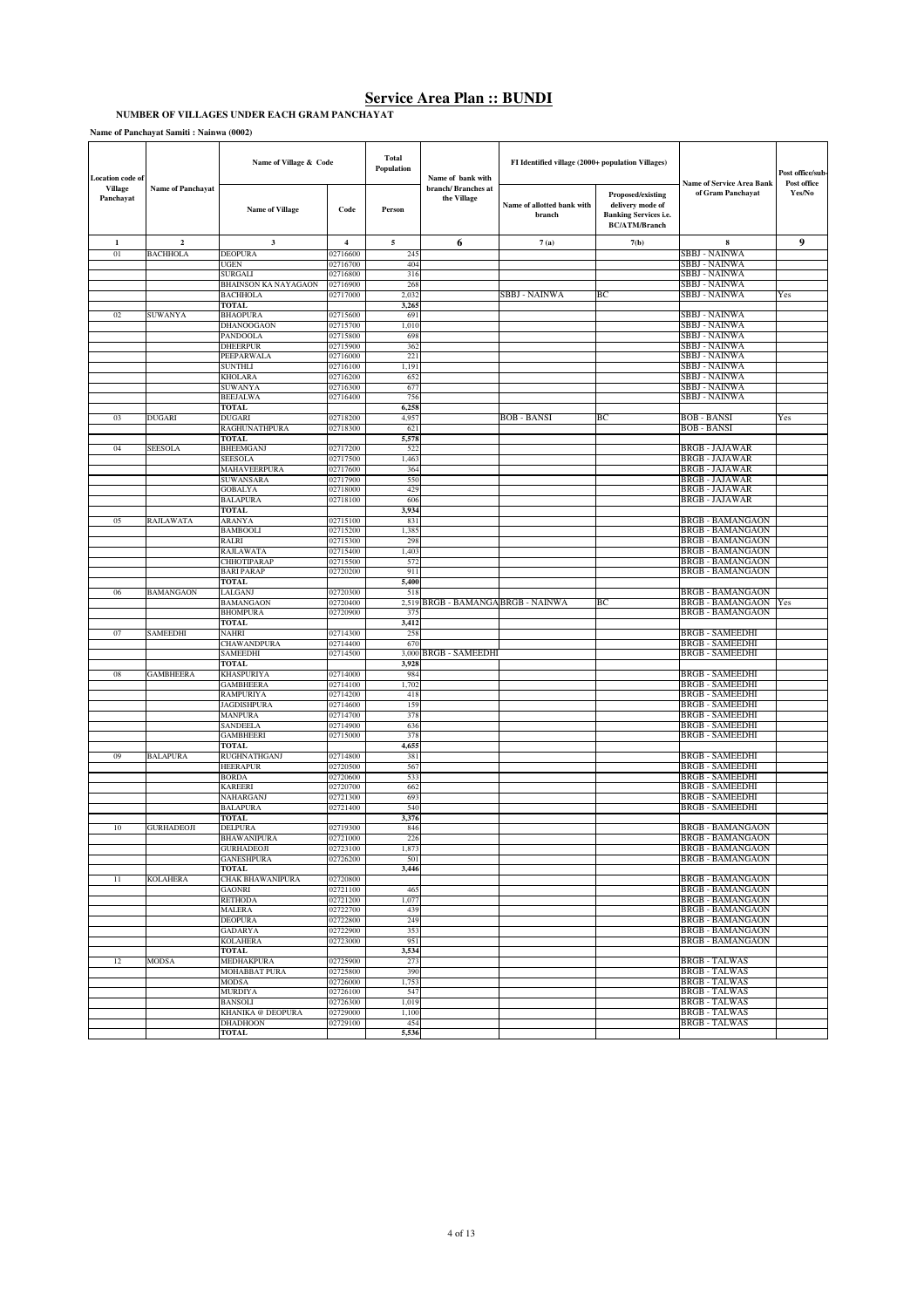#### **NUMBER OF VILLAGES UNDER EACH GRAM PANCHAYAT**

**Name of Panchayat Samiti : Nainwa (0002)**

| Location code of            |                          | Name of Village & Code              |                       | Total<br>Population | Name of bank with                  | FI Identified village (2000+ population Villages) |                                                                                               | <b>Name of Service Area Bank</b>                   | Post office/sub-<br>Post office |
|-----------------------------|--------------------------|-------------------------------------|-----------------------|---------------------|------------------------------------|---------------------------------------------------|-----------------------------------------------------------------------------------------------|----------------------------------------------------|---------------------------------|
| <b>Village</b><br>Panchayat | <b>Name of Panchayat</b> | <b>Name of Village</b>              | Code                  | Person              | branch/ Branches at<br>the Village | Name of allotted bank with<br>branch              | Proposed/existing<br>delivery mode of<br><b>Banking Services i.e.</b><br><b>BC/ATM/Branch</b> | of Gram Panchayat                                  | Yes/No                          |
| $\mathbf 1$                 | $\mathbf 2$              | $\overline{\mathbf{3}}$             | $\overline{4}$        | 5                   | 6                                  | 7(a)                                              | 7(b)                                                                                          | 8                                                  | 9                               |
| 01                          | <b>BACHHOLA</b>          | <b>DEOPURA</b>                      | 02716600              | 245                 |                                    |                                                   |                                                                                               | SBBJ - NAINWA                                      |                                 |
|                             |                          | UGEN                                | 02716700              | 404                 |                                    |                                                   |                                                                                               | SBBJ - NAINWA                                      |                                 |
|                             |                          | SURGALI<br>BHAINSON KA NAYAGAON     | 02716800<br>02716900  | 316<br>268          |                                    |                                                   |                                                                                               | SBBJ - NAINWA<br>SBBJ - NAINWA                     |                                 |
|                             |                          | BACHHOLA                            | 02717000              | 2,032               |                                    | SBBJ - NAINWA                                     | BС                                                                                            | <b>SBBJ - NAINWA</b>                               | Yes                             |
|                             |                          | <b>TOTAL</b>                        |                       | 3,265               |                                    |                                                   |                                                                                               |                                                    |                                 |
| 02                          | <b>SUWANYA</b>           | BHAOPURA                            | 02715600              | 691                 |                                    |                                                   |                                                                                               | <b>SBBJ - NAINWA</b>                               |                                 |
|                             |                          | DHANOOGAON                          | 02715700              | 1,010               |                                    |                                                   |                                                                                               | <b>SBBJ - NAINWA</b>                               |                                 |
|                             |                          | PANDOOLA<br>DHEERPUR                | 02715800<br>02715900  | 698<br>362          |                                    |                                                   |                                                                                               | <b>SBBJ - NAINWA</b><br>SBBJ - NAINWA              |                                 |
|                             |                          | PEEPARWALA                          | 02716000              | 221                 |                                    |                                                   |                                                                                               | <b>SBBJ - NAINWA</b>                               |                                 |
|                             |                          | SUNTHLI                             | 02716100              | 1,191               |                                    |                                                   |                                                                                               | <b>SBBJ - NAINWA</b>                               |                                 |
|                             |                          | KHOLARA                             | 02716200              | 652                 |                                    |                                                   |                                                                                               | SBBJ - NAINWA                                      |                                 |
|                             |                          | SUWANYA                             | 02716300              | 677                 |                                    |                                                   |                                                                                               | SBBJ - NAINWA                                      |                                 |
|                             |                          | BEEJALWA                            | 02716400              | 756                 |                                    |                                                   |                                                                                               | SBBJ - NAINWA                                      |                                 |
| 03                          | <b>DUGARI</b>            | <b>TOTAL</b><br>DUGARI              | 02718200              | 6,258<br>4,957      |                                    | <b>BOB - BANSI</b>                                | BС                                                                                            | <b>BOB - BANSI</b>                                 | Yes                             |
|                             |                          | RAGHUNATHPURA                       | 02718300              | 621                 |                                    |                                                   |                                                                                               | <b>BOB - BANSI</b>                                 |                                 |
|                             |                          | TOTAL                               |                       | 5,578               |                                    |                                                   |                                                                                               |                                                    |                                 |
| 04                          | SEESOLA                  | <b>BHEEMGANJ</b>                    | 02717200              | 522                 |                                    |                                                   |                                                                                               | <b>BRGB - JAJAWAR</b>                              |                                 |
|                             |                          | <b>SEESOLA</b>                      | 02717500              | 1,463               |                                    |                                                   |                                                                                               | <b>BRGB - JAJAWAR</b>                              |                                 |
|                             |                          | MAHAVEERPURA<br>SUWANSARA           | 02717600<br>02717900  | 364<br>550          |                                    |                                                   |                                                                                               | <b>BRGB - JAJAWAR</b><br><b>BRGB - JAJAWAR</b>     |                                 |
|                             |                          | GOBALYA                             | 02718000              | 429                 |                                    |                                                   |                                                                                               | <b>BRGB - JAJAWAR</b>                              |                                 |
|                             |                          | BALAPURA                            | 02718100              | 606                 |                                    |                                                   |                                                                                               | <b>BRGB - JAJAWAR</b>                              |                                 |
|                             |                          | <b>TOTAL</b>                        |                       | 3,934               |                                    |                                                   |                                                                                               |                                                    |                                 |
| 05                          | RAJLAWATA                | ARANYA                              | 02715100              | 831                 |                                    |                                                   |                                                                                               | <b>BRGB - BAMANGAON</b>                            |                                 |
|                             |                          | BAMBOOLI<br>RALRI                   | 02715200<br>02715300  | 1,385<br>298        |                                    |                                                   |                                                                                               | <b>BRGB - BAMANGAON</b><br><b>BRGB - BAMANGAON</b> |                                 |
|                             |                          | RAJLAWATA                           | 02715400              | 1,403               |                                    |                                                   |                                                                                               | <b>BRGB - BAMANGAON</b>                            |                                 |
|                             |                          | <b>CHHOTIPARAP</b>                  | 02715500              | 572                 |                                    |                                                   |                                                                                               | <b>BRGB - BAMANGAON</b>                            |                                 |
|                             |                          | BARI PARAP                          | 02720200              | 911                 |                                    |                                                   |                                                                                               | <b>BRGB - BAMANGAON</b>                            |                                 |
|                             |                          | <b>TOTAL</b>                        |                       | 5,400               |                                    |                                                   |                                                                                               |                                                    |                                 |
| 06                          | <b>BAMANGAON</b>         | LALGANJ<br>BAMANGAON                | 02720300<br>02720400  | 518<br>2,519        | BRGB - BAMANGA BRGB - NAINWA       |                                                   | BС                                                                                            | <b>BRGB - BAMANGAON</b><br><b>BRGB - BAMANGAON</b> | Yes                             |
|                             |                          | <b>BHOMPURA</b>                     | 02720900              | 375                 |                                    |                                                   |                                                                                               | <b>BRGB - BAMANGAON</b>                            |                                 |
|                             |                          | TOTAL                               |                       | 3,412               |                                    |                                                   |                                                                                               |                                                    |                                 |
| 07                          | SAMEEDHI                 | NAHRI                               | 02714300              | 258                 |                                    |                                                   |                                                                                               | <b>BRGB - SAMEEDHI</b>                             |                                 |
|                             |                          | CHAWANDPURA                         | 02714400              | 670<br>3,000        | <b>BRGB - SAMEEDHI</b>             |                                                   |                                                                                               | <b>BRGB - SAMEEDHI</b><br><b>BRGB - SAMEEDHI</b>   |                                 |
|                             |                          | SAMEEDHI<br><b>TOTAL</b>            | 02714500              | 3,928               |                                    |                                                   |                                                                                               |                                                    |                                 |
| 08                          | <b>GAMBHEERA</b>         | KHASPURIYA                          | 02714000              | 984                 |                                    |                                                   |                                                                                               | <b>BRGB - SAMEEDHI</b>                             |                                 |
|                             |                          | GAMBHEERA                           | 02714100              | 1,702               |                                    |                                                   |                                                                                               | <b>BRGB - SAMEEDHI</b>                             |                                 |
|                             |                          | RAMPURIYA                           | 02714200              | 418                 |                                    |                                                   |                                                                                               | <b>BRGB - SAMEEDHI</b>                             |                                 |
|                             |                          | JAGDISHPURA                         | 02714600              | 159<br>378          |                                    |                                                   |                                                                                               | <b>BRGB - SAMEEDHI</b>                             |                                 |
|                             |                          | <b>MANPURA</b><br>SANDEELA          | 02714700<br>02714900  | 636                 |                                    |                                                   |                                                                                               | <b>BRGB - SAMEEDHI</b><br><b>BRGB - SAMEEDHI</b>   |                                 |
|                             |                          | <b>GAMBHEERI</b>                    | 02715000              | 378                 |                                    |                                                   |                                                                                               | <b>BRGB - SAMEEDHI</b>                             |                                 |
|                             |                          | TOTAL                               |                       | 4,655               |                                    |                                                   |                                                                                               |                                                    |                                 |
| 09                          | <b>BALAPURA</b>          | RUGHNATHGANJ                        | 02714800              | 381                 |                                    |                                                   |                                                                                               | <b>BRGB - SAMEEDHI</b>                             |                                 |
|                             |                          | <b>HEERAPUR</b>                     | 02720500              | 567                 |                                    |                                                   |                                                                                               | <b>BRGB - SAMEEDHI</b><br><b>BRGB - SAMEEDHI</b>   |                                 |
|                             |                          | BORDA<br>KAREERI                    | 02720600<br>02720700  | 533<br>662          |                                    |                                                   |                                                                                               | <b>BRGB - SAMEEDHI</b>                             |                                 |
|                             |                          | NAHARGANJ                           | 02721300              | 693                 |                                    |                                                   |                                                                                               | <b>BRGB - SAMEEDHI</b>                             |                                 |
|                             |                          | BALAPURA                            | 02721400              | 540                 |                                    |                                                   |                                                                                               | <b>BRGB - SAMEEDHI</b>                             |                                 |
|                             |                          | <b>TOTAL</b>                        |                       | 3,376               |                                    |                                                   |                                                                                               | <b>BRGB - BAMANGAON</b>                            |                                 |
| 10                          | <b>GURHADEOJI</b>        | DELPURA<br>BHAWANIPURA              | 02719300<br>JZ 721000 | 846<br>226          |                                    |                                                   |                                                                                               | BRGB - BAMANGAON                                   |                                 |
|                             |                          | GURHADEOJI                          | 02723100              | 1,873               |                                    |                                                   |                                                                                               | <b>BRGB - BAMANGAON</b>                            |                                 |
|                             |                          | GANESHPURA                          | 02726200              | 501                 |                                    |                                                   |                                                                                               | <b>BRGB - BAMANGAON</b>                            |                                 |
|                             |                          | <b>TOTAL</b>                        |                       | 3,446               |                                    |                                                   |                                                                                               |                                                    |                                 |
| 11                          | <b>KOLAHERA</b>          | CHAK BHAWANIPURA<br>GAONRI          | 02720800<br>02721100  |                     |                                    |                                                   |                                                                                               | <b>BRGB - BAMANGAON</b><br><b>BRGB - BAMANGAON</b> |                                 |
|                             |                          | <b>RETHODA</b>                      | 02721200              | 465<br>1,077        |                                    |                                                   |                                                                                               | <b>BRGB - BAMANGAON</b>                            |                                 |
|                             |                          | MALERA                              | 02722700              | 439                 |                                    |                                                   |                                                                                               | <b>BRGB - BAMANGAON</b>                            |                                 |
|                             |                          | <b>DEOPURA</b>                      | 02722800              | 249                 |                                    |                                                   |                                                                                               | <b>BRGB - BAMANGAON</b>                            |                                 |
|                             |                          | GADARYA                             | 02722900              | 353                 |                                    |                                                   |                                                                                               | <b>BRGB - BAMANGAON</b>                            |                                 |
|                             |                          | <b>KOLAHERA</b><br><b>TOTAL</b>     | 02723000              | 951<br>3,534        |                                    |                                                   |                                                                                               | <b>BRGB - BAMANGAON</b>                            |                                 |
| 12                          | <b>MODSA</b>             | MEDHAKPURA                          | 02725900              | 273                 |                                    |                                                   |                                                                                               | <b>BRGB - TALWAS</b>                               |                                 |
|                             |                          | MOHABBAT PURA                       | 02725800              | 390                 |                                    |                                                   |                                                                                               | <b>BRGB - TALWAS</b>                               |                                 |
|                             |                          | MODSA                               | 02726000              | 1,753               |                                    |                                                   |                                                                                               | <b>BRGB - TALWAS</b>                               |                                 |
|                             |                          | <b>MURDIYA</b>                      | 02726100              | 547                 |                                    |                                                   |                                                                                               | <b>BRGB - TALWAS</b>                               |                                 |
|                             |                          | <b>BANSOLI</b><br>KHANIKA @ DEOPURA | 02726300<br>02729000  | 1,019<br>1,100      |                                    |                                                   |                                                                                               | <b>BRGB - TALWAS</b><br><b>BRGB - TALWAS</b>       |                                 |
|                             |                          | <b>DHADHOON</b>                     | 02729100              | 454                 |                                    |                                                   |                                                                                               | <b>BRGB - TALWAS</b>                               |                                 |
|                             |                          | <b>TOTAL</b>                        |                       | 5,536               |                                    |                                                   |                                                                                               |                                                    |                                 |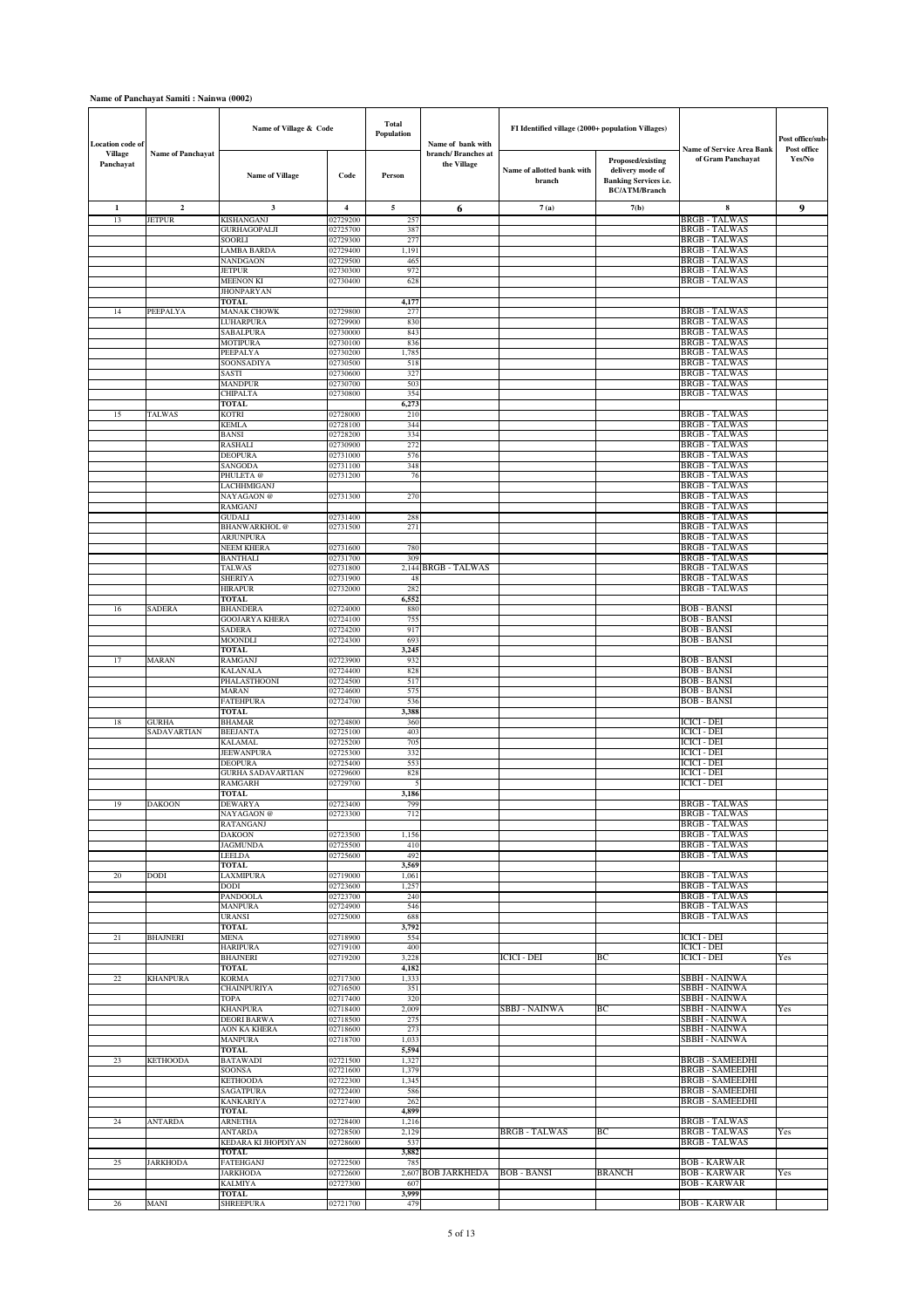#### **Name of Panchayat Samiti : Nainwa (0002)**

| <b>Location</b> code of |                          | Name of Village & Code                |                         | <b>Total</b><br>Population | Name of bank with                 | FI Identified village (2000+ population Villages) |                                                                                               |                                                       | Post office/sub-      |
|-------------------------|--------------------------|---------------------------------------|-------------------------|----------------------------|-----------------------------------|---------------------------------------------------|-----------------------------------------------------------------------------------------------|-------------------------------------------------------|-----------------------|
| Village<br>Panchayat    | <b>Name of Panchayat</b> | <b>Name of Village</b>                | Code                    | Person                     | branch/Branches at<br>the Village | Name of allotted bank with<br>branch              | Proposed/existing<br>delivery mode of<br><b>Banking Services i.e.</b><br><b>BC/ATM/Branch</b> | <b>Name of Service Area Bank</b><br>of Gram Panchayat | Post office<br>Yes/No |
| $\mathbf{1}$            | $\overline{\mathbf{c}}$  | 3                                     | $\overline{\mathbf{4}}$ | 5                          | 6                                 | 7(a)                                              | 7(b)                                                                                          | 8                                                     | 9                     |
| 13                      | JETPUR                   | KISHANGANJ                            | 02729200                | 257                        |                                   |                                                   |                                                                                               | <b>BRGB - TALWAS</b>                                  |                       |
|                         |                          | GURHAGOPALJI<br>SOORLI                | 02725700<br>02729300    | 387<br>277                 |                                   |                                                   |                                                                                               | <b>BRGB - TALWAS</b><br><b>BRGB - TALWAS</b>          |                       |
|                         |                          | LAMBA BARDA                           | 02729400                | 1,191                      |                                   |                                                   |                                                                                               | <b>BRGB - TALWAS</b>                                  |                       |
|                         |                          | NANDGAON                              | 02729500                | 465                        |                                   |                                                   |                                                                                               | <b>BRGB - TALWAS</b>                                  |                       |
|                         |                          | JETPUR                                | 02730300                | 972                        |                                   |                                                   |                                                                                               | <b>BRGB - TALWAS</b>                                  |                       |
|                         |                          | <b>MEENON KI</b><br><b>JHONPARYAN</b> | 02730400                | 628                        |                                   |                                                   |                                                                                               | <b>BRGB - TALWAS</b>                                  |                       |
|                         |                          | TOTAL                                 |                         | 4,177                      |                                   |                                                   |                                                                                               |                                                       |                       |
| 14                      | PEEPALYA                 | <b>MANAK CHOWK</b>                    | 02729800                | 277                        |                                   |                                                   |                                                                                               | <b>BRGB - TALWAS</b>                                  |                       |
|                         |                          | LUHARPURA<br>SABALPURA                | 02729900<br>02730000    | 830<br>843                 |                                   |                                                   |                                                                                               | <b>BRGB - TALWAS</b><br><b>BRGB - TALWAS</b>          |                       |
|                         |                          | MOTIPURA                              | 02730100                | 836                        |                                   |                                                   |                                                                                               | <b>BRGB - TALWAS</b>                                  |                       |
|                         |                          | PEEPALYA                              | 02730200                | 1,785                      |                                   |                                                   |                                                                                               | <b>BRGB - TALWAS</b>                                  |                       |
|                         |                          | SOONSADIYA<br>SASTI                   | 02730500<br>02730600    | 518<br>327                 |                                   |                                                   |                                                                                               | <b>BRGB - TALWAS</b><br><b>BRGB - TALWAS</b>          |                       |
|                         |                          | <b>MANDPUR</b>                        | 02730700                | 503                        |                                   |                                                   |                                                                                               | <b>BRGB - TALWAS</b>                                  |                       |
|                         |                          | CHIPALTA                              | 02730800                | 354                        |                                   |                                                   |                                                                                               | <b>BRGB - TALWAS</b>                                  |                       |
|                         |                          | TOTAL                                 |                         | 6,273                      |                                   |                                                   |                                                                                               | <b>BRGB - TALWAS</b>                                  |                       |
| 15                      | TALWAS                   | KOTRI<br><b>KEMLA</b>                 | 02728000<br>02728100    | 210<br>344                 |                                   |                                                   |                                                                                               | <b>BRGB - TALWAS</b>                                  |                       |
|                         |                          | <b>BANSI</b>                          | 02728200                | 334                        |                                   |                                                   |                                                                                               | <b>BRGB - TALWAS</b>                                  |                       |
|                         |                          | RASHALI                               | 02730900                | 272                        |                                   |                                                   |                                                                                               | <b>BRGB - TALWAS</b>                                  |                       |
|                         |                          | DEOPURA<br>SANGODA                    | 02731000<br>02731100    | 576<br>348                 |                                   |                                                   |                                                                                               | <b>BRGB - TALWAS</b><br><b>BRGB - TALWAS</b>          |                       |
|                         |                          | PHULETA @                             | 02731200                | 76                         |                                   |                                                   |                                                                                               | <b>BRGB - TALWAS</b>                                  |                       |
|                         |                          | LACHHMIGANJ                           |                         |                            |                                   |                                                   |                                                                                               | <b>BRGB - TALWAS</b>                                  |                       |
|                         |                          | NAYAGAON <sup>@</sup><br>RAMGANJ      | 02731300                | 270                        |                                   |                                                   |                                                                                               | <b>BRGB - TALWAS</b><br><b>BRGB - TALWAS</b>          |                       |
|                         |                          | GUDALI                                | 02731400                | 288                        |                                   |                                                   |                                                                                               | <b>BRGB - TALWAS</b>                                  |                       |
|                         |                          | <b>BHANWARKHOL@</b>                   | 02731500                | 271                        |                                   |                                                   |                                                                                               | <b>BRGB - TALWAS</b>                                  |                       |
|                         |                          | <b>ARJUNPURA</b><br>NEEM KHERA        | 02731600                | 780                        |                                   |                                                   |                                                                                               | <b>BRGB - TALWAS</b><br><b>BRGB - TALWAS</b>          |                       |
|                         |                          | BANTHALI                              | 02731700                | 309                        |                                   |                                                   |                                                                                               | <b>BRGB - TALWAS</b>                                  |                       |
|                         |                          | <b>TALWAS</b>                         | 02731800                |                            | 2,144 BRGB - TALWAS               |                                                   |                                                                                               | <b>BRGB - TALWAS</b>                                  |                       |
|                         |                          | <b>SHERIYA</b><br><b>HIRAPUR</b>      | 02731900<br>02732000    | 48<br>282                  |                                   |                                                   |                                                                                               | <b>BRGB - TALWAS</b><br><b>BRGB - TALWAS</b>          |                       |
|                         |                          | <b>TOTAL</b>                          |                         | 6,552                      |                                   |                                                   |                                                                                               |                                                       |                       |
| 16                      | SADERA                   | <b>BHANDERA</b>                       | 02724000                | 880                        |                                   |                                                   |                                                                                               | <b>BOB - BANSI</b>                                    |                       |
|                         |                          | GOOJARYA KHERA<br><b>SADERA</b>       | 02724100<br>02724200    | 755<br>917                 |                                   |                                                   |                                                                                               | <b>BOB - BANSI</b><br><b>BOB - BANSI</b>              |                       |
|                         |                          | MOONDLI                               | 02724300                | 693                        |                                   |                                                   |                                                                                               | <b>BOB - BANSI</b>                                    |                       |
|                         |                          | <b>TOTAL</b>                          |                         | 3,245                      |                                   |                                                   |                                                                                               |                                                       |                       |
| 17                      | MARAN                    | RAMGANJ                               | 02723900                | 932                        |                                   |                                                   |                                                                                               | <b>BOB - BANSI</b><br><b>BOB - BANSI</b>              |                       |
|                         |                          | KALANALA<br>PHALASTHOONI              | 02724400<br>02724500    | 828<br>517                 |                                   |                                                   |                                                                                               | <b>BOB - BANSI</b>                                    |                       |
|                         |                          | MARAN                                 | 02724600                | 575                        |                                   |                                                   |                                                                                               | <b>BOB - BANSI</b>                                    |                       |
|                         |                          | FATEHPURA                             | 02724700                | 536                        |                                   |                                                   |                                                                                               | <b>BOB - BANSI</b>                                    |                       |
| 18                      | <b>GURHA</b>             | TOTAL<br><b>BHAMAR</b>                | 02724800                | 3,388<br>360               |                                   |                                                   |                                                                                               | ICICI - DEI                                           |                       |
|                         | SADAVARTIAN              | <b>BEEJANTA</b>                       | 02725100                | 403                        |                                   |                                                   |                                                                                               | <b>ICICI - DEI</b>                                    |                       |
|                         |                          | <b>KALAMAL</b>                        | 02725200                | 705                        |                                   |                                                   |                                                                                               | <b>ICICI - DEI</b>                                    |                       |
|                         |                          | JEEWANPURA<br>DEOPURA                 | 02725300<br>02725400    | 332<br>553                 |                                   |                                                   |                                                                                               | <b>ICICI - DEI</b><br><b>ICICI - DEI</b>              |                       |
|                         |                          | <b>GURHA SADAVARTIAN</b>              | 02729600                | 828                        |                                   |                                                   |                                                                                               | <b>ICICI</b> - DEI                                    |                       |
|                         |                          | <b>RAMGARH</b>                        | 02729700                | 5                          |                                   |                                                   |                                                                                               | <b>ICICI - DEI</b>                                    |                       |
| 19                      | <b>DAKOON</b>            | TOTAL<br>DEWARY.                      | 02723400                | 3,186                      |                                   |                                                   |                                                                                               | <b>BRGB - TALWAS</b>                                  |                       |
|                         |                          | NAYAGAON @                            | 02723300                | 712                        |                                   |                                                   |                                                                                               | <b>BRGB - TALWAS</b>                                  |                       |
|                         |                          | RATANGANJ                             |                         |                            |                                   |                                                   |                                                                                               | <b>BRGB - TALWAS</b>                                  |                       |
|                         |                          | <b>DAKOON</b><br><b>JAGMUNDA</b>      | 02723500<br>02725500    | 1,156<br>410               |                                   |                                                   |                                                                                               | <b>BRGB - TALWAS</b><br><b>BRGB - TALWAS</b>          |                       |
|                         |                          | LEELDA                                | 02725600                | 492                        |                                   |                                                   |                                                                                               | <b>BRGB - TALWAS</b>                                  |                       |
|                         |                          | TOTAL                                 |                         | 3,569                      |                                   |                                                   |                                                                                               |                                                       |                       |
| 20                      | DODI                     | LAXMIPURA<br>DODI                     | 02719000<br>02723600    | 1,061<br>1,257             |                                   |                                                   |                                                                                               | <b>BRGB - TALWAS</b><br><b>BRGB - TALWAS</b>          |                       |
|                         |                          | PANDOOLA                              | 02723700                | 240                        |                                   |                                                   |                                                                                               | <b>BRGB - TALWAS</b>                                  |                       |
|                         |                          | MANPURA                               | 02724900                | 546                        |                                   |                                                   |                                                                                               | <b>BRGB - TALWAS</b>                                  |                       |
|                         |                          | URANSI<br><b>TOTAL</b>                | 02725000                | 688<br>3,792               |                                   |                                                   |                                                                                               | <b>BRGB - TALWAS</b>                                  |                       |
| 21                      | <b>BHAJNERI</b>          | MENA                                  | 02718900                | 554                        |                                   |                                                   |                                                                                               | <b>ICICI - DEI</b>                                    |                       |
|                         |                          | <b>HARIPURA</b>                       | 02719100                | 400                        |                                   |                                                   |                                                                                               | <b>ICICI</b> - DEI                                    |                       |
|                         |                          | <b>BHAJNERI</b><br>TOTAL              | 02719200                | 3,228<br>4,182             |                                   | ICICI - DEI                                       | BC                                                                                            | <b>ICICI - DEI</b>                                    | Yes                   |
| 22                      | <b>KHANPURA</b>          | KORMA                                 | 02717300                | 1,333                      |                                   |                                                   |                                                                                               | <b>SBBH - NAINWA</b>                                  |                       |
|                         |                          | CHAINPURIYA                           | 02716500                | 351                        |                                   |                                                   |                                                                                               | SBBH - NAINWA                                         |                       |
|                         |                          | TOPA<br><b>KHANPURA</b>               | 02717400<br>02718400    | 320<br>2,009               |                                   | SBBJ - NAINWA                                     | ВC                                                                                            | <b>SBBH - NAINWA</b><br><b>SBBH - NAINWA</b>          | Yes                   |
|                         |                          | <b>DEORI BARWA</b>                    | 02718500                | 275                        |                                   |                                                   |                                                                                               | <b>SBBH - NAINWA</b>                                  |                       |
|                         |                          | AON KA KHERA                          | 02718600                | 273                        |                                   |                                                   |                                                                                               | SBBH - NAINWA                                         |                       |
|                         |                          | <b>MANPURA</b><br><b>TOTAL</b>        | 02718700                | 1,033<br>5,594             |                                   |                                                   |                                                                                               | <b>SBBH - NAINWA</b>                                  |                       |
| 23                      | <b>KETHOODA</b>          | <b>BATAWADI</b>                       | 02721500                | 1,327                      |                                   |                                                   |                                                                                               | <b>BRGB - SAMEEDHI</b>                                |                       |
|                         |                          | SOONSA                                | 02721600                | 1,379                      |                                   |                                                   |                                                                                               | <b>BRGB - SAMEEDHI</b>                                |                       |
|                         |                          | <b>KETHOODA</b>                       | 02722300                | 1,345<br>586               |                                   |                                                   |                                                                                               | <b>BRGB - SAMEEDHI</b><br><b>BRGB - SAMEEDHI</b>      |                       |
|                         |                          | <b>SAGATPURA</b><br><b>KANKARIYA</b>  | 02722400<br>02727400    | 262                        |                                   |                                                   |                                                                                               | <b>BRGB - SAMEEDHI</b>                                |                       |
|                         |                          | <b>TOTAL</b>                          |                         | 4,899                      |                                   |                                                   |                                                                                               |                                                       |                       |
| 24                      | <b>ANTARDA</b>           | ARNETHA                               | 02728400                | 1,216                      |                                   |                                                   |                                                                                               | <b>BRGB - TALWAS</b>                                  |                       |
|                         |                          | <b>ANTARDA</b><br>KEDARA KI JHOPDIYAN | 02728500<br>02728600    | 2,129<br>537               |                                   | <b>BRGB - TALWAS</b>                              | BС                                                                                            | <b>BRGB - TALWAS</b><br><b>BRGB - TALWAS</b>          | Yes                   |
|                         |                          | <b>TOTAL</b>                          |                         | 3,882                      |                                   |                                                   |                                                                                               |                                                       |                       |
| 25                      | <b>JARKHODA</b>          | <b>FATEHGANJ</b><br>JARKHODA          | 02722500<br>02722600    | 785                        | 2,607 BOB JARKHEDA                | <b>BOB - BANSI</b>                                | BRANCH                                                                                        | <b>BOB - KARWAR</b><br><b>BOB - KARWAR</b>            | Yes                   |
|                         |                          | KALMIYA                               | 02727300                | 607                        |                                   |                                                   |                                                                                               | <b>BOB - KARWAR</b>                                   |                       |
|                         |                          | <b>TOTAL</b>                          |                         | 3,999                      |                                   |                                                   |                                                                                               |                                                       |                       |
| 26                      | MANI                     | <b>SHREEPURA</b>                      | 02721700                | 479                        |                                   |                                                   |                                                                                               | <b>BOB - KARWAR</b>                                   |                       |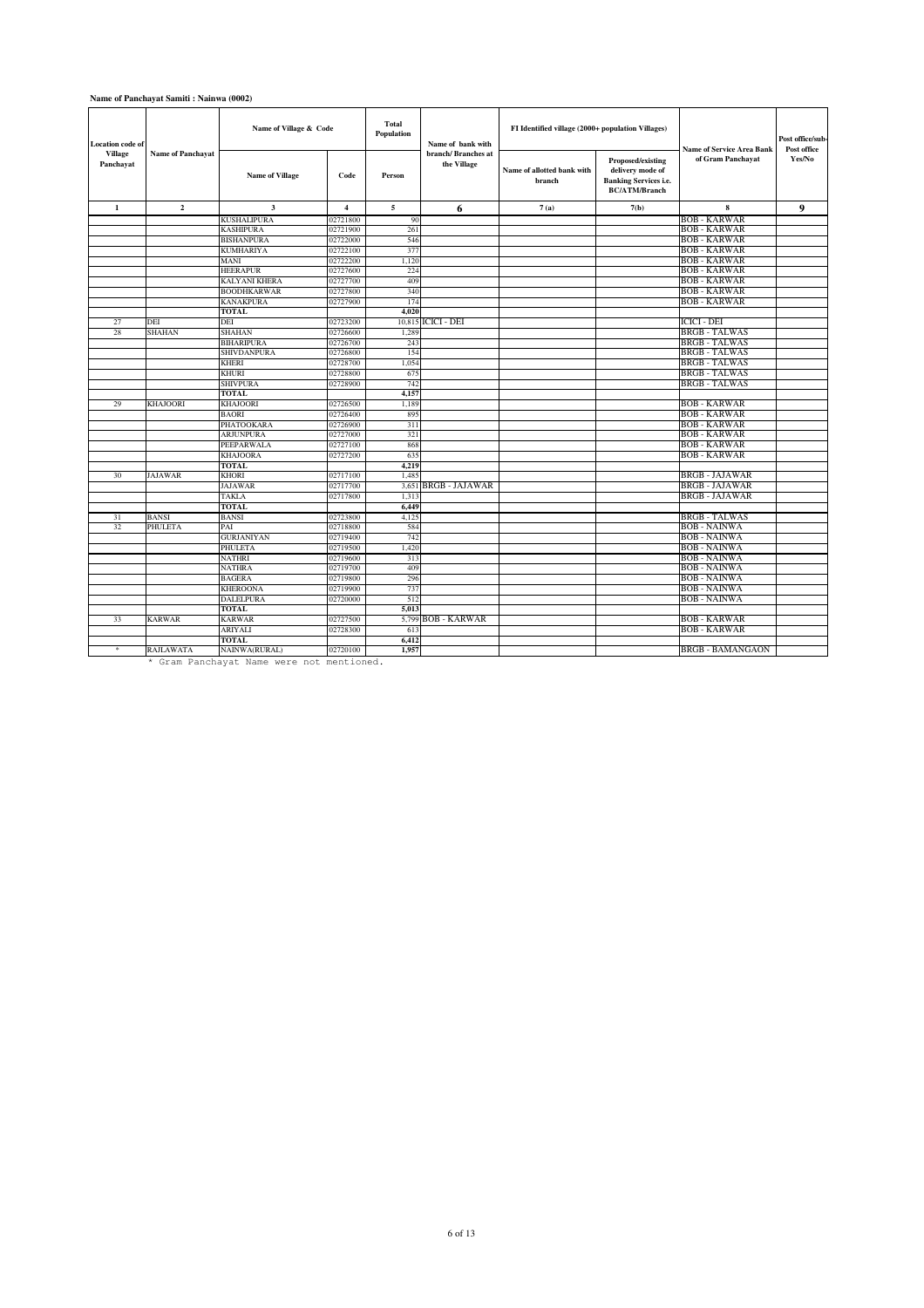#### **Name of Panchayat Samiti : Nainwa (0002)**

| <b>Location</b> code of<br>Village<br>Panchayat | <b>Name of Panchayat</b> | Name of Village & Code<br><b>Name of Village</b> | Code                 | <b>Total</b><br>Population<br>Person | Name of bank with<br>branch/ Branches at<br>the Village | FI Identified village (2000+ population Villages)<br>Name of allotted bank with<br>branch | Proposed/existing<br>delivery mode of<br><b>Banking Services i.e.</b> | <b>Name of Service Area Bank</b><br>of Gram Panchayat | Post office/sub-<br>Post office<br>Yes/No |
|-------------------------------------------------|--------------------------|--------------------------------------------------|----------------------|--------------------------------------|---------------------------------------------------------|-------------------------------------------------------------------------------------------|-----------------------------------------------------------------------|-------------------------------------------------------|-------------------------------------------|
|                                                 |                          |                                                  |                      |                                      |                                                         |                                                                                           | <b>BC/ATM/Branch</b>                                                  |                                                       |                                           |
| $\mathbf{1}$                                    | $\overline{2}$           | $\overline{\mathbf{3}}$                          | $\overline{4}$       | 5                                    | 6                                                       | 7(a)                                                                                      | 7(b)                                                                  | 8                                                     | 9                                         |
|                                                 |                          | <b>KUSHALIPURA</b>                               | 02721800             | 90                                   |                                                         |                                                                                           |                                                                       | <b>BOB - KARWAR</b>                                   |                                           |
|                                                 |                          | <b>KASHIPURA</b>                                 | 02721900             | 261                                  |                                                         |                                                                                           |                                                                       | <b>BOB - KARWAR</b>                                   |                                           |
|                                                 |                          | <b>BISHANPURA</b>                                | 02722000             | 546                                  |                                                         |                                                                                           |                                                                       | <b>BOB - KARWAR</b>                                   |                                           |
|                                                 |                          | <b>KUMHARIYA</b>                                 | 02722100             | 377                                  |                                                         |                                                                                           |                                                                       | <b>BOB - KARWAR</b>                                   |                                           |
|                                                 |                          | MANI                                             | 02722200             | 1,120                                |                                                         |                                                                                           |                                                                       | <b>BOB - KARWAR</b>                                   |                                           |
|                                                 |                          | <b>HEERAPUR</b>                                  | 02727600             | 224                                  |                                                         |                                                                                           |                                                                       | <b>BOB - KARWAR</b>                                   |                                           |
|                                                 |                          | <b>KALYANI KHERA</b>                             | 02727700             | 409                                  |                                                         |                                                                                           |                                                                       | <b>BOB - KARWAR</b>                                   |                                           |
|                                                 |                          | <b>BOODHKARWAR</b>                               | 02727800             | 340                                  |                                                         |                                                                                           |                                                                       | <b>BOB - KARWAR</b>                                   |                                           |
|                                                 |                          | <b>KANAKPURA</b>                                 | 02727900             | 174                                  |                                                         |                                                                                           |                                                                       | <b>BOB - KARWAR</b>                                   |                                           |
|                                                 |                          | <b>TOTAL</b>                                     |                      | 4.020                                |                                                         |                                                                                           |                                                                       |                                                       |                                           |
| 27                                              | DEI                      | DEI                                              | 02723200             | 10,815                               | ICICI - DEI                                             |                                                                                           |                                                                       | ICICI - DEI                                           |                                           |
| 28                                              | <b>SHAHAN</b>            | <b>SHAHAN</b>                                    | 02726600             | 1,289                                |                                                         |                                                                                           |                                                                       | <b>BRGB - TALWAS</b>                                  |                                           |
|                                                 |                          | <b>BIHARIPURA</b>                                | 02726700             | 243                                  |                                                         |                                                                                           |                                                                       | <b>BRGB - TALWAS</b>                                  |                                           |
|                                                 |                          | SHIVDANPURA                                      | 02726800             | 154                                  |                                                         |                                                                                           |                                                                       | <b>BRGB - TALWAS</b>                                  |                                           |
|                                                 |                          | <b>KHERI</b>                                     | 02728700             | 1,054                                |                                                         |                                                                                           |                                                                       | <b>BRGB - TALWAS</b>                                  |                                           |
|                                                 |                          | <b>KHURI</b>                                     | 02728800             | 675                                  |                                                         |                                                                                           |                                                                       | <b>BRGB - TALWAS</b>                                  |                                           |
|                                                 |                          | <b>SHIVPURA</b>                                  | 02728900             | 742                                  |                                                         |                                                                                           |                                                                       | <b>BRGB - TALWAS</b>                                  |                                           |
|                                                 |                          | <b>TOTAL</b>                                     |                      | 4.157                                |                                                         |                                                                                           |                                                                       |                                                       |                                           |
| 29                                              | KHAJOORI                 | <b>KHAJOORI</b><br><b>BAORI</b>                  | 02726500             | 1,189                                |                                                         |                                                                                           |                                                                       | <b>BOB - KARWAR</b>                                   |                                           |
|                                                 |                          |                                                  | 02726400             | 895                                  |                                                         |                                                                                           |                                                                       | <b>BOB - KARWAR</b><br><b>BOB - KARWAR</b>            |                                           |
|                                                 |                          | PHATOOKARA                                       | 02726900             | 311                                  |                                                         |                                                                                           |                                                                       |                                                       |                                           |
|                                                 |                          | <b>ARJUNPURA</b>                                 | 02727000<br>02727100 | 321<br>868                           |                                                         |                                                                                           |                                                                       | <b>BOB - KARWAR</b>                                   |                                           |
|                                                 |                          | PEEPARWALA                                       |                      |                                      |                                                         |                                                                                           |                                                                       | <b>BOB - KARWAR</b>                                   |                                           |
|                                                 |                          | <b>KHAJOORA</b><br><b>TOTAL</b>                  | 02727200             | 635<br>4.219                         |                                                         |                                                                                           |                                                                       | <b>BOB - KARWAR</b>                                   |                                           |
| 30                                              | <b>JAJAWAR</b>           | <b>KHORI</b>                                     | 02717100             | 1,485                                |                                                         |                                                                                           |                                                                       | <b>BRGB - JAJAWAR</b>                                 |                                           |
|                                                 |                          | <b>JAJAWAR</b>                                   | 02717700             | 3.651                                | <b>BRGB - JAJAWAR</b>                                   |                                                                                           |                                                                       | <b>BRGB - JAJAWAR</b>                                 |                                           |
|                                                 |                          | TAKLA                                            | 02717800             | 1,313                                |                                                         |                                                                                           |                                                                       | <b>BRGB - JAJAWAR</b>                                 |                                           |
|                                                 |                          | <b>TOTAL</b>                                     |                      | 6,449                                |                                                         |                                                                                           |                                                                       |                                                       |                                           |
| 31                                              | <b>BANSI</b>             | <b>BANSI</b>                                     | 02723800             | 4,125                                |                                                         |                                                                                           |                                                                       | <b>BRGB - TALWAS</b>                                  |                                           |
| 32                                              | PHULETA                  | PAI                                              | 02718800             | 584                                  |                                                         |                                                                                           |                                                                       | <b>BOB - NAINWA</b>                                   |                                           |
|                                                 |                          | <b>GURJANIYAN</b>                                | 02719400             | 742                                  |                                                         |                                                                                           |                                                                       | <b>BOB - NAINWA</b>                                   |                                           |
|                                                 |                          | <b>PHULETA</b>                                   | 02719500             | 1,420                                |                                                         |                                                                                           |                                                                       | <b>BOB - NAINWA</b>                                   |                                           |
|                                                 |                          | <b>NATHRI</b>                                    | 02719600             | 313                                  |                                                         |                                                                                           |                                                                       | <b>BOB - NAINWA</b>                                   |                                           |
|                                                 |                          | <b>NATHRA</b>                                    | 02719700             | 409                                  |                                                         |                                                                                           |                                                                       | <b>BOB - NAINWA</b>                                   |                                           |
|                                                 |                          | <b>BAGERA</b>                                    | 02719800             | 296                                  |                                                         |                                                                                           |                                                                       | <b>BOB - NAINWA</b>                                   |                                           |
|                                                 |                          | <b>KHEROONA</b>                                  | 02719900             | 737                                  |                                                         |                                                                                           |                                                                       | <b>BOB - NAINWA</b>                                   |                                           |
|                                                 |                          | <b>DALELPURA</b>                                 | 02720000             | 512                                  |                                                         |                                                                                           |                                                                       | <b>BOB - NAINWA</b>                                   |                                           |
|                                                 |                          | <b>TOTAL</b>                                     |                      | 5.013                                |                                                         |                                                                                           |                                                                       |                                                       |                                           |
| 33                                              | <b>KARWAR</b>            | <b>KARWAR</b>                                    | 02727500             | 5,799                                | <b>BOB - KARWAR</b>                                     |                                                                                           |                                                                       | <b>BOB - KARWAR</b>                                   |                                           |
|                                                 |                          | <b>ARIYALI</b>                                   | 02728300             | 613                                  |                                                         |                                                                                           |                                                                       | <b>BOB - KARWAR</b>                                   |                                           |
|                                                 |                          | <b>TOTAL</b>                                     |                      | 6,412                                |                                                         |                                                                                           |                                                                       |                                                       |                                           |
|                                                 | RAJLAWATA                | NAINWA(RURAL)                                    | 02720100             | 1,957                                |                                                         |                                                                                           |                                                                       | <b>BRGB - BAMANGAON</b>                               |                                           |
|                                                 |                          | * Gram Panchavat Name were not mentioned         |                      |                                      |                                                         |                                                                                           |                                                                       |                                                       |                                           |

Gram Panchayat Name were not mentioned.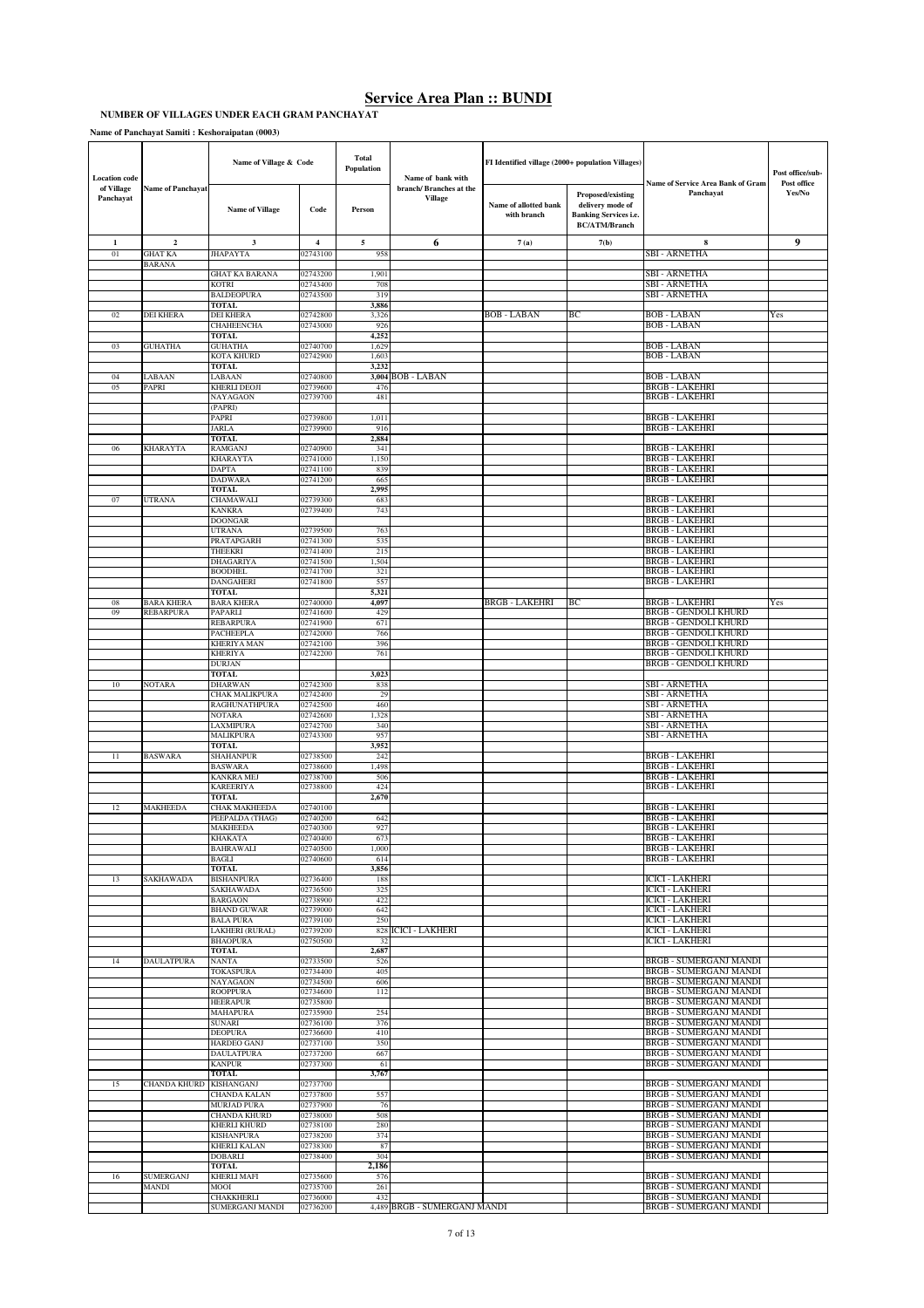**NUMBER OF VILLAGES UNDER EACH GRAM PANCHAYAT**

**Name of Panchayat Samiti : Keshoraipatan (0003)**

| <b>Location</b> code    |                           | Name of Village & Code                  |                         | <b>Total</b><br>Population | Name of bank with                 | FI Identified village (2000+ population Villages) |                                                                                               |                                                                | Post office/sub-      |
|-------------------------|---------------------------|-----------------------------------------|-------------------------|----------------------------|-----------------------------------|---------------------------------------------------|-----------------------------------------------------------------------------------------------|----------------------------------------------------------------|-----------------------|
| of Village<br>Panchayat | <b>Name of Panchayat</b>  | <b>Name of Village</b>                  | Code                    | Person                     | branch/Branches at the<br>Village | Name of allotted bank<br>with branch              | Proposed/existing<br>delivery mode of<br><b>Banking Services i.e.</b><br><b>BC/ATM/Branch</b> | Name of Service Area Bank of Gram<br>Panchayat                 | Post office<br>Yes/No |
| 1                       | $\mathbf{2}$              | 3                                       | $\overline{\mathbf{4}}$ | 5                          | 6                                 | 7(a)                                              | 7(b)                                                                                          | 8                                                              | 9                     |
| 01                      | GHAT KA<br>BARANA         | <b>JHAPAYTA</b>                         | 02743100                | 958                        |                                   |                                                   |                                                                                               | <b>SBI - ARNETHA</b>                                           |                       |
|                         |                           | <b>GHAT KA BARANA</b>                   | 02743200                | 1,901                      |                                   |                                                   |                                                                                               | SBI - ARNETHA                                                  |                       |
|                         |                           | KOTRI                                   | 02743400                | 708                        |                                   |                                                   |                                                                                               | SBI - ARNETHA                                                  |                       |
|                         |                           | <b>BALDEOPURA</b><br><b>TOTAL</b>       | 02743500                | 319<br>3,886               |                                   |                                                   |                                                                                               | SBI - ARNETHA                                                  |                       |
| 02                      | DEI KHERA                 | <b>DEI KHERA</b>                        | 02742800                | 3,326                      |                                   | <b>BOB-LABAN</b>                                  | ВC                                                                                            | <b>BOB-LABAN</b>                                               | Yes                   |
|                         |                           | CHAHEENCHA<br><b>TOTAL</b>              | 02743000                | 926<br>4,252               |                                   |                                                   |                                                                                               | <b>BOB-LABAN</b>                                               |                       |
| 03                      | <b>GUHATHA</b>            | <b>GUHATHA</b>                          | 02740700                | 1,629                      |                                   |                                                   |                                                                                               | <b>BOB - LABAN</b>                                             |                       |
|                         |                           | KOTA KHURD<br>TOTAL                     | 02742900                | 1,603<br>3,232             |                                   |                                                   |                                                                                               | <b>BOB - LABAN</b>                                             |                       |
| 04                      | LABAAN                    | ABAAN                                   | 02740800                | 3,004                      | <b>BOB-LABAN</b>                  |                                                   |                                                                                               | <b>BOB - LABAN</b>                                             |                       |
| 05                      | PAPRI                     | KHERLI DEOJI                            | 02739600                | 476                        |                                   |                                                   |                                                                                               | <b>BRGB - LAKEHR</b>                                           |                       |
|                         |                           | NAYAGAON<br>(PAPRI)                     | 02739700                | 481                        |                                   |                                                   |                                                                                               | <b>BRGB - LAKEHRI</b>                                          |                       |
|                         |                           | PAPRI                                   | 02739800                | 1,011                      |                                   |                                                   |                                                                                               | <b>BRGB - LAKEHRI</b>                                          |                       |
|                         |                           | <b>ARLA</b><br>TOTAL                    | 02739900                | 916<br>2,884               |                                   |                                                   |                                                                                               | <b>BRGB - LAKEHRI</b>                                          |                       |
| 06                      | KHARAYTA                  | RAMGANJ                                 | 02740900                | 341                        |                                   |                                                   |                                                                                               | <b>BRGB - LAKEHRI</b>                                          |                       |
|                         |                           | KHARAYTA<br>DAPTA                       | 02741000<br>02741100    | 1,150<br>839               |                                   |                                                   |                                                                                               | <b>BRGB - LAKEHRI</b><br><b>BRGB - LAKEHRI</b>                 |                       |
|                         |                           | DADWARA                                 | 02741200                | 665                        |                                   |                                                   |                                                                                               | <b>BRGB - LAKEHRI</b>                                          |                       |
|                         |                           | TOTAL                                   |                         | 2,995                      |                                   |                                                   |                                                                                               |                                                                |                       |
| 07                      | <b>UTRANA</b>             | CHAMAWALI<br>KANKRA                     | 02739300<br>02739400    | 683<br>743                 |                                   |                                                   |                                                                                               | <b>BRGB - LAKEHRI</b><br><b>BRGB - LAKEHRI</b>                 |                       |
|                         |                           | <b>DOONGAR</b>                          |                         |                            |                                   |                                                   |                                                                                               | <b>BRGB - LAKEHRI</b>                                          |                       |
|                         |                           | UTRANA<br>PRATAPGARH                    | 02739500<br>02741300    | 763<br>535                 |                                   |                                                   |                                                                                               | <b>BRGB - LAKEHRI</b><br><b>BRGB - LAKEHRI</b>                 |                       |
|                         |                           | <b>THEEKRI</b>                          | 02741400                | 215                        |                                   |                                                   |                                                                                               | <b>BRGB - LAKEHRI</b>                                          |                       |
|                         |                           | <b>DHAGARIYA</b>                        | 02741500                | 1,504                      |                                   |                                                   |                                                                                               | <b>BRGB - LAKEHRI</b><br><b>BRGB - LAKEHRI</b>                 |                       |
|                         |                           | <b>BOODHEL</b><br>DANGAHERI             | 02741700<br>02741800    | 321<br>557                 |                                   |                                                   |                                                                                               | <b>BRGB - LAKEHRI</b>                                          |                       |
|                         |                           | TOTAL                                   |                         | 5,321                      |                                   |                                                   |                                                                                               |                                                                |                       |
| 08<br>09                | BARA KHERA<br>REBARPURA   | <b>BARA KHERA</b><br>PAPARLI            | 02740000<br>02741600    | 4,097<br>429               |                                   | <b>BRGB - LAKEHRI</b>                             | BC                                                                                            | <b>BRGB - LAKEHRI</b><br><b>BRGB - GENDOLI KHURD</b>           | Yes                   |
|                         |                           | REBARPURA                               | 02741900                | 671                        |                                   |                                                   |                                                                                               | <b>BRGB - GENDOLI KHURD</b>                                    |                       |
|                         |                           | <b>PACHEEPLA</b><br><b>KHERIYA MAN</b>  | 02742000<br>02742100    | 766<br>396                 |                                   |                                                   |                                                                                               | <b>BRGB - GENDOLI KHURD</b><br><b>BRGB - GENDOLI KHURD</b>     |                       |
|                         |                           | <b>KHERIYA</b>                          | 02742200                | 761                        |                                   |                                                   |                                                                                               | <b>BRGB - GENDOLI KHURD</b>                                    |                       |
|                         |                           | <b>DURJAN</b><br><b>TOTAL</b>           |                         | 3,023                      |                                   |                                                   |                                                                                               | <b>BRGB - GENDOLI KHURD</b>                                    |                       |
| 10                      | NOTARA                    | DHARWAN                                 | 02742300                | 838                        |                                   |                                                   |                                                                                               | <b>SBI - ARNETHA</b>                                           |                       |
|                         |                           | CHAK MALIKPURA                          | 02742400                | 29                         |                                   |                                                   |                                                                                               | <b>SBI - ARNETHA</b>                                           |                       |
|                         |                           | RAGHUNATHPURA<br>NOTARA                 | 02742500<br>02742600    | 460<br>1,328               |                                   |                                                   |                                                                                               | SBI - ARNETHA<br>SBI - ARNETHA                                 |                       |
|                         |                           | LAXMIPURA                               | 02742700                | 340                        |                                   |                                                   |                                                                                               | SBI - ARNETHA                                                  |                       |
|                         |                           | MALIKPURA<br>TOTAL                      | 02743300                | 957<br>3,952               |                                   |                                                   |                                                                                               | SBI - ARNETHA                                                  |                       |
| 11                      | BASWARA                   | SHAHANPUR                               | 02738500                | 242                        |                                   |                                                   |                                                                                               | <b>BRGB - LAKEHRI</b>                                          |                       |
|                         |                           | <b>BASWARA</b><br>KANKRA MEJ            | 02738600<br>02738700    | 1,498<br>506               |                                   |                                                   |                                                                                               | <b>BRGB - LAKEHRI</b><br><b>BRGB - LAKEHRI</b>                 |                       |
|                         |                           | KAREERIYA                               | 02738800                | 424                        |                                   |                                                   |                                                                                               | <b>BRGB - LAKEHRI</b>                                          |                       |
|                         |                           | TOTAL                                   |                         | 2,670                      |                                   |                                                   |                                                                                               | <b>BRGB - LAKEHRI</b>                                          |                       |
| 12                      | MAKHEEDA                  | CHAK MAKHEEDA<br>PEEPALDA (THAG)        | 02740100<br>02740200    | 642                        |                                   |                                                   |                                                                                               | <b>BRGB - LAKEHRI</b>                                          |                       |
|                         |                           | MAKHEEDA                                | 02740300                | 927                        |                                   |                                                   |                                                                                               | <b>BRGB - LAKEHRI</b>                                          |                       |
|                         |                           | KHAKATA<br>BAHRAWALI                    | 02740400<br>02740500    | 673<br>1,000               |                                   |                                                   |                                                                                               | <b>BRGB - LAKEHRI</b><br><b>BRGB - LAKEHRI</b>                 |                       |
|                         |                           | BAGLI                                   | 02740600                | 614                        |                                   |                                                   |                                                                                               | <b>BRGB - LAKEHRI</b>                                          |                       |
| 13                      | SAKHAWADA                 | <b>TOTAL</b><br><b>BISHANPURA</b>       | 02736400                | 3,856<br>188               |                                   |                                                   |                                                                                               | <b>ICICI - LAKHERI</b>                                         |                       |
|                         |                           | SAKHAWADA                               | 02736500                | 325                        |                                   |                                                   |                                                                                               | <b>ICICI - LAKHERI</b>                                         |                       |
|                         |                           | BARGAON                                 | 02738900                | 422                        |                                   |                                                   |                                                                                               | <b>ICICI - LAKHERI</b>                                         |                       |
|                         |                           | <b>BHAND GUWAR</b><br><b>BALA PURA</b>  | 02739000<br>02739100    | 642<br>250                 |                                   |                                                   |                                                                                               | <b>ICICI - LAKHERI</b><br><b>ICICI - LAKHERI</b>               |                       |
|                         |                           | LAKHERI (RURAL)                         | 02739200                |                            | 828 ICICI - LAKHERI               |                                                   |                                                                                               | <b>ICICI - LAKHERI</b>                                         |                       |
|                         |                           | <b>BHAOPURA</b><br>TOTAL                | 02750500                | 32<br>2,687                |                                   |                                                   |                                                                                               | <b>ICICI - LAKHERI</b>                                         |                       |
| 14                      | <b>DAULATPURA</b>         | <b>NANTA</b>                            | 02733500                | 526                        |                                   |                                                   |                                                                                               | <b>BRGB - SUMERGANJ MANDI</b>                                  |                       |
|                         |                           | <b>TOKASPURA</b><br>NAYAGAON            | 02734400<br>02734500    | 405<br>606                 |                                   |                                                   |                                                                                               | <b>BRGB - SUMERGANJ MANDI</b><br><b>BRGB - SUMERGANJ MANDI</b> |                       |
|                         |                           | ROOPPURA                                | 02734600                | 112                        |                                   |                                                   |                                                                                               | <b>BRGB - SUMERGANJ MANDI</b>                                  |                       |
|                         |                           | HEERAPUR                                | 02735800                |                            |                                   |                                                   |                                                                                               | <b>BRGB - SUMERGANJ MANDI</b>                                  |                       |
|                         |                           | MAHAPURA<br>SUNARI                      | 02735900<br>02736100    | 254<br>376                 |                                   |                                                   |                                                                                               | <b>BRGB - SUMERGANJ MANDI</b><br><b>BRGB - SUMERGANJ MANDI</b> |                       |
|                         |                           | DEOPURA                                 | 02736600                | 410                        |                                   |                                                   |                                                                                               | <b>BRGB - SUMERGANJ MANDI</b>                                  |                       |
|                         |                           | <b>HARDEO GANJ</b><br><b>DAULATPURA</b> | 02737100<br>02737200    | 350<br>667                 |                                   |                                                   |                                                                                               | <b>BRGB - SUMERGANJ MANDI</b><br>BRGB - SUMERGANJ MANDI        |                       |
|                         |                           | <b>KANPUR</b>                           | 02737300                | 61                         |                                   |                                                   |                                                                                               | <b>BRGB - SUMERGANJ MANDI</b>                                  |                       |
| 15                      | CHANDA KHURD              | <b>TOTAL</b><br>KISHANGANJ              | 02737700                | 3,767                      |                                   |                                                   |                                                                                               | <b>BRGB - SUMERGANJ MANDI</b>                                  |                       |
|                         |                           | CHANDA KALAN                            | 02737800                | 557                        |                                   |                                                   |                                                                                               | <b>BRGB - SUMERGANJ MANDI</b>                                  |                       |
|                         |                           | <b>MURJAD PURA</b><br>CHANDA KHURD      | 02737900<br>02738000    | 76<br>508                  |                                   |                                                   |                                                                                               | <b>BRGB - SUMERGANJ MANDI</b><br><b>BRGB - SUMERGANJ MANDI</b> |                       |
|                         |                           | KHERLI KHURD                            | 02738100                | 280                        |                                   |                                                   |                                                                                               | <b>BRGB - SUMERGANJ MANDI</b>                                  |                       |
|                         |                           | KISHANPURA                              | 02738200                | 374                        |                                   |                                                   |                                                                                               | <b>BRGB - SUMERGANJ MANDI</b>                                  |                       |
|                         |                           | KHERLI KALAN<br><b>DOBARLI</b>          | 02738300<br>02738400    | 87<br>304                  |                                   |                                                   |                                                                                               | <b>BRGB - SUMERGANJ MANDI</b><br>BRGB - SUMERGANJ MANDI        |                       |
|                         |                           | <b>TOTAL</b>                            |                         | 2,186                      |                                   |                                                   |                                                                                               |                                                                |                       |
| 16                      | <b>SUMERGANJ</b><br>MANDI | <b>KHERLI MAFI</b><br>IOOM              | 02735600<br>02735700    | 576<br>261                 |                                   |                                                   |                                                                                               | BRGB - SUMERGANJ MANDI<br><b>BRGB - SUMERGANJ MANDI</b>        |                       |
|                         |                           | CHAKKHERLI                              | 02736000                | 432                        |                                   |                                                   |                                                                                               | <b>BRGB - SUMERGANJ MANDI</b>                                  |                       |
|                         |                           | SUMERGANJ MANDI                         | 02736200                |                            | 4,489 BRGB - SUMERGANJ MANDI      |                                                   |                                                                                               | BRGB - SUMERGANJ MANDI                                         |                       |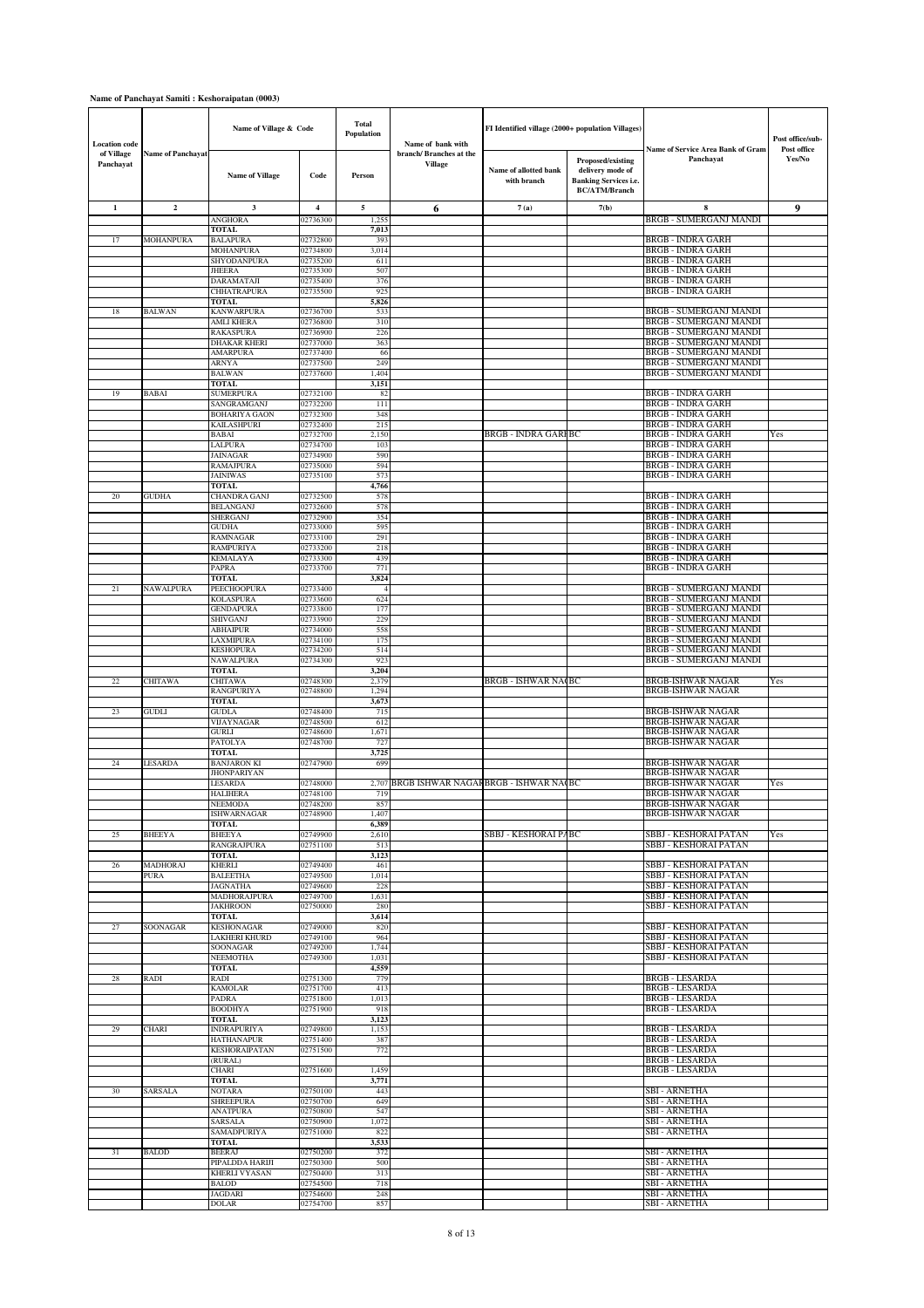### **Name of Panchayat Samiti : Keshoraipatan (0003)**

| <b>Location</b> code    |                          | Name of Village & Code                  |                      | Total<br>Population | Name of bank with                     | FI Identified village (2000+ population Villages) |                                                                                               |                                                                | Post office/sub-      |
|-------------------------|--------------------------|-----------------------------------------|----------------------|---------------------|---------------------------------------|---------------------------------------------------|-----------------------------------------------------------------------------------------------|----------------------------------------------------------------|-----------------------|
| of Village<br>Panchayat | <b>Name of Panchayat</b> | <b>Name of Village</b>                  | Code                 | Person              | branch/Branches at the<br>Village     | Name of allotted bank<br>with branch              | Proposed/existing<br>delivery mode of<br><b>Banking Services i.e.</b><br><b>BC/ATM/Branch</b> | Name of Service Area Bank of Gram<br>Panchayat                 | Post office<br>Yes/No |
| $\mathbf{1}$            | $\overline{\mathbf{c}}$  | 3                                       | 4                    | 5                   | 6                                     | 7(a)                                              | 7(b)                                                                                          | 8                                                              | 9                     |
|                         |                          | <b>ANGHORA</b><br><b>TOTAL</b>          | 02736300             | 1,255<br>7,013      |                                       |                                                   |                                                                                               | BRGB - SUMERGANJ MANDI                                         |                       |
| 17                      | <b>MOHANPURA</b>         | <b>BALAPURA</b>                         | 02732800             | 393                 |                                       |                                                   |                                                                                               | <b>BRGB - INDRA GARH</b>                                       |                       |
|                         |                          | MOHANPURA                               | 02734800             | 3,014               |                                       |                                                   |                                                                                               | <b>BRGB - INDRA GARH</b>                                       |                       |
|                         |                          | SHYODANPURA<br><b>JHEERA</b>            | 02735200<br>02735300 | 611<br>507          |                                       |                                                   |                                                                                               | <b>BRGB - INDRA GARH</b><br><b>BRGB - INDRA GARH</b>           |                       |
|                         |                          | <b>DARAMATAJI</b>                       | 02735400             | 376                 |                                       |                                                   |                                                                                               | <b>BRGB - INDRA GARH</b>                                       |                       |
|                         |                          | <b>CHHATRAPURA</b><br><b>TOTAL</b>      | 02735500             | 925<br>5,826        |                                       |                                                   |                                                                                               | <b>BRGB - INDRA GARH</b>                                       |                       |
| 18                      | <b>BALWAN</b>            | <b>KANWARPURA</b>                       | 02736700             | 533                 |                                       |                                                   |                                                                                               | <b>BRGB - SUMERGANJ MANDI</b>                                  |                       |
|                         |                          | <b>AMLI KHERA</b>                       | 02736800             | 310                 |                                       |                                                   |                                                                                               | <b>BRGB - SUMERGANJ MANDI</b>                                  |                       |
|                         |                          | <b>RAKASPURA</b><br><b>DHAKAR KHERI</b> | 02736900<br>02737000 | 226<br>363          |                                       |                                                   |                                                                                               | <b>BRGB - SUMERGANJ MANDI</b><br><b>BRGB - SUMERGANJ MANDI</b> |                       |
|                         |                          | AMARPURA                                | 02737400             | 66                  |                                       |                                                   |                                                                                               | BRGB - SUMERGANJ MANDI                                         |                       |
|                         |                          | ARNYA<br><b>BALWAN</b>                  | 02737500<br>02737600 | 249<br>1,404        |                                       |                                                   |                                                                                               | BRGB - SUMERGANJ MANDI<br><b>BRGB - SUMERGANJ MANDI</b>        |                       |
|                         |                          | <b>TOTAL</b>                            |                      | 3,151               |                                       |                                                   |                                                                                               |                                                                |                       |
| 19                      | <b>BABAI</b>             | <b>SUMERPURA</b>                        | 02732100             | 82                  |                                       |                                                   |                                                                                               | <b>BRGB - INDRA GARH</b>                                       |                       |
|                         |                          | SANGRAMGANJ<br><b>BOHARIYA GAON</b>     | 02732200<br>02732300 | 111<br>348          |                                       |                                                   |                                                                                               | <b>BRGB - INDRA GARH</b><br><b>BRGB - INDRA GARH</b>           |                       |
|                         |                          | KAILASHPURI                             | 02732400             | 215                 |                                       |                                                   |                                                                                               | <b>BRGB - INDRA GARH</b>                                       |                       |
|                         |                          | <b>BABAI</b><br>LALPURA                 | 02732700<br>02734700 | 2,150<br>103        |                                       | BRGB - INDRA GARI BC                              |                                                                                               | <b>BRGB - INDRA GARH</b><br><b>BRGB - INDRA GARH</b>           | Yes                   |
|                         |                          | JAINAGAR                                | 02734900             | 590                 |                                       |                                                   |                                                                                               | <b>BRGB - INDRA GARH</b>                                       |                       |
|                         |                          | RAMAJPURA                               | 02735000             | 594<br>573          |                                       |                                                   |                                                                                               | <b>BRGB - INDRA GARH</b><br><b>BRGB - INDRA GARH</b>           |                       |
|                         |                          | <b>JAINIWAS</b><br><b>TOTAL</b>         | 02735100             | 4,766               |                                       |                                                   |                                                                                               |                                                                |                       |
| 20                      | <b>GUDHA</b>             | <b>CHANDRA GANJ</b>                     | 02732500             | 578                 |                                       |                                                   |                                                                                               | <b>BRGB - INDRA GARH</b>                                       |                       |
|                         |                          | <b>BELANGANJ</b><br><b>SHERGANJ</b>     | 02732600<br>02732900 | 578<br>354          |                                       |                                                   |                                                                                               | <b>BRGB - INDRA GARH</b><br><b>BRGB - INDRA GARH</b>           |                       |
|                         |                          | <b>GUDHA</b>                            | 02733000             | 595                 |                                       |                                                   |                                                                                               | <b>BRGB - INDRA GARH</b>                                       |                       |
|                         |                          | <b>RAMNAGAR</b><br><b>RAMPURIYA</b>     | 02733100<br>02733200 | 291<br>218          |                                       |                                                   |                                                                                               | <b>BRGB - INDRA GARH</b><br><b>BRGB - INDRA GARH</b>           |                       |
|                         |                          | <b>KEMALAYA</b>                         | 02733300             | 439                 |                                       |                                                   |                                                                                               | <b>BRGB - INDRA GARH</b>                                       |                       |
|                         |                          | PAPRA                                   | 02733700             | 771                 |                                       |                                                   |                                                                                               | <b>BRGB - INDRA GARH</b>                                       |                       |
| 21                      | NAWALPURA                | <b>TOTAL</b><br>PEECHOOPURA             | 02733400             | 3,824               |                                       |                                                   |                                                                                               | <b>BRGB - SUMERGANJ MANDI</b>                                  |                       |
|                         |                          | <b>KOLASPURA</b>                        | 02733600             | 624                 |                                       |                                                   |                                                                                               | BRGB - SUMERGANJ MANDI                                         |                       |
|                         |                          | GENDAPURA<br>SHIVGANJ                   | 02733800<br>02733900 | 177<br>229          |                                       |                                                   |                                                                                               | <b>BRGB - SUMERGANJ MANDI</b><br>BRGB - SUMERGANJ MANDI        |                       |
|                         |                          | ABHAIPUR                                | 02734000             | 558                 |                                       |                                                   |                                                                                               | BRGB - SUMERGANJ MANDI                                         |                       |
|                         |                          | LAXMIPURA<br><b>KESHOPURA</b>           | 02734100<br>02734200 | 175<br>514          |                                       |                                                   |                                                                                               | <b>BRGB - SUMERGANJ MANDI</b><br>BRGB - SUMERGANJ MANDI        |                       |
|                         |                          | <b>NAWALPURA</b>                        | 02734300             | 923                 |                                       |                                                   |                                                                                               | <b>BRGB - SUMERGANJ MANDI</b>                                  |                       |
|                         |                          | <b>TOTAL</b>                            |                      | 3,204               |                                       |                                                   |                                                                                               |                                                                |                       |
| 22                      | <b>CHITAWA</b>           | <b>CHITAWA</b><br><b>RANGPURIYA</b>     | 02748300<br>02748800 | 2,379<br>1,294      |                                       | <b>BRGB - ISHWAR NA(BC</b>                        |                                                                                               | <b>BRGB-ISHWAR NAGAR</b><br><b>BRGB-ISHWAR NAGAR</b>           | Yes                   |
|                         |                          | TOTAL                                   |                      | 3,673               |                                       |                                                   |                                                                                               |                                                                |                       |
| 23                      | GUDLI                    | GUDLA<br>VIJAYNAGAR                     | 02748400<br>02748500 | 715<br>612          |                                       |                                                   |                                                                                               | <b>BRGB-ISHWAR NAGAR</b><br><b>BRGB-ISHWAR NAGAR</b>           |                       |
|                         |                          | GURLI                                   | 02748600             | 1,671               |                                       |                                                   |                                                                                               | <b>BRGB-ISHWAR NAGAR</b>                                       |                       |
|                         |                          | <b>PATOLYA</b>                          | 02748700             | 727                 |                                       |                                                   |                                                                                               | <b>BRGB-ISHWAR NAGAR</b>                                       |                       |
| 24                      | <b>LESARDA</b>           | <b>TOTAL</b><br><b>BANJARON KI</b>      | 02747900             | 3,725<br>699        |                                       |                                                   |                                                                                               | <b>BRGB-ISHWAR NAGAR</b>                                       |                       |
|                         |                          | <b>JHONPARIYAN</b>                      |                      |                     |                                       |                                                   |                                                                                               | <b>BRGB-ISHWAR NAGAR</b>                                       |                       |
|                         |                          | <b>LESARDA</b><br><b>HALIHERA</b>       | 02748000<br>02748100 | 2,707<br>719        | BRGB ISHWAR NAGAF BRGB - ISHWAR NACBC |                                                   |                                                                                               | BRGB-ISHWAR NAGAR<br><b>BRGB-ISHWAR NAGAR</b>                  | Yes                   |
|                         |                          | NEEMODA                                 | 02748200             | 857                 |                                       |                                                   |                                                                                               | <b>BRGB-ISHWAR NAGAR</b>                                       |                       |
|                         |                          | ISHWARNAGAR<br>TOTAL                    | 02748900             | 1,407<br>6,389      |                                       |                                                   |                                                                                               | BRGB-ISHWAR NAGAR                                              |                       |
| 25                      | <b>BHEEYA</b>            | <b>BHEEYA</b>                           | 02749900             | 2,610               |                                       | SBBJ - KESHORAI PABC                              |                                                                                               | SBBJ - KESHORAI PATAN                                          | Yes                   |
|                         |                          | <b>RANGRAJPURA</b>                      | 02751100             | 513                 |                                       |                                                   |                                                                                               | SBBJ - KESHORAI PATAN                                          |                       |
| 26                      | MADHORAJ                 | TOTAL<br><b>KHERLI</b>                  | 02749400             | 3,123<br>461        |                                       |                                                   |                                                                                               | SBBJ - KESHORAI PATAN                                          |                       |
|                         | PURA                     | <b>BALEETHA</b>                         | 02749500             | 1,014               |                                       |                                                   |                                                                                               | SBBJ - KESHORAI PATAN                                          |                       |
|                         |                          | <b>JAGNATHA</b><br>MADHORAJPURA         | 02749600<br>02749700 | 228<br>1,631        |                                       |                                                   |                                                                                               | SBBJ - KESHORAI PATAN<br>SBBJ - KESHORAI PATAN                 |                       |
|                         |                          | <b>JAKHROON</b>                         | 02750000             | 280                 |                                       |                                                   |                                                                                               | SBBJ - KESHORAI PATAN                                          |                       |
|                         | SOONAGAR                 | TOTAL<br><b>KESHONAGAR</b>              | 02749000             | 3,614<br>820        |                                       |                                                   |                                                                                               | SBBJ - KESHORAI PATAN                                          |                       |
| 27                      |                          | <b>LAKHERI KHURD</b>                    | 02749100             | 964                 |                                       |                                                   |                                                                                               | SBBJ - KESHORAI PATAN                                          |                       |
|                         |                          | SOONAGAR<br><b>NEEMOTHA</b>             | 02749200             | 1,744               |                                       |                                                   |                                                                                               | SBBJ - KESHORAI PATAN                                          |                       |
|                         |                          | TOTAL                                   | 02749300             | 1,031<br>4,559      |                                       |                                                   |                                                                                               | SBBJ - KESHORAI PATAN                                          |                       |
| 28                      | RADI                     | RADI                                    | 02751300             | 779                 |                                       |                                                   |                                                                                               | <b>BRGB - LESARDA</b>                                          |                       |
|                         |                          | <b>KAMOLAR</b><br>PADRA                 | 02751700<br>02751800 | 413<br>1,013        |                                       |                                                   |                                                                                               | <b>BRGB - LESARDA</b><br><b>BRGB - LESARDA</b>                 |                       |
|                         |                          | <b>BOODHYA</b>                          | 02751900             | 918                 |                                       |                                                   |                                                                                               | <b>BRGB - LESARDA</b>                                          |                       |
| 29                      | <b>CHARI</b>             | TOTAL<br><b>INDRAPURIYA</b>             | 02749800             | 3,123               |                                       |                                                   |                                                                                               | <b>BRGB - LESARDA</b>                                          |                       |
|                         |                          | <b>HATHANAPUR</b>                       | 02751400             | 1,153<br>387        |                                       |                                                   |                                                                                               | <b>BRGB - LESARDA</b>                                          |                       |
|                         |                          | KESHORAIPATAN                           | 02751500             | 772                 |                                       |                                                   |                                                                                               | <b>BRGB - LESARDA</b>                                          |                       |
|                         |                          | (RURAL)<br>CHARI                        | 02751600             | 1,459               |                                       |                                                   |                                                                                               | <b>BRGB - LESARDA</b><br><b>BRGB - LESARDA</b>                 |                       |
|                         |                          | TOTAL                                   |                      | 3,771               |                                       |                                                   |                                                                                               |                                                                |                       |
| 30                      | SARSALA                  | <b>NOTARA</b><br><b>SHREEPURA</b>       | 02750100<br>02750700 | 443<br>649          |                                       |                                                   |                                                                                               | <b>SBI - ARNETHA</b><br><b>SBI - ARNETHA</b>                   |                       |
|                         |                          | <b>ANATPURA</b>                         | 02750800             | 547                 |                                       |                                                   |                                                                                               | <b>SBI - ARNETHA</b>                                           |                       |
|                         |                          | SARSALA                                 | 02750900             | 1,072               |                                       |                                                   |                                                                                               | SBI - ARNETHA                                                  |                       |
|                         |                          | SAMADPURIYA<br>TOTAL                    | 02751000             | 822<br>3,533        |                                       |                                                   |                                                                                               | <b>SBI - ARNETHA</b>                                           |                       |
| 31                      | <b>BALOD</b>             | <b>BEERAJ</b>                           | 02750200             | 372                 |                                       |                                                   |                                                                                               | <b>SBI - ARNETHA</b>                                           |                       |
|                         |                          | PIPALDDA HARIJI<br><b>KHERLI VYASAN</b> | 02750300<br>02750400 | 500<br>313          |                                       |                                                   |                                                                                               | SBI - ARNETHA<br>SBI - ARNETHA                                 |                       |
|                         |                          | <b>BALOD</b>                            | 02754500             | 718                 |                                       |                                                   |                                                                                               | <b>SBI - ARNETHA</b>                                           |                       |
|                         |                          | <b>JAGDARI</b><br><b>DOLAR</b>          | 02754600<br>02754700 | 248<br>857          |                                       |                                                   |                                                                                               | <b>SBI - ARNETHA</b><br><b>SBI - ARNETHA</b>                   |                       |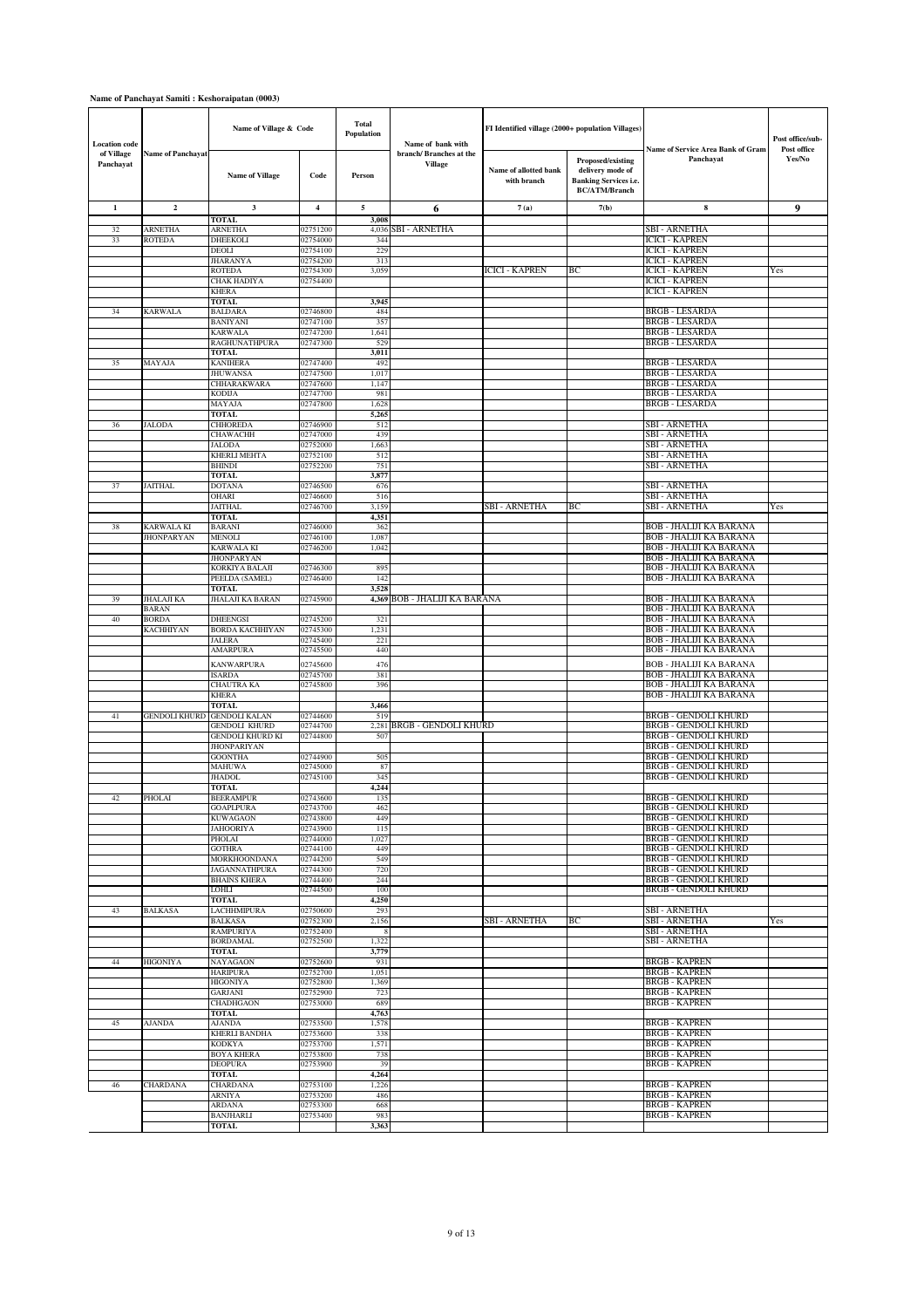### **Name of Panchayat Samiti : Keshoraipatan (0003)**

| <b>Location</b> code    |                          | Name of Village & Code                        |                      | <b>Total</b><br>Population | Name of bank with                        | FI Identified village (2000+ population Villages) |                                                                                               |                                                            | Post office/sub-      |
|-------------------------|--------------------------|-----------------------------------------------|----------------------|----------------------------|------------------------------------------|---------------------------------------------------|-----------------------------------------------------------------------------------------------|------------------------------------------------------------|-----------------------|
| of Village<br>Panchayat | <b>Name of Panchayat</b> | <b>Name of Village</b>                        | Code                 | Person                     | branch/Branches at the<br><b>Village</b> | Name of allotted bank<br>with branch              | Proposed/existing<br>delivery mode of<br><b>Banking Services i.e.</b><br><b>BC/ATM/Branch</b> | Name of Service Area Bank of Gram<br>Panchayat             | Post office<br>Yes/No |
| 1                       | $\mathbf{2}$             | $\mathbf{3}$                                  | $\overline{4}$       | 5                          | 6                                        | 7(a)                                              | 7(b)                                                                                          | 8                                                          | 9                     |
|                         |                          | <b>TOTAL</b>                                  |                      | 3,008                      |                                          |                                                   |                                                                                               |                                                            |                       |
| 32                      | <b>ARNETHA</b>           | <b>ARNETHA</b>                                | 02751200             | 4,036                      | <b>SBI - ARNETHA</b>                     |                                                   |                                                                                               | SBI - ARNETHA                                              |                       |
| 33                      | <b>ROTEDA</b>            | <b>DHEEKOLI</b><br><b>DEOLI</b>               | 02754000<br>02754100 | 34 <sub>6</sub><br>229     |                                          |                                                   |                                                                                               | ICICI - KAPREN<br><b>ICICI - KAPREN</b>                    |                       |
|                         |                          | <b>JHARANYA</b>                               | 02754200             | 313                        |                                          |                                                   |                                                                                               | ICICI - KAPREN                                             |                       |
|                         |                          | <b>ROTEDA</b>                                 | 02754300             | 3,059                      |                                          | <b>ICICI - KAPREN</b>                             | BС                                                                                            | ICICI - KAPREN                                             | Yes                   |
|                         |                          | CHAK HADIYA                                   | 02754400             |                            |                                          |                                                   |                                                                                               | <b>ICICI - KAPREN</b>                                      |                       |
|                         |                          | <b>KHERA</b><br><b>TOTAL</b>                  |                      | 3,945                      |                                          |                                                   |                                                                                               | <b>ICICI - KAPREN</b>                                      |                       |
| 34                      | <b>KARWALA</b>           | <b>BALDARA</b>                                | 02746800             | 484                        |                                          |                                                   |                                                                                               | BRGB - LESARDA                                             |                       |
|                         |                          | <b>BANIYANI</b>                               | 02747100             | 357                        |                                          |                                                   |                                                                                               | <b>BRGB - LESARDA</b>                                      |                       |
|                         |                          | <b>KARWALA</b>                                | 02747200             | 1,641                      |                                          |                                                   |                                                                                               | BRGB - LESARDA<br>BRGB - LESARDA                           |                       |
|                         |                          | <b>RAGHUNATHPURA</b><br><b>TOTAL</b>          | 02747300             | 529<br>3,011               |                                          |                                                   |                                                                                               |                                                            |                       |
| 35                      | MAYAJA                   | <b>KANIHERA</b>                               | 02747400             | 492                        |                                          |                                                   |                                                                                               | BRGB - LESARDA                                             |                       |
|                         |                          | <b>JHUWANSA</b>                               | 02747500             | 1,017                      |                                          |                                                   |                                                                                               | <b>BRGB - LESARDA</b>                                      |                       |
|                         |                          | CHHARAKWARA                                   | 02747600             | 1,147                      |                                          |                                                   |                                                                                               | BRGB - LESARDA<br><b>BRGB - LESARDA</b>                    |                       |
|                         |                          | <b>KODIJA</b><br>MAYAJA                       | 02747700<br>02747800 | 981<br>1,628               |                                          |                                                   |                                                                                               | <b>BRGB - LESARDA</b>                                      |                       |
|                         |                          | <b>TOTAL</b>                                  |                      | 5,265                      |                                          |                                                   |                                                                                               |                                                            |                       |
| 36                      | <b>JALODA</b>            | <b>CHHOREDA</b>                               | 02746900             | 512                        |                                          |                                                   |                                                                                               | SBI - ARNETHA                                              |                       |
|                         |                          | <b>CHAWACHH</b><br><b>JALODA</b>              | 02747000<br>02752000 | 439<br>1,663               |                                          |                                                   |                                                                                               | SBI - ARNETHA<br>SBI - ARNETHA                             |                       |
|                         |                          | <b>KHERLI MEHTA</b>                           | 02752100             | 512                        |                                          |                                                   |                                                                                               | SBI - ARNETHA                                              |                       |
|                         |                          | <b>BHINDI</b>                                 | 02752200             | 751                        |                                          |                                                   |                                                                                               | SBI - ARNETHA                                              |                       |
|                         |                          | TOTAL                                         |                      | 3,877                      |                                          |                                                   |                                                                                               |                                                            |                       |
| 37                      | <b>JAITHAL</b>           | <b>DOTANA</b><br><b>OHARI</b>                 | 02746500<br>02746600 | 676<br>516                 |                                          |                                                   |                                                                                               | SBI - ARNETHA<br>SBI - ARNETHA                             |                       |
|                         |                          | <b>JAITHAL</b>                                | 02746700             | 3,159                      |                                          | SBI - ARNETHA                                     | ВC                                                                                            | SBI - ARNETHA                                              | Yes                   |
|                         |                          | <b>TOTAL</b>                                  |                      | 4,351                      |                                          |                                                   |                                                                                               |                                                            |                       |
| 38                      | <b>KARWALA KI</b>        | <b>BARANI</b>                                 | 02746000             | 362                        |                                          |                                                   |                                                                                               | BOB - JHALIJI KA BARANA<br>BOB - JHALIJI KA BARANA         |                       |
|                         | <b>JHONPARYAN</b>        | MENOLI<br><b>KARWALA KI</b>                   | 02746100<br>02746200 | 1,087<br>1,042             |                                          |                                                   |                                                                                               | BOB - JHALIJI KA BARANA                                    |                       |
|                         |                          | <b>JHONPARYAN</b>                             |                      |                            |                                          |                                                   |                                                                                               | BOB - JHALIJI KA BARANA                                    |                       |
|                         |                          | KORKIYA BALAJI                                | 02746300             | 895                        |                                          |                                                   |                                                                                               | BOB - JHALIJI KA BARANA                                    |                       |
|                         |                          | PEELDA (SAMEL)<br>TOTAL                       | 02746400             | 142<br>3.528               |                                          |                                                   |                                                                                               | BOB - JHALIJI KA BARANA                                    |                       |
| 39                      | <b>JHALAJI KA</b>        | JHALAJI KA BARAN                              | 02745900             |                            | 4,369 BOB - JHALIJI KA BARANA            |                                                   |                                                                                               | BOB - JHALIJI KA BARANA                                    |                       |
|                         | <b>BARAN</b>             |                                               |                      |                            |                                          |                                                   |                                                                                               | BOB - JHALIJI KA BARANA                                    |                       |
| 40                      | <b>BORDA</b>             | <b>DHEENGSI</b>                               | 02745200             | 321                        |                                          |                                                   |                                                                                               | BOB - JHALIJI KA BARANA                                    |                       |
|                         | KACHHIYAN                | <b>BORDA KACHHIYAN</b><br><b>JALERA</b>       | 02745300<br>02745400 | 1,231<br>221               |                                          |                                                   |                                                                                               | BOB - JHALIJI KA BARANA<br>BOB - JHALIJI KA BARANA         |                       |
|                         |                          | <b>AMARPURA</b>                               | 02745500             | 440                        |                                          |                                                   |                                                                                               | <b>BOB - JHALIJI KA BARANA</b>                             |                       |
|                         |                          | KANWARPURA                                    | 02745600             | 476                        |                                          |                                                   |                                                                                               | BOB - JHALIJI KA BARANA                                    |                       |
|                         |                          | <b>ISARDA</b>                                 | 02745700             | 381                        |                                          |                                                   |                                                                                               | BOB - JHALIJI KA BARANA                                    |                       |
|                         |                          | CHAUTRA KA                                    | 02745800             | 396                        |                                          |                                                   |                                                                                               | BOB - JHALIJI KA BARANA                                    |                       |
|                         |                          | <b>KHERA</b><br><b>TOTAL</b>                  |                      | 3,466                      |                                          |                                                   |                                                                                               | BOB - JHALIJI KA BARANA                                    |                       |
| 41                      | GENDOLI KHURD            | <b>GENDOLI KALAN</b>                          | 02744600             | 519                        |                                          |                                                   |                                                                                               | BRGB - GENDOLI KHURD                                       |                       |
|                         |                          | <b>GENDOLI KHURD</b>                          | 02744700             | 2,281                      | <b>BRGB - GENDOLI KHURD</b>              |                                                   |                                                                                               | BRGB - GENDOLI KHURD                                       |                       |
|                         |                          | <b>GENDOLI KHURD KI</b><br><b>JHONPARIYAN</b> | 02744800             | 507                        |                                          |                                                   |                                                                                               | BRGB - GENDOLI KHURD<br>BRGB - GENDOLI KHURD               |                       |
|                         |                          | <b>GOONTHA</b>                                | 02744900             | 505                        |                                          |                                                   |                                                                                               | BRGB - GENDOLI KHURD                                       |                       |
|                         |                          | MAHUWA                                        | 02745000             | 87                         |                                          |                                                   |                                                                                               | BRGB - GENDOLI KHURD                                       |                       |
|                         |                          | <b>JHADOL</b>                                 | 02745100             | 345                        |                                          |                                                   |                                                                                               | <b>BRGB - GENDOLI KHURD</b>                                |                       |
| 42                      | PHOLAI                   | TOTAL<br><b>BEERAMPUR</b>                     | 02743600             | 4,244<br>135               |                                          |                                                   |                                                                                               | <b>BRGB - GENDOLI KHURD</b>                                |                       |
|                         |                          | <b>GOAPLPURA</b>                              | 02743700             | 462                        |                                          |                                                   |                                                                                               | BRGB - GENDOLI KHURD                                       |                       |
|                         |                          | <b>KUWAGAON</b>                               | 02743800             | 449                        |                                          |                                                   |                                                                                               | BRGB - GENDOLI KHURD                                       |                       |
|                         |                          | <b>JAHOORIYA</b><br>PHOLAI                    | 02743900<br>02744000 | 115<br>1,027               |                                          |                                                   |                                                                                               | <b>BRGB - GENDOLI KHURD</b><br><b>BRGB - GENDOLI KHURD</b> |                       |
|                         |                          | <b>GOTHRA</b>                                 | 02744100             | 449                        |                                          |                                                   |                                                                                               | <b>BRGB - GENDOLI KHURD</b>                                |                       |
|                         |                          | MORKHOONDANA                                  | 02744200             | 549                        |                                          |                                                   |                                                                                               | <b>BRGB - GENDOLI KHURD</b>                                |                       |
|                         |                          | <b>JAGANNATHPURA</b>                          | 02744300             | 720                        |                                          |                                                   |                                                                                               | <b>BRGB - GENDOLI KHURD</b>                                |                       |
|                         |                          | <b>BHAINS KHERA</b><br>LOHLI                  | 02744400<br>02744500 | 244<br>100                 |                                          |                                                   |                                                                                               | BRGB - GENDOLI KHURD<br><b>BRGB - GENDOLI KHURD</b>        |                       |
|                         |                          | <b>TOTAL</b>                                  |                      | 4,250                      |                                          |                                                   |                                                                                               |                                                            |                       |
| 43                      | <b>BALKASA</b>           | <b>LACHHMIPURA</b>                            | 02750600             | 293                        |                                          |                                                   |                                                                                               | SBI - ARNETHA                                              |                       |
|                         |                          | <b>BALKASA</b><br><b>RAMPURIYA</b>            | 02752300<br>02752400 | 2,156<br>-8                |                                          | SBI - ARNETHA                                     | BC                                                                                            | SBI - ARNETHA<br>SBI - ARNETHA                             | Yes                   |
|                         |                          | <b>BORDAMAL</b>                               | 02752500             | 1,322                      |                                          |                                                   |                                                                                               | SBI - ARNETHA                                              |                       |
|                         |                          | TOTAL                                         |                      | 3,779                      |                                          |                                                   |                                                                                               |                                                            |                       |
| 44                      | <b>HIGONIYA</b>          | NAYAGAON                                      | 02752600             | 931                        |                                          |                                                   |                                                                                               | <b>BRGB - KAPREN</b>                                       |                       |
|                         |                          | <b>HARIPURA</b><br><b>HIGONIYA</b>            | 02752700<br>02752800 | 1,051<br>1,369             |                                          |                                                   |                                                                                               | <b>BRGB - KAPREN</b><br>BRGB - KAPREN                      |                       |
|                         |                          | <b>GARJANI</b>                                | 02752900             | 723                        |                                          |                                                   |                                                                                               | <b>BRGB - KAPREN</b>                                       |                       |
|                         |                          | CHADHGAON                                     | 02753000             | 689                        |                                          |                                                   |                                                                                               | <b>BRGB - KAPREN</b>                                       |                       |
|                         |                          | TOTAL                                         |                      | 4,763                      |                                          |                                                   |                                                                                               | BRGB - KAPREN                                              |                       |
| 45                      | AJANDA                   | AJANDA<br><b>KHERLI BANDHA</b>                | 02753500<br>02753600 | 1,578<br>338               |                                          |                                                   |                                                                                               | BRGB - KAPREN                                              |                       |
|                         |                          | <b>KODKYA</b>                                 | 02753700             | 1,571                      |                                          |                                                   |                                                                                               | <b>BRGB - KAPREN</b>                                       |                       |
|                         |                          | <b>BOYA KHERA</b>                             | 02753800             | 738                        |                                          |                                                   |                                                                                               | <b>BRGB - KAPREN</b>                                       |                       |
|                         |                          | <b>DEOPURA</b><br><b>TOTAL</b>                | 02753900             | 39<br>4,264                |                                          |                                                   |                                                                                               | <b>BRGB - KAPREN</b>                                       |                       |
| 46                      | <b>CHARDANA</b>          | <b>CHARDANA</b>                               | 02753100             | 1,226                      |                                          |                                                   |                                                                                               | <b>BRGB - KAPREN</b>                                       |                       |
|                         |                          | <b>ARNIYA</b>                                 | 02753200             | 486                        |                                          |                                                   |                                                                                               | <b>BRGB - KAPREN</b>                                       |                       |
|                         |                          | <b>ARDANA</b>                                 | 02753300             | 668                        |                                          |                                                   |                                                                                               | <b>BRGB - KAPREN</b>                                       |                       |
|                         |                          | BANJHARLI<br>TOTAL                            | 02753400             | 983<br>3,363               |                                          |                                                   |                                                                                               | BRGB - KAPREN                                              |                       |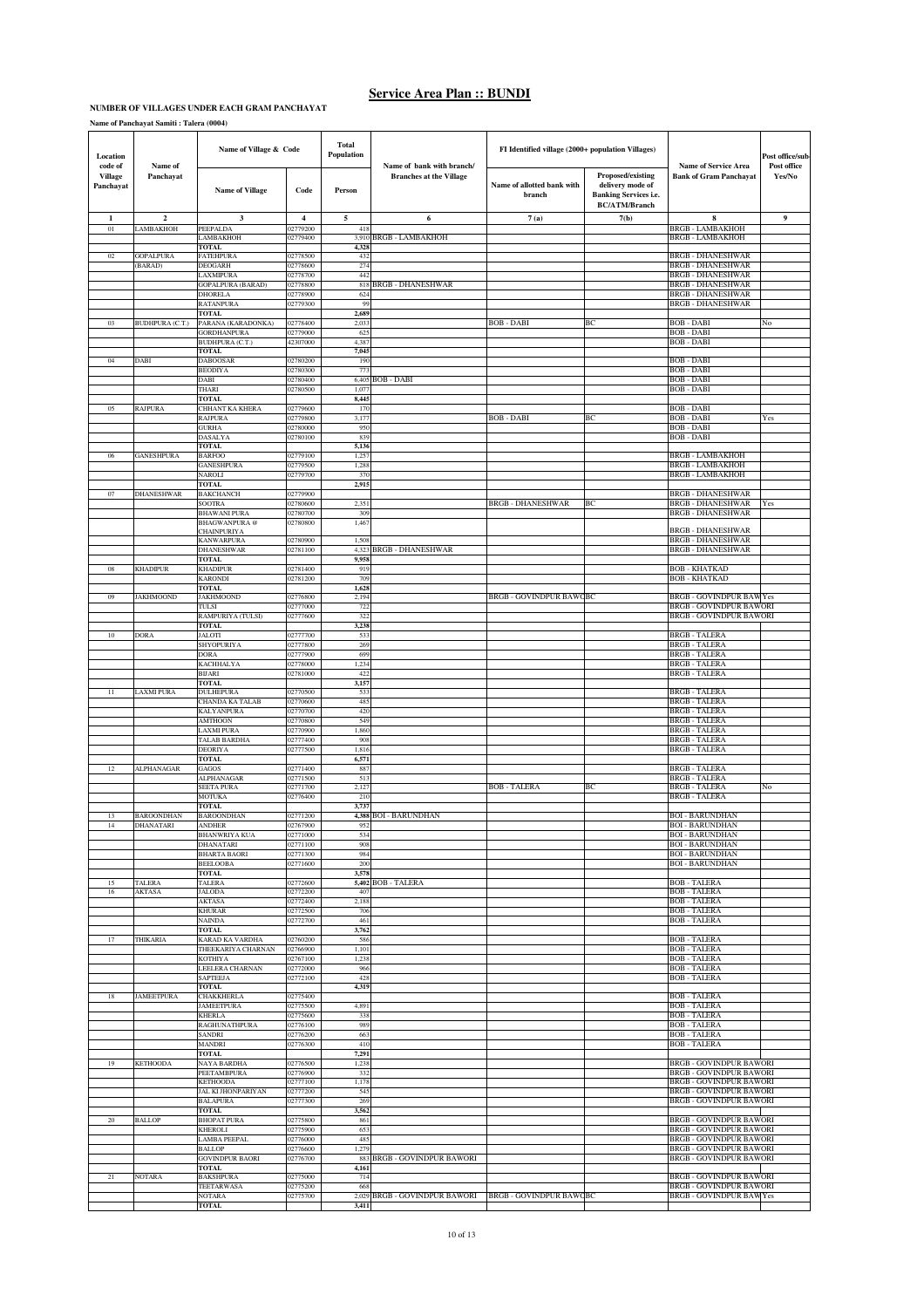### **NUMBER OF VILLAGES UNDER EACH GRAM PANCHAYAT**

| Location<br>code of  | Name of                        | Name of Village & Code                       |                                     | <b>Total</b><br>Population | Name of bank with branch/      | FI Identified village (2000+ population Villages) |                                                                                               | <b>Name of Service Area</b>                                      | Post office/sub-<br>Post office |
|----------------------|--------------------------------|----------------------------------------------|-------------------------------------|----------------------------|--------------------------------|---------------------------------------------------|-----------------------------------------------------------------------------------------------|------------------------------------------------------------------|---------------------------------|
| Village<br>Panchayat | Panchayat                      | <b>Name of Village</b>                       | Code                                | Person                     | <b>Branches at the Village</b> | Name of allotted bank with<br>branch              | Proposed/existing<br>delivery mode of<br><b>Banking Services i.e.</b><br><b>BC/ATM/Branch</b> | <b>Bank of Gram Panchayat</b>                                    | Yes/No                          |
| 1<br>01              | $\mathbf{2}$<br>LAMBAKHOH      | 3<br>PEEPALDA                                | $\overline{\mathbf{4}}$<br>02779200 | 5<br>418                   | 6                              | 7(a)                                              | 7(b)                                                                                          | 8<br><b>BRGB - LAMBAKHOH</b>                                     | 9                               |
|                      |                                | LAMBAKHOH                                    | 02779400                            | 3,910                      | <b>BRGB - LAMBAKHOH</b>        |                                                   |                                                                                               | <b>BRGB - LAMBAKHOH</b>                                          |                                 |
| 02                   | <b>GOPALPURA</b>               | <b>TOTAL</b><br><b>FATEHPURA</b>             | 02778500                            | 4.32<br>432                |                                |                                                   |                                                                                               | <b>BRGB - DHANESHWAR</b>                                         |                                 |
|                      | (BARAD)                        | DEOGARH<br>LAXMIPURA                         | 02778600<br>02778700                | 274<br>442                 |                                |                                                   |                                                                                               | <b>BRGB - DHANESHWAR</b><br>BRGB - DHANESHWAR                    |                                 |
|                      |                                | <b>GOPALPURA (BARAD)</b>                     | 02778800<br>02778900                | 818<br>624                 | <b>BRGB - DHANESHWAR</b>       |                                                   |                                                                                               | <b>BRGB - DHANESHWAR</b><br><b>BRGB - DHANESHWAR</b>             |                                 |
|                      |                                | <b>DHORELA</b><br><b>RATANPURA</b>           | 02779300                            | QQ                         |                                |                                                   |                                                                                               | <b>BRGB - DHANESHWAR</b>                                         |                                 |
| 03                   | <b>BUDHPURA (C.T.)</b>         | <b>TOTAL</b><br>PARANA (KARADONKA)           | 02778400                            | 2,689<br>2,03              |                                | BOB - DABI                                        | BC                                                                                            | <b>BOB</b> - DABI                                                | No                              |
|                      |                                | <b>GORDHANPURA</b><br><b>BUDHPURA (C.T.)</b> | 02779000<br>12307000                | 625<br>4,387               |                                |                                                   |                                                                                               | BOB - DABI<br>BOB - DABI                                         |                                 |
|                      |                                | <b>TOTAL</b>                                 |                                     | 7,045                      |                                |                                                   |                                                                                               |                                                                  |                                 |
| 04                   | DABI                           | <b>DABOOSAR</b><br><b>BEODIYA</b>            | 02780200<br>2780300                 | 190<br>77                  |                                |                                                   |                                                                                               | <b>BOB - DABI</b><br><b>BOB - DABI</b>                           |                                 |
|                      |                                | DABI<br>THARI                                | 2780400<br>02780500                 | 6,40<br>1,07               | <b>BOB - DABI</b>              |                                                   |                                                                                               | <b>BOB - DABI</b><br>BOB - DABI                                  |                                 |
|                      |                                | <b>TOTAL</b>                                 |                                     | 8,445                      |                                |                                                   |                                                                                               |                                                                  |                                 |
| 05                   | <b>RAJPURA</b>                 | <b>CHHANT KA KHERA</b><br><b>RAJPURA</b>     | 02779600<br>02779800                | 170<br>3,177               |                                | <b>BOB - DABI</b>                                 | BС                                                                                            | <b>BOB - DABI</b><br>BOB - DABI                                  | Yes                             |
|                      |                                | GURHA<br><b>DASALYA</b>                      | 02780000<br>02780100                | 950<br>839                 |                                |                                                   |                                                                                               | BOB - DABI<br><b>BOB - DABI</b>                                  |                                 |
|                      |                                | TOTAL                                        |                                     | 5,136                      |                                |                                                   |                                                                                               | <b>BRGB - LAMBAKHOH</b>                                          |                                 |
| 06                   | <b>GANESHPURA</b>              | <b>BARFOO</b><br><b>GANESHPURA</b>           | 02779100<br>02779500                | 1,25<br>1,288              |                                |                                                   |                                                                                               | <b>BRGB - LAMBAKHOH</b>                                          |                                 |
|                      |                                | NAROLI<br><b>TOTAL</b>                       | 02779700                            | 37<br>2,915                |                                |                                                   |                                                                                               | BRGB - LAMBAKHOH                                                 |                                 |
| 07                   | <b>DHANESHWAR</b>              | <b>BAKCHANCH</b><br>SOOTRA                   | 02779900<br>02780600                | 2,35                       |                                | <b>BRGB - DHANESHWAR</b>                          | ВC                                                                                            | <b>BRGB - DHANESHWAR</b><br><b>BRGB - DHANESHWAR</b>             | Yes                             |
|                      |                                | <b>BHAWANI PURA</b>                          | 02780700                            | 309                        |                                |                                                   |                                                                                               | BRGB - DHANESHWAR                                                |                                 |
|                      |                                | <b>BHAGWANPURA</b> @<br><b>CHAINPURIYA</b>   | 02780800                            | 1,46                       |                                |                                                   |                                                                                               | <b>BRGB - DHANESHWAR</b>                                         |                                 |
|                      |                                | KANWARPURA<br><b>DHANESHWAR</b>              | 02780900<br>02781100                | 1,50<br>4,323              | <b>BRGB - DHANESHWAR</b>       |                                                   |                                                                                               | BRGB - DHANESHWAR<br>BRGB - DHANESHWAR                           |                                 |
| 08                   | <b>KHADIPUR</b>                | <b>TOTAL</b><br><b>KHADIPUR</b>              | 02781400                            | 9,958<br>919               |                                |                                                   |                                                                                               | BOB - KHATKAD                                                    |                                 |
|                      |                                | <b>KARONDI</b>                               | 02781200                            | 709                        |                                |                                                   |                                                                                               | BOB - KHATKAD                                                    |                                 |
| 09                   | <b>JAKHMOOND</b>               | <b>TOTAL</b><br><b>JAKHMOOND</b>             | 02776800                            | 1,628<br>2,194             |                                | <b>BRGB - GOVINDPUR BAWCBC</b>                    |                                                                                               | BRGB - GOVINDPUR BAWYes                                          |                                 |
|                      |                                | TULSI<br>RAMPURIYA (TULSI)                   | 02777000<br>02777600                | 722<br>32.                 |                                |                                                   |                                                                                               | <b>BRGB - GOVINDPUR BAWORI</b><br><b>BRGB - GOVINDPUR BAWORI</b> |                                 |
|                      |                                | TOTAL                                        |                                     | 3,238                      |                                |                                                   |                                                                                               |                                                                  |                                 |
| 10                   | <b>DORA</b>                    | <b>JALOTI</b><br>SHYOPURIYA                  | 02777700<br>02777800                | 533<br>269                 |                                |                                                   |                                                                                               | BRGB - TALERA<br><b>BRGB - TALERA</b>                            |                                 |
|                      |                                | DORA<br>KACHHALYA                            | 02777900<br>02778000                | 699<br>1,234               |                                |                                                   |                                                                                               | <b>BRGB - TALERA</b><br><b>BRGB - TALERA</b>                     |                                 |
|                      |                                | <b>BIJARI</b><br><b>TOTAL</b>                | 02781000                            | 422<br>3,157               |                                |                                                   |                                                                                               | <b>BRGB-TALERA</b>                                               |                                 |
| 11                   | <b>LAXMI PURA</b>              | DULHEPURA                                    | 02770500                            | 533                        |                                |                                                   |                                                                                               | <b>BRGB - TALERA</b>                                             |                                 |
|                      |                                | CHANDA KA TALAB<br>KALYANPURA                | 02770600<br>02770700                | 485<br>420                 |                                |                                                   |                                                                                               | <b>BRGB-TALERA</b><br><b>BRGB-TALERA</b>                         |                                 |
|                      |                                | <b>AMTHOON</b><br><b>LAXMI PURA</b>          | 02770800<br>02770900                | 549<br>1,860               |                                |                                                   |                                                                                               | <b>BRGB - TALERA</b><br><b>BRGB-TALERA</b>                       |                                 |
|                      |                                | <b>TALAB BARDHA</b>                          | 02777400                            | 908                        |                                |                                                   |                                                                                               | <b>BRGB-TALERA</b>                                               |                                 |
|                      |                                | <b>DEORIYA</b><br><b>TOTAL</b>               | 02777500                            | 1,816<br>6,571             |                                |                                                   |                                                                                               | <b>BRGB - TALERA</b>                                             |                                 |
| 12                   | <b>ALPHANAGAR</b>              | GAGOS<br><b>ALPHANAGAR</b>                   | 02771400<br>02771500                | 887<br>51.                 |                                |                                                   |                                                                                               | <b>BRGB-TALERA</b><br><b>BRGB - TALERA</b>                       |                                 |
|                      |                                | SEETA PURA<br><b>MOTUKA</b>                  | 02771700<br>02776400                | 2,127<br>210               |                                | <b>BOB - TALERA</b>                               | ВC                                                                                            | <b>BRGB - TALERA</b><br><b>BRGB - TALERA</b>                     | No                              |
|                      |                                | <b>TOTAL</b>                                 |                                     | 3,737                      |                                |                                                   |                                                                                               |                                                                  |                                 |
| 13<br>14             | <b>BAROONDHAN</b><br>DHANATARI | <b>BAROONDHAN</b><br><b>ANDHEI</b>           | 02771200<br>12267900                |                            | 4,388 BOI - BARUNDHAN          |                                                   |                                                                                               | <b>BOI - BARUNDHAN</b><br><b>ROL-BARLINDHA</b>                   |                                 |
|                      |                                | BHANWRIYA KUA<br>DHANATARI                   | 02771000<br>02771100                | 534<br>908                 |                                |                                                   |                                                                                               | <b>BOI - BARUNDHAN</b><br><b>BOI - BARUNDHAN</b>                 |                                 |
|                      |                                | <b>BHARTA BAORI</b><br><b>BEELOOBA</b>       | 02771300                            | 984<br>200                 |                                |                                                   |                                                                                               | <b>BOI - BARUNDHAN</b><br><b>BOI - BARUNDHAN</b>                 |                                 |
|                      |                                | TOTAL                                        | 02771600                            | 3,578                      |                                |                                                   |                                                                                               |                                                                  |                                 |
| 15<br>16             | TALERA<br><b>AKTASA</b>        | TALERA<br>JALODA                             | 02772600<br>02772200                | 5,402<br>40'               | <b>BOB - TALERA</b>            |                                                   |                                                                                               | <b>BOB - TALERA</b><br><b>BOB - TALERA</b>                       |                                 |
|                      |                                | AKTASA<br><b>KHURAR</b>                      | 02772400<br>02772500                | 2,188<br>706               |                                |                                                   |                                                                                               | <b>BOB - TALERA</b><br><b>BOB - TALERA</b>                       |                                 |
|                      |                                | <b>NAINDA</b>                                | 02772700                            | 461                        |                                |                                                   |                                                                                               | BOB - TALERA                                                     |                                 |
| 17                   | <b>THIKARIA</b>                | <b>TOTAL</b><br>KARAD KA VARDHA              | 02760200                            | 3,762<br>586               |                                |                                                   |                                                                                               | <b>BOB - TALERA</b>                                              |                                 |
|                      |                                | THEEKARIYA CHARNAN<br>KOTHIYA                | 02766900<br>02767100                | 1,101<br>1,238             |                                |                                                   |                                                                                               | <b>BOB - TALERA</b><br><b>BOB - TALERA</b>                       |                                 |
|                      |                                | LEELERA CHARNAN<br><b>SAPTEEJA</b>           | 02772000<br>02772100                | 966<br>428                 |                                |                                                   |                                                                                               | <b>BOB - TALERA</b><br><b>BOB - TALERA</b>                       |                                 |
|                      |                                | TOTAL                                        |                                     | 4,319                      |                                |                                                   |                                                                                               |                                                                  |                                 |
| 18                   | <b>JAMEETPURA</b>              | CHAKKHERLA<br><b>JAMEETPURA</b>              | 02775400<br>02775500                | 4,89                       |                                |                                                   |                                                                                               | <b>BOB - TALERA</b><br><b>BOB - TALERA</b>                       |                                 |
|                      |                                | <b>KHERLA</b><br>RAGHUNATHPURA               | 02775600<br>02776100                | 338<br>989                 |                                |                                                   |                                                                                               | <b>BOB - TALERA</b><br><b>BOB - TALERA</b>                       |                                 |
|                      |                                | SANDRI                                       | 02776200                            | 663                        |                                |                                                   |                                                                                               | <b>BOB - TALERA</b><br><b>BOB - TALERA</b>                       |                                 |
|                      |                                | <b>MANDRI</b><br><b>TOTAL</b>                | 02776300                            | 410<br>7,291               |                                |                                                   |                                                                                               |                                                                  |                                 |
| 19                   | <b>KETHOODA</b>                | NAYA BARDHA<br>PEETAMBPURA                   | 02776500<br>02776900                | 1,238<br>332               |                                |                                                   |                                                                                               | <b>BRGB - GOVINDPUR BAWORI</b><br><b>BRGB - GOVINDPUR BAWORI</b> |                                 |
|                      |                                | <b>KETHOODA</b><br><b>JAL KI JHONPARIYAN</b> | 02777100<br>02777200                | 1,178<br>545               |                                |                                                   |                                                                                               | <b>BRGB - GOVINDPUR BAWORI</b><br><b>BRGB - GOVINDPUR BAWORI</b> |                                 |
|                      |                                | BALAPURA                                     | 02777300                            | 269                        |                                |                                                   |                                                                                               | <b>BRGB - GOVINDPUR BAWORI</b>                                   |                                 |
| 20                   | <b>BALLOP</b>                  | TOTAL<br><b>BHOPAT PURA</b>                  | 02775800                            | 3,562<br>861               |                                |                                                   |                                                                                               | <b>BRGB - GOVINDPUR BAWORI</b>                                   |                                 |
|                      |                                | KHEROLI<br><b>LAMBA PEEPAL</b>               | 02775900<br>02776000                | 653<br>485                 |                                |                                                   |                                                                                               | <b>BRGB - GOVINDPUR BAWORI</b><br><b>BRGB - GOVINDPUR BAWORI</b> |                                 |
|                      |                                | <b>BALLOP</b>                                | 02776600                            | 1,279                      |                                |                                                   |                                                                                               | <b>BRGB - GOVINDPUR BAWORI</b>                                   |                                 |
|                      |                                | <b>GOVINDPUR BAORI</b><br><b>TOTAL</b>       | 02776700                            | 883<br>4,161               | BRGB - GOVINDPUR BAWORI        |                                                   |                                                                                               | BRGB - GOVINDPUR BAWORI                                          |                                 |
| 21                   | <b>NOTARA</b>                  | <b>BAKSHPURA</b><br><b>TEETARWASA</b>        | 02775000<br>02775200                | 714<br>668                 |                                |                                                   |                                                                                               | <b>BRGB - GOVINDPUR BAWORI</b><br><b>BRGB - GOVINDPUR BAWORI</b> |                                 |
|                      |                                | <b>NOTARA</b><br><b>TOTAL</b>                | 02775700                            | 2,029<br>3,411             | <b>BRGB - GOVINDPUR BAWORI</b> | <b>BRGB - GOVINDPUR BAWCBC</b>                    |                                                                                               | <b>BRGB - GOVINDPUR BAWYes</b>                                   |                                 |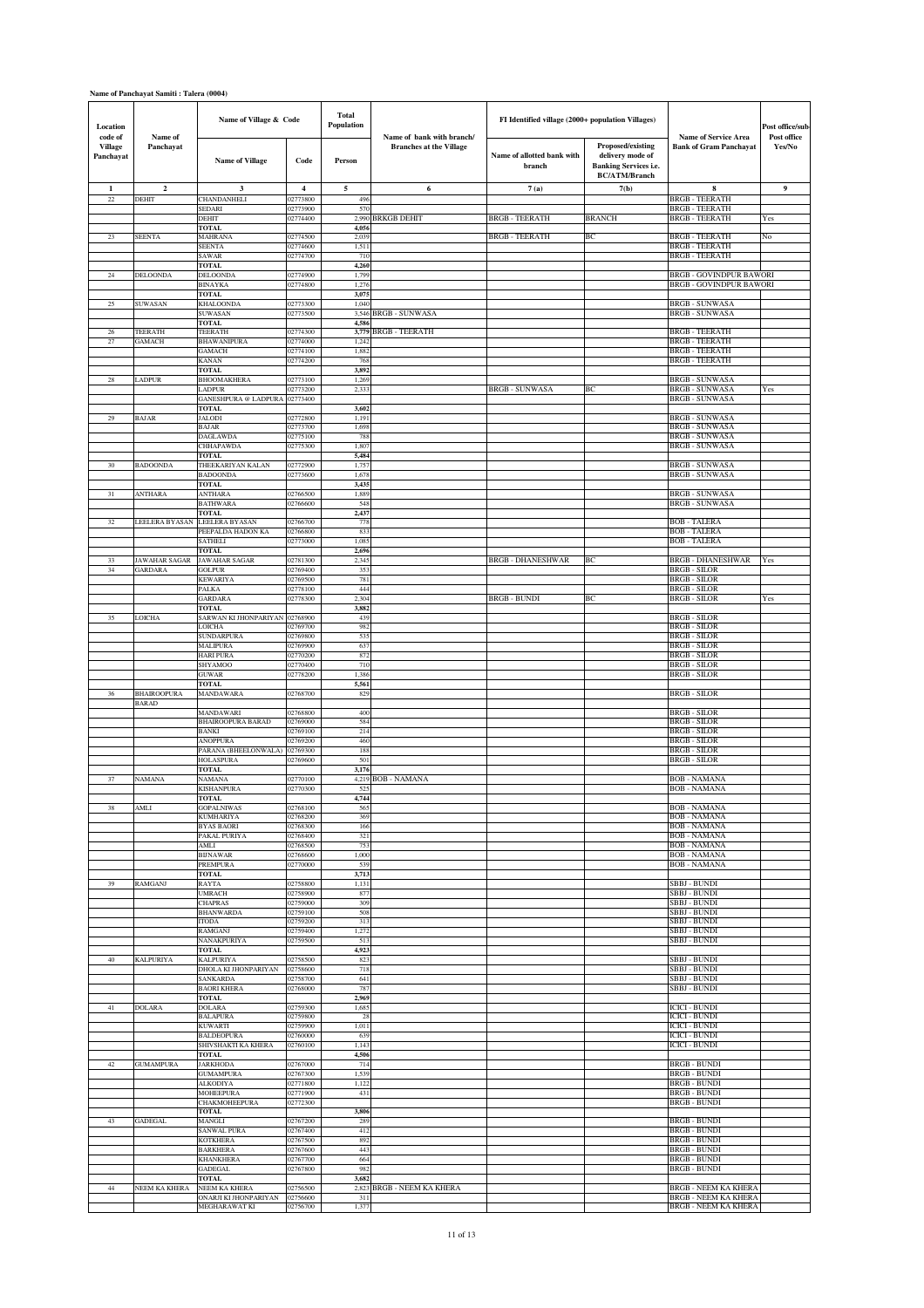| Location                               |                      | Name of Village & Code                        |                      | <b>Total</b><br>Population |                                                             | FI Identified village (2000+ population Villages) |                                                                                               |                                                                  | Post office/sub-      |
|----------------------------------------|----------------------|-----------------------------------------------|----------------------|----------------------------|-------------------------------------------------------------|---------------------------------------------------|-----------------------------------------------------------------------------------------------|------------------------------------------------------------------|-----------------------|
| code of<br><b>Village</b><br>Panchayat | Name of<br>Panchayat | <b>Name of Village</b>                        | Code                 | Person                     | Name of bank with branch/<br><b>Branches at the Village</b> | Name of allotted bank with<br>branch              | Proposed/existing<br>delivery mode of<br><b>Banking Services i.e.</b><br><b>BC/ATM/Branch</b> | <b>Name of Service Area</b><br><b>Bank of Gram Panchayat</b>     | Post office<br>Yes/No |
| $\mathbf{1}$                           | $\mathbf{2}$         | 3                                             | $\overline{4}$       | 5                          | 6                                                           | 7(a)                                              | 7(b)                                                                                          | 8                                                                | 9                     |
| 22                                     | DEHIT                | CHANDANHELI<br>SEDARI                         | 02773800<br>02773900 | 496<br>570                 |                                                             |                                                   |                                                                                               | <b>BRGB - TEERATH</b><br><b>BRGB - TEERATH</b>                   |                       |
|                                        |                      | DEHIT<br><b>TOTAL</b>                         | 02774400             | 2,990<br>4,056             | <b>BRKGB DEHIT</b>                                          | <b>BRGB - TEERATH</b>                             | <b>BRANCH</b>                                                                                 | <b>BRGB - TEERATH</b>                                            | Yes                   |
| 23                                     | <b>SEENTA</b>        | <b>MAHRANA</b>                                | 02774500             | 2,039                      |                                                             | <b>BRGB - TEERATH</b>                             | BC                                                                                            | <b>BRGB - TEERATH</b>                                            | No                    |
|                                        |                      | <b>SEENTA</b><br>SAWAR                        | 02774600<br>02774700 | 1,511<br>710               |                                                             |                                                   |                                                                                               | <b>BRGB - TEERATH</b><br><b>BRGB - TEERATH</b>                   |                       |
|                                        |                      | <b>TOTAL</b>                                  |                      | 4,260                      |                                                             |                                                   |                                                                                               |                                                                  |                       |
| $24\,$                                 | DELOONDA             | <b>DELOONDA</b><br>BINAYKA                    | 02774900<br>02774800 | 1,799<br>1,276             |                                                             |                                                   |                                                                                               | <b>BRGB - GOVINDPUR BAWORI</b><br><b>BRGB - GOVINDPUR BAWORI</b> |                       |
|                                        |                      | <b>TOTAL</b><br>KHALOONDA                     |                      | 3,075                      |                                                             |                                                   |                                                                                               |                                                                  |                       |
| 25                                     | SUWASAN              | <b>SUWASAN</b>                                | 02773300<br>02773500 | 1,040<br>3,546             | BRGB - SUNWASA                                              |                                                   |                                                                                               | <b>BRGB - SUNWASA</b><br>BRGB - SUNWASA                          |                       |
| $26\,$                                 | TEERATH              | <b>TOTAL</b><br>TEERATH                       | 02774300             | 4,586<br>3,779             | <b>BRGB-TEERATH</b>                                         |                                                   |                                                                                               | <b>BRGB - TEERATH</b>                                            |                       |
| 27                                     | GAMACH               | BHAWANIPURA                                   | 02774000             | 1,242                      |                                                             |                                                   |                                                                                               | BRGB - TEERATH                                                   |                       |
|                                        |                      | GAMACH<br>KANAN                               | 02774100<br>02774200 | 1,882<br>768               |                                                             |                                                   |                                                                                               | <b>BRGB - TEERATH</b><br><b>BRGB - TEERATH</b>                   |                       |
|                                        |                      | <b>TOTAL</b>                                  |                      | 3,892                      |                                                             |                                                   |                                                                                               |                                                                  |                       |
| 28                                     | <b>LADPUR</b>        | <b>BHOOMAKHERA</b><br>LADPUR                  | 02773100<br>02773200 | 1,269<br>2,333             |                                                             | <b>BRGB - SUNWASA</b>                             | BС                                                                                            | <b>BRGB - SUNWASA</b><br><b>BRGB - SUNWASA</b>                   | Yes                   |
|                                        |                      | GANESHPURA @ LADPURA 02773400<br>TOTAL        |                      | 3,602                      |                                                             |                                                   |                                                                                               | <b>BRGB - SUNWASA</b>                                            |                       |
| 29                                     | <b>BAJAR</b>         | <b>JALODI</b>                                 | 02772800             | 1,191                      |                                                             |                                                   |                                                                                               | <b>BRGB - SUNWASA</b>                                            |                       |
|                                        |                      | <b>BAJAR</b><br><b>DAGLAWDA</b>               | 02773700<br>02775100 | 1,698<br>788               |                                                             |                                                   |                                                                                               | <b>BRGB - SUNWASA</b><br><b>BRGB - SUNWASA</b>                   |                       |
|                                        |                      | CHHAPAWDA                                     | 02775300             | 1,80                       |                                                             |                                                   |                                                                                               | <b>BRGB - SUNWASA</b>                                            |                       |
| 30                                     | <b>BADOONDA</b>      | <b>TOTAL</b><br>THEEKARIYAN KALAN             | 02772900             | 5,484<br>1,757             |                                                             |                                                   |                                                                                               | BRGB - SUNWASA                                                   |                       |
|                                        |                      | <b>BADOONDA</b><br><b>TOTAL</b>               | 02773600             | 1,678<br>3,435             |                                                             |                                                   |                                                                                               | <b>BRGB - SUNWASA</b>                                            |                       |
| 31                                     | <b>ANTHARA</b>       | ANTHARA                                       | 02766500             | 1,889                      |                                                             |                                                   |                                                                                               | <b>BRGB - SUNWASA</b>                                            |                       |
|                                        |                      | <b>BATHWARA</b><br>TOTAL                      | 02766600             | 548<br>2,437               |                                                             |                                                   |                                                                                               | <b>BRGB - SUNWASA</b>                                            |                       |
| 32                                     | LEELERA BYASAN       | LEELERA BYASAN                                | 02766700             | 778                        |                                                             |                                                   |                                                                                               | <b>BOB - TALERA</b>                                              |                       |
|                                        |                      | PEEPALDA HADON KA<br>SATHELI                  | 02766800<br>02773000 | 833<br>1,085               |                                                             |                                                   |                                                                                               | <b>BOB - TALERA</b><br><b>BOB - TALERA</b>                       |                       |
| 33                                     | <b>JAWAHAR SAGAR</b> | <b>TOTAL</b><br><b>JAWAHAR SAGAR</b>          | 02781300             | 2,696<br>2,345             |                                                             | <b>BRGB - DHANESHWAR</b>                          | ВC                                                                                            | <b>BRGB - DHANESHWAR</b>                                         | Yes                   |
| 34                                     | GARDARA              | GOLPUR                                        | 02769400             | 353                        |                                                             |                                                   |                                                                                               | <b>BRGB - SILOR</b>                                              |                       |
|                                        |                      | KEWARIYA<br>PALKA                             | 02769500<br>02778100 | 781<br>444                 |                                                             |                                                   |                                                                                               | BRGB - SILOR<br><b>BRGB - SILOR</b>                              |                       |
|                                        |                      | GARDARA<br><b>TOTAL</b>                       | 02778300             | 2,304<br>3,882             |                                                             | <b>BRGB - BUNDI</b>                               | ВC                                                                                            | <b>BRGB - SILOR</b>                                              | Yes                   |
| 35                                     | LOICHA               | SARWAN KI JHONPARIYAN                         | 02768900             | 439                        |                                                             |                                                   |                                                                                               | <b>BRGB - SILOR</b>                                              |                       |
|                                        |                      | LOICHA<br><b>SUNDARPURA</b>                   | 02769700<br>02769800 | 982<br>535                 |                                                             |                                                   |                                                                                               | <b>BRGB - SILOR</b><br><b>BRGB - SILOR</b>                       |                       |
|                                        |                      | <b>MALIPURA</b>                               | 02769900             | 637                        |                                                             |                                                   |                                                                                               | <b>BRGB - SILOR</b>                                              |                       |
|                                        |                      | <b>HARI PURA</b><br><b>SHYAMOO</b>            | 02770200<br>02770400 | 872<br>710                 |                                                             |                                                   |                                                                                               | <b>BRGB - SILOR</b><br><b>BRGB - SILOR</b>                       |                       |
|                                        |                      | <b>GUWAR</b><br><b>TOTAL</b>                  | 02778200             | 1,386<br>5,561             |                                                             |                                                   |                                                                                               | <b>BRGB-SILOR</b>                                                |                       |
| 36                                     | <b>BHAIROOPURA</b>   | MANDAWARA                                     | 02768700             | 829                        |                                                             |                                                   |                                                                                               | <b>BRGB - SILOR</b>                                              |                       |
|                                        | <b>BARAD</b>         | MANDAWARI                                     | 02768800             | 400                        |                                                             |                                                   |                                                                                               | <b>BRGB - SILOR</b>                                              |                       |
|                                        |                      | <b>BHAIROOPURA BARAD</b>                      | 02769000             | 584                        |                                                             |                                                   |                                                                                               | BRGB - SILOR<br><b>BRGB - SILOR</b>                              |                       |
|                                        |                      | BANKI<br><b>ANOPPURA</b>                      | 02769100<br>02769200 | 214<br>460                 |                                                             |                                                   |                                                                                               | <b>BRGB - SILOR</b>                                              |                       |
|                                        |                      | PARANA (BHEELONWALA)<br>HOLASPURA             | 02769300<br>2769600  | 188<br>501                 |                                                             |                                                   |                                                                                               | BRGB - SILOR<br><b>BRGB - SILOR</b>                              |                       |
|                                        |                      | TOTAL<br>VAMANA                               |                      | 3,176                      |                                                             |                                                   |                                                                                               |                                                                  |                       |
| 37                                     | <b>NAMANA</b>        | KISHANPURA                                    | 02770100<br>02770300 | 4,219<br>52                | <b>BOB - NAMANA</b>                                         |                                                   |                                                                                               | <b>BOB - NAMANA</b><br><b>BOB - NAMANA</b>                       |                       |
| 38                                     | AMLI                 | FOTAL<br><b>GOPALNIWAS</b>                    | 02768100             | 4,744<br>565               |                                                             |                                                   |                                                                                               | BOB - NAMANA                                                     |                       |
|                                        |                      | KUMHARIYA                                     | 02768200             | 369                        |                                                             |                                                   |                                                                                               | <b>BOB - NAMANA</b>                                              |                       |
|                                        |                      | <b>BYAS BAORI</b><br>PAKAL PURIYA             | 02768300<br>02768400 | 166<br>321                 |                                                             |                                                   |                                                                                               | <b>BOB - NAMANA</b><br><b>BOB - NAMANA</b>                       |                       |
|                                        |                      | AMLI                                          | 02768500             | 753                        |                                                             |                                                   |                                                                                               | <b>BOB - NAMANA</b>                                              |                       |
|                                        |                      | <b>BIJNAWAR</b><br>PREMPURA                   | 02768600<br>02770000 | 1,000<br>539               |                                                             |                                                   |                                                                                               | <b>BOB - NAMANA</b><br><b>BOB - NAMANA</b>                       |                       |
| 39                                     | <b>RAMGANJ</b>       | TOTAL<br>RAYTA                                | 02758800             | 3,713<br>1,131             |                                                             |                                                   |                                                                                               | <b>SBBJ - BUNDI</b>                                              |                       |
|                                        |                      | <b>UMRACH</b>                                 | 02758900             | 877                        |                                                             |                                                   |                                                                                               | <b>SBBJ - BUNDI</b>                                              |                       |
|                                        |                      | <b>CHAPRAS</b><br><b>BHANWARDA</b>            | 02759000<br>02759100 | 309<br>508                 |                                                             |                                                   |                                                                                               | SBBJ - BUNDI<br>SBBJ - BUNDI                                     |                       |
|                                        |                      | <b>ITODA</b><br>RAMGANJ                       | 02759200<br>02759400 | 313<br>1,272               |                                                             |                                                   |                                                                                               | SBBJ - BUNDI<br>SBBJ - BUNDI                                     |                       |
|                                        |                      | NANAKPURIYA                                   | 02759500             | 513                        |                                                             |                                                   |                                                                                               | <b>SBBJ - BUNDI</b>                                              |                       |
| 40                                     | <b>KALPURIYA</b>     | TOTAL<br><b>KALPURIYA</b>                     | 02758500             | 4,923<br>823               |                                                             |                                                   |                                                                                               | SBBJ - BUNDI                                                     |                       |
|                                        |                      | DHOLA KI JHONPARIYAN                          | 02758600             | 718                        |                                                             |                                                   |                                                                                               | <b>SBBJ - BUNDI</b>                                              |                       |
|                                        |                      | SANKARDA<br><b>BAORI KHERA</b>                | 02758700<br>02768000 | 641<br>787                 |                                                             |                                                   |                                                                                               | <b>SBBJ - BUNDI</b><br><b>SBBJ - BUNDI</b>                       |                       |
| 41                                     | DOLARA               | <b>TOTAL</b><br><b>DOLARA</b>                 | 02759300             | 2,969<br>1,685             |                                                             |                                                   |                                                                                               | <b>ICICI - BUNDI</b>                                             |                       |
|                                        |                      | <b>BALAPURA</b>                               | 02759800             | 28                         |                                                             |                                                   |                                                                                               | <b>ICICI - BUNDI</b>                                             |                       |
|                                        |                      | <b>KUWARTI</b><br><b>BALDEOPURA</b>           | 02759900<br>02760000 | 1,011<br>639               |                                                             |                                                   |                                                                                               | <b>ICICI - BUNDI</b><br><b>ICICI - BUNDI</b>                     |                       |
|                                        |                      | SHIVSHAKTI KA KHERA                           | 02760100             | 1,143                      |                                                             |                                                   |                                                                                               | <b>ICICI - BUNDI</b>                                             |                       |
| 42                                     | <b>GUMAMPURA</b>     | <b>TOTAL</b><br><b>JARKHODA</b>               | 02767000             | 4,506<br>714               |                                                             |                                                   |                                                                                               | <b>BRGB - BUNDI</b>                                              |                       |
|                                        |                      | <b>GUMAMPURA</b><br>ALKODIYA                  | 02767300<br>02771800 | 1,539<br>1,122             |                                                             |                                                   |                                                                                               | <b>BRGB - BUNDI</b><br><b>BRGB - BUNDI</b>                       |                       |
|                                        |                      | <b>MOHEEPURA</b>                              | 02771900             | 431                        |                                                             |                                                   |                                                                                               | <b>BRGB - BUNDI</b>                                              |                       |
|                                        |                      | CHAKMOHEEPURA<br><b>TOTAL</b>                 | 02772300             | 3,806                      |                                                             |                                                   |                                                                                               | <b>BRGB - BUNDI</b>                                              |                       |
| 43                                     | <b>GADEGAL</b>       | MANGLI                                        | 02767200             | 289                        |                                                             |                                                   |                                                                                               | <b>BRGB - BUNDI</b>                                              |                       |
|                                        |                      | <b>SANWAL PURA</b><br><b>KOTKHERA</b>         | 02767400<br>02767500 | 412<br>892                 |                                                             |                                                   |                                                                                               | <b>BRGB - BUNDI</b><br><b>BRGB - BUNDI</b>                       |                       |
|                                        |                      | <b>BARKHERA</b><br><b>KHANKHERA</b>           | 02767600<br>02767700 | 443<br>664                 |                                                             |                                                   |                                                                                               | <b>BRGB - BUNDI</b><br><b>BRGB - BUNDI</b>                       |                       |
|                                        |                      | <b>GADEGAL</b>                                | 02767800             | 982                        |                                                             |                                                   |                                                                                               | <b>BRGB - BUNDI</b>                                              |                       |
| 44                                     | NEEM KA KHERA        | <b>TOTAL</b><br>NEEM KA KHERA                 | 02756500             | 3,682                      | 2,823 BRGB - NEEM KA KHERA                                  |                                                   |                                                                                               | <b>BRGB - NEEM KA KHERA</b>                                      |                       |
|                                        |                      | ONARJI KI JHONPARIYAN<br><b>MEGHARAWAT KI</b> | 02756600<br>02756700 | 311<br>1,377               |                                                             |                                                   |                                                                                               | <b>BRGB - NEEM KA KHERA</b><br><b>BRGB - NEEM KA KHERA</b>       |                       |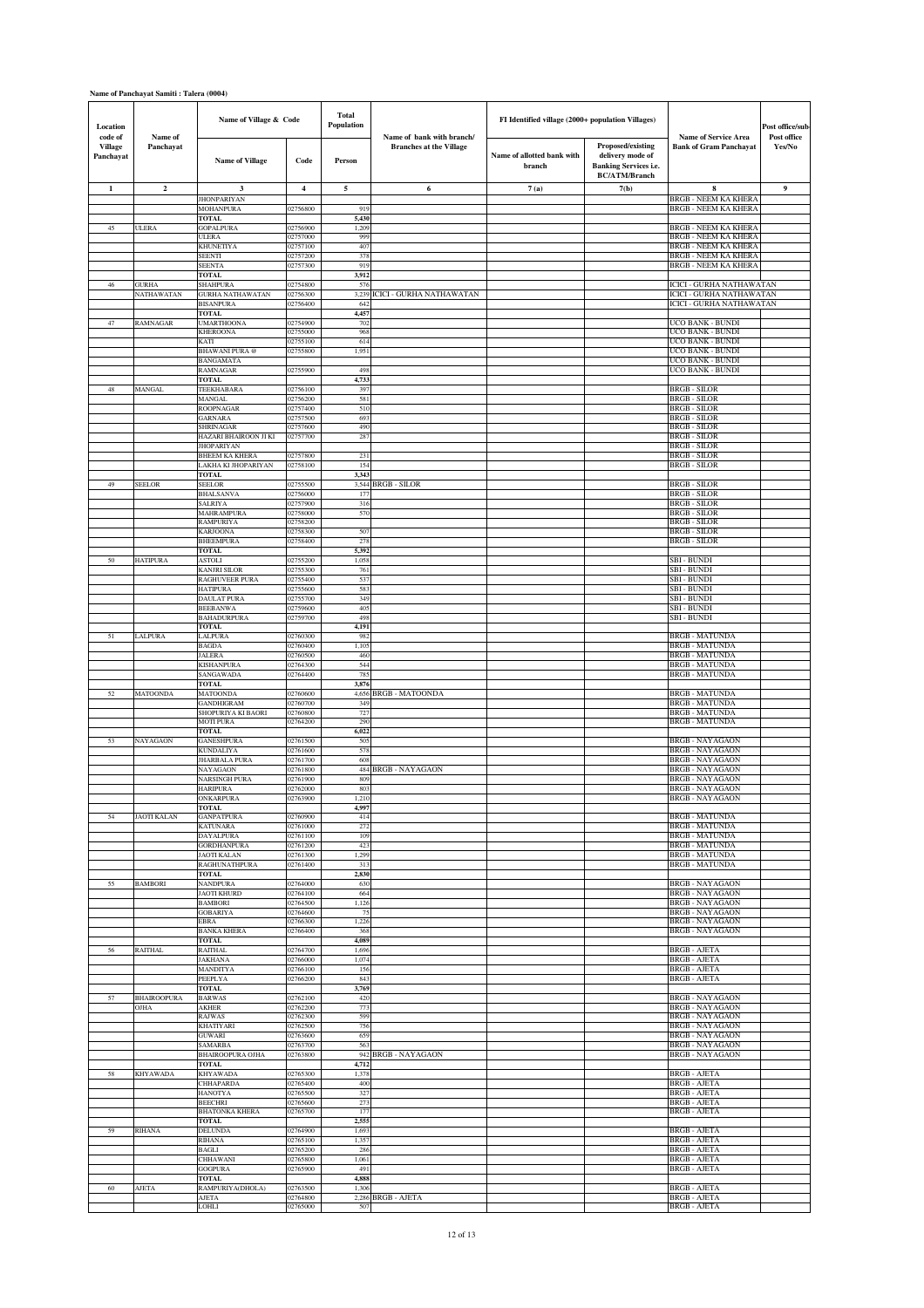| Location                               |                            | Name of Village & Code                     |                      | <b>Total</b><br>Population |                                                             | FI Identified village (2000+ population Villages) |                                                                                               |                                                              | Post office/sub-      |
|----------------------------------------|----------------------------|--------------------------------------------|----------------------|----------------------------|-------------------------------------------------------------|---------------------------------------------------|-----------------------------------------------------------------------------------------------|--------------------------------------------------------------|-----------------------|
| code of<br><b>Village</b><br>Panchayat | Name of<br>Panchayat       | <b>Name of Village</b>                     | Code                 | Person                     | Name of bank with branch/<br><b>Branches at the Village</b> | Name of allotted bank with<br>branch              | Proposed/existing<br>delivery mode of<br><b>Banking Services i.e.</b><br><b>BC/ATM/Branch</b> | <b>Name of Service Area</b><br><b>Bank of Gram Panchayat</b> | Post office<br>Yes/No |
| $\mathbf{1}$                           | $\mathbf{2}$               | 3                                          | $\overline{4}$       | 5                          | 6                                                           | 7(a)                                              | 7(b)                                                                                          | 8<br><b>BRGB - NEEM KA KHERA</b>                             | 9                     |
|                                        |                            | <b>JHONPARIYAN</b><br><b>MOHANPURA</b>     | 02756800             | 919                        |                                                             |                                                   |                                                                                               | <b>BRGB - NEEM KA KHERA</b>                                  |                       |
| 45                                     | <b>ULERA</b>               | <b>TOTAL</b><br><b>GOPALPURA</b>           | 02756900             | 5,430<br>1,209             |                                                             |                                                   |                                                                                               | <b>BRGB - NEEM KA KHERA</b>                                  |                       |
|                                        |                            | <b>ULERA</b><br>KHUNETIYA                  | 02757000<br>02757100 | 999<br>407                 |                                                             |                                                   |                                                                                               | <b>BRGB - NEEM KA KHERA</b><br><b>BRGB - NEEM KA KHERA</b>   |                       |
|                                        |                            | SEENTI<br><b>SEENTA</b>                    | 02757200<br>02757300 | 378<br>919                 |                                                             |                                                   |                                                                                               | BRGB - NEEM KA KHERA<br><b>BRGB - NEEM KA KHERA</b>          |                       |
|                                        |                            | <b>TOTAL</b>                               |                      | 3,912                      |                                                             |                                                   |                                                                                               |                                                              |                       |
| 46                                     | <b>GURHA</b><br>NATHAWATAN | <b>SHAHPURA</b><br><b>GURHA NATHAWATAN</b> | 02754800<br>02756300 | 57<br>3,239                | CICI - GURHA NATHAWATAN                                     |                                                   |                                                                                               | ICICI - GURHA NATHAWATAN<br>ICICI - GURHA NATHAWATAN         |                       |
|                                        |                            | <b>BISANPURA</b><br>TOTAL                  | 02756400             | 642<br>4,457               |                                                             |                                                   |                                                                                               | ICICI - GURHA NATHAWATAN                                     |                       |
| 47                                     | RAMNAGAR                   | <b>UMARTHOONA</b>                          | 02754900<br>02755000 | 702                        |                                                             |                                                   |                                                                                               | UCO BANK - BUNDI<br>UCO BANK - BUNDI                         |                       |
|                                        |                            | KHEROONA<br><b>CATI</b>                    | 02755100             | 968<br>614                 |                                                             |                                                   |                                                                                               | UCO BANK - BUNDI                                             |                       |
|                                        |                            | <b>BHAWANI PURA</b> @<br><b>BANGAMATA</b>  | 02755800             | 1,951                      |                                                             |                                                   |                                                                                               | UCO BANK - BUNDI<br>UCO BANK - BUNDI                         |                       |
|                                        |                            | RAMNAGAR<br><b>FOTAL</b>                   | 02755900             | 498<br>4,733               |                                                             |                                                   |                                                                                               | UCO BANK - BUNDI                                             |                       |
| $48\,$                                 | MANGAL                     | TEEKHABARA                                 | 02756100             | 397                        |                                                             |                                                   |                                                                                               | <b>BRGB-SILOR</b>                                            |                       |
|                                        |                            | MANGAL<br><b>ROOPNAGAR</b>                 | 02756200<br>02757400 | 581<br>510                 |                                                             |                                                   |                                                                                               | <b>BRGB - SILOR</b><br><b>BRGB - SILOR</b>                   |                       |
|                                        |                            | GARNARA<br><b>SHRINAGAR</b>                | 02757500<br>02757600 | 693<br>490                 |                                                             |                                                   |                                                                                               | <b>BRGB - SILOR</b><br>BRGB - SILOR                          |                       |
|                                        |                            | HAZARI BHAIROON JI KI<br><b>JHOPARIYAN</b> | 02757700             | 287                        |                                                             |                                                   |                                                                                               | <b>BRGB - SILOR</b><br><b>BRGB - SILOR</b>                   |                       |
|                                        |                            | <b>BHEEM KA KHERA</b>                      | 02757800             | 231                        |                                                             |                                                   |                                                                                               | <b>BRGB - SILOR</b>                                          |                       |
|                                        |                            | LAKHA KI JHOPARIYAN<br><b>TOTAL</b>        | 02758100             | 154<br>3,343               |                                                             |                                                   |                                                                                               | <b>BRGB - SILOR</b>                                          |                       |
| 49                                     | <b>SEELOR</b>              | <b>SEELOR</b><br><b>BHALSANVA</b>          | 02755500<br>02756000 | 177                        | 3,544 BRGB - SILOR                                          |                                                   |                                                                                               | <b>BRGB - SILOR</b><br><b>BRGB - SILOR</b>                   |                       |
|                                        |                            | <b>SALRIYA</b><br>MAHRAMPURA               | 02757900<br>02758000 | 316<br>570                 |                                                             |                                                   |                                                                                               | <b>BRGB - SILOR</b><br>BRGB - SILOR                          |                       |
|                                        |                            | RAMPURIYA                                  | 02758200             |                            |                                                             |                                                   |                                                                                               | <b>BRGB - SILOR</b>                                          |                       |
|                                        |                            | <b>KARJOONA</b><br>BHEEMPURA               | 02758300<br>02758400 | 507<br>278                 |                                                             |                                                   |                                                                                               | <b>BRGB - SILOR</b><br><b>BRGB - SILOR</b>                   |                       |
| 50                                     | <b>HATIPURA</b>            | TOTAL<br><b>ASTOLI</b>                     | 02755200             | 5,392<br>1,058             |                                                             |                                                   |                                                                                               | <b>SBI - BUNDI</b>                                           |                       |
|                                        |                            | KANJRI SILOR                               | 02755300             | 761                        |                                                             |                                                   |                                                                                               | SBI - BUNDI                                                  |                       |
|                                        |                            | RAGHUVEER PURA<br><b>HATIPURA</b>          | 02755400<br>02755600 | 537<br>583                 |                                                             |                                                   |                                                                                               | SBI - BUNDI<br><b>SBI - BUNDI</b>                            |                       |
|                                        |                            | <b>DAULAT PURA</b><br>BEEBANWA             | 02755700<br>02759600 | 349<br>405                 |                                                             |                                                   |                                                                                               | SBI - BUNDI<br>SBI - BUNDI                                   |                       |
|                                        |                            | <b>BAHADURPURA</b><br>TOTAL                | 02759700             | 498<br>4,191               |                                                             |                                                   |                                                                                               | <b>SBI - BUNDI</b>                                           |                       |
| 51                                     | LALPURA                    | LALPURA                                    | 02760300             | 982                        |                                                             |                                                   |                                                                                               | <b>BRGB - MATUNDA</b>                                        |                       |
|                                        |                            | <b>BAGDA</b><br><b>JALERA</b>              | 02760400<br>02760500 | 1,105<br>460               |                                                             |                                                   |                                                                                               | <b>BRGB - MATUNDA</b><br><b>BRGB - MATUNDA</b>               |                       |
|                                        |                            | KISHANPURA<br>SANGAWADA                    | 02764300<br>02764400 | 544<br>785                 |                                                             |                                                   |                                                                                               | <b>BRGB - MATUNDA</b><br><b>BRGB - MATUNDA</b>               |                       |
| 52                                     | <b>MATOONDA</b>            | <b>TOTAL</b><br><b>MATOONDA</b>            | 02760600             | 3,876<br>4,656             | <b>BRGB - MATOONDA</b>                                      |                                                   |                                                                                               | <b>BRGB - MATUNDA</b>                                        |                       |
|                                        |                            | <b>GANDHIGRAM</b>                          | 02760700             | 349                        |                                                             |                                                   |                                                                                               | <b>BRGB - MATUNDA</b>                                        |                       |
|                                        |                            | SHOPURIYA KI BAORI<br><b>MOTI PURA</b>     | 02760800<br>02764200 | 727<br>290                 |                                                             |                                                   |                                                                                               | <b>BRGB - MATUNDA</b><br>BRGB - MATUNDA                      |                       |
| 53                                     | NAYAGAON                   | <b>TOTAL</b><br><b>GANESHPURA</b>          | 02761500             | 6,022<br>505               |                                                             |                                                   |                                                                                               | <b>BRGB - NAYAGAON</b>                                       |                       |
|                                        |                            | KUNDALIYA<br><b>JHARBALA PURA</b>          | 02761600<br>02761700 | 578<br>608                 |                                                             |                                                   |                                                                                               | <b>BRGB - NAYAGAON</b><br><b>BRGB - NAYAGAON</b>             |                       |
|                                        |                            | NAYAGAON                                   | 02761800             | 484                        | <b>BRGB - NAYAGAON</b>                                      |                                                   |                                                                                               | <b>BRGB - NAYAGAON</b>                                       |                       |
|                                        |                            | <b>NARSINGH PURA</b><br>HARIPURA           | 02761900<br>02762000 | 809<br>803                 |                                                             |                                                   |                                                                                               | <b>BRGB - NAYAGAON</b><br><b>BRGB - NAYAGAON</b>             |                       |
|                                        |                            | <b>JNKARPURA</b><br><b>TOTAL</b>           | JZ 763900            | 1,210<br>4,997             |                                                             |                                                   |                                                                                               | BRUB - NATAUAUN                                              |                       |
| 54                                     | JAOTI KALAN                | <b>GANPATPURA</b><br><b>KATUNARA</b>       | 02760900<br>02761000 | 414<br>272                 |                                                             |                                                   |                                                                                               | <b>BRGB - MATUNDA</b><br><b>BRGB - MATUNDA</b>               |                       |
|                                        |                            | DAYALPURA                                  | 02761100             | 109                        |                                                             |                                                   |                                                                                               | BRGB - MATUNDA                                               |                       |
|                                        |                            | <b>GORDHANPURA</b><br><b>JAOTI KALAN</b>   | 02761200<br>02761300 | 423<br>1,299               |                                                             |                                                   |                                                                                               | <b>BRGB - MATUNDA</b><br><b>BRGB - MATUNDA</b>               |                       |
|                                        |                            | RAGHUNATHPURA<br>TOTAL                     | 02761400             | 313<br>2,830               |                                                             |                                                   |                                                                                               | <b>BRGB - MATUNDA</b>                                        |                       |
| 55                                     | <b>BAMBORI</b>             | <b>NANDPURA</b><br><b>JAOTI KHURD</b>      | 02764000<br>02764100 | 630<br>664                 |                                                             |                                                   |                                                                                               | <b>BRGB - NAYAGAON</b><br><b>BRGB - NAYAGAON</b>             |                       |
|                                        |                            | <b>BAMBORI</b>                             | 02764500             | 1,126                      |                                                             |                                                   |                                                                                               | <b>BRGB - NAYAGAON</b>                                       |                       |
|                                        |                            | <b>GOBARIYA</b><br>EBRA                    | 02764600<br>02766300 | 75<br>1,226                |                                                             |                                                   |                                                                                               | <b>BRGB - NAYAGAON</b><br><b>BRGB - NAYAGAON</b>             |                       |
|                                        |                            | <b>BANKA KHERA</b><br><b>TOTAL</b>         | 02766400             | 368<br>4,089               |                                                             |                                                   |                                                                                               | <b>BRGB - NAYAGAON</b>                                       |                       |
| 56                                     | <b>RAITHAL</b>             | RAITHAL<br><b>JAKHANA</b>                  | 02764700<br>02766000 | 1,696<br>1,074             |                                                             |                                                   |                                                                                               | <b>BRGB - AJETA</b><br><b>BRGB - AJETA</b>                   |                       |
|                                        |                            | MANDITYA                                   | 02766100             | 156                        |                                                             |                                                   |                                                                                               | <b>BRGB - AJETA</b>                                          |                       |
|                                        |                            | PEEPLYA<br><b>TOTAL</b>                    | 02766200             | 843<br>3,769               |                                                             |                                                   |                                                                                               | <b>BRGB - AJETA</b>                                          |                       |
| 57                                     | <b>BHAIROOPURA</b><br>OJHA | <b>BARWAS</b><br>AKHER                     | 02762100<br>02762200 | 420<br>773                 |                                                             |                                                   |                                                                                               | <b>BRGB - NAYAGAON</b><br><b>BRGB - NAYAGAON</b>             |                       |
|                                        |                            | <b>RAJWAS</b>                              | 02762300             | 599                        |                                                             |                                                   |                                                                                               | <b>BRGB - NAYAGAON</b>                                       |                       |
|                                        |                            | KHATIYARI<br><b>GUWARI</b>                 | 02762500<br>02763600 | 756<br>659                 |                                                             |                                                   |                                                                                               | <b>BRGB - NAYAGAON</b><br><b>BRGB - NAYAGAON</b>             |                       |
|                                        |                            | SAMARBA<br><b>BHAIROOPURA OJHA</b>         | 02763700<br>02763800 | 563<br>942                 | <b>BRGB-NAYAGAON</b>                                        |                                                   |                                                                                               | <b>BRGB - NAYAGAON</b><br><b>BRGB - NAYAGAON</b>             |                       |
| 58                                     | <b>KHYAWADA</b>            | <b>TOTAL</b><br>KHYAWADA                   | 02765300             | 4,712<br>1,378             |                                                             |                                                   |                                                                                               | <b>BRGB - AJETA</b>                                          |                       |
|                                        |                            | CHHAPARDA                                  | 02765400             | 400                        |                                                             |                                                   |                                                                                               | <b>BRGB - AJETA</b>                                          |                       |
|                                        |                            | HANOTYA<br>BEECHRI                         | 02765500<br>02765600 | 327<br>273                 |                                                             |                                                   |                                                                                               | <b>BRGB - AJETA</b><br><b>BRGB - AJETA</b>                   |                       |
|                                        |                            | <b>BHATONKA KHERA</b><br><b>TOTAL</b>      | 02765700             | 177<br>2,555               |                                                             |                                                   |                                                                                               | <b>BRGB - AJETA</b>                                          |                       |
| 59                                     | RIHANA                     | <b>DELUNDA</b>                             | 02764900             | 1,693                      |                                                             |                                                   |                                                                                               | <b>BRGB - AJETA</b>                                          |                       |
|                                        |                            | <b>RIHANA</b><br><b>BAGLI</b>              | 02765100<br>02765200 | 1,357<br>286               |                                                             |                                                   |                                                                                               | <b>BRGB - AJETA</b><br><b>BRGB - AJETA</b>                   |                       |
|                                        |                            | CHHAWANI<br><b>GOGPURA</b>                 | 02765800<br>02765900 | 1,061<br>491               |                                                             |                                                   |                                                                                               | <b>BRGB - AJETA</b><br><b>BRGB - AJETA</b>                   |                       |
| 60                                     | AJETA                      | <b>TOTAL</b><br>RAMPURIYA(DHOLA)           | 02763500             | 4,888<br>1,306             |                                                             |                                                   |                                                                                               | <b>BRGB - AJETA</b>                                          |                       |
|                                        |                            | <b>AJETA</b><br>LOHLI                      | 02764800<br>02765000 | 507                        | 2,286 BRGB - AJETA                                          |                                                   |                                                                                               | <b>BRGB - AJETA</b><br><b>BRGB - AJETA</b>                   |                       |